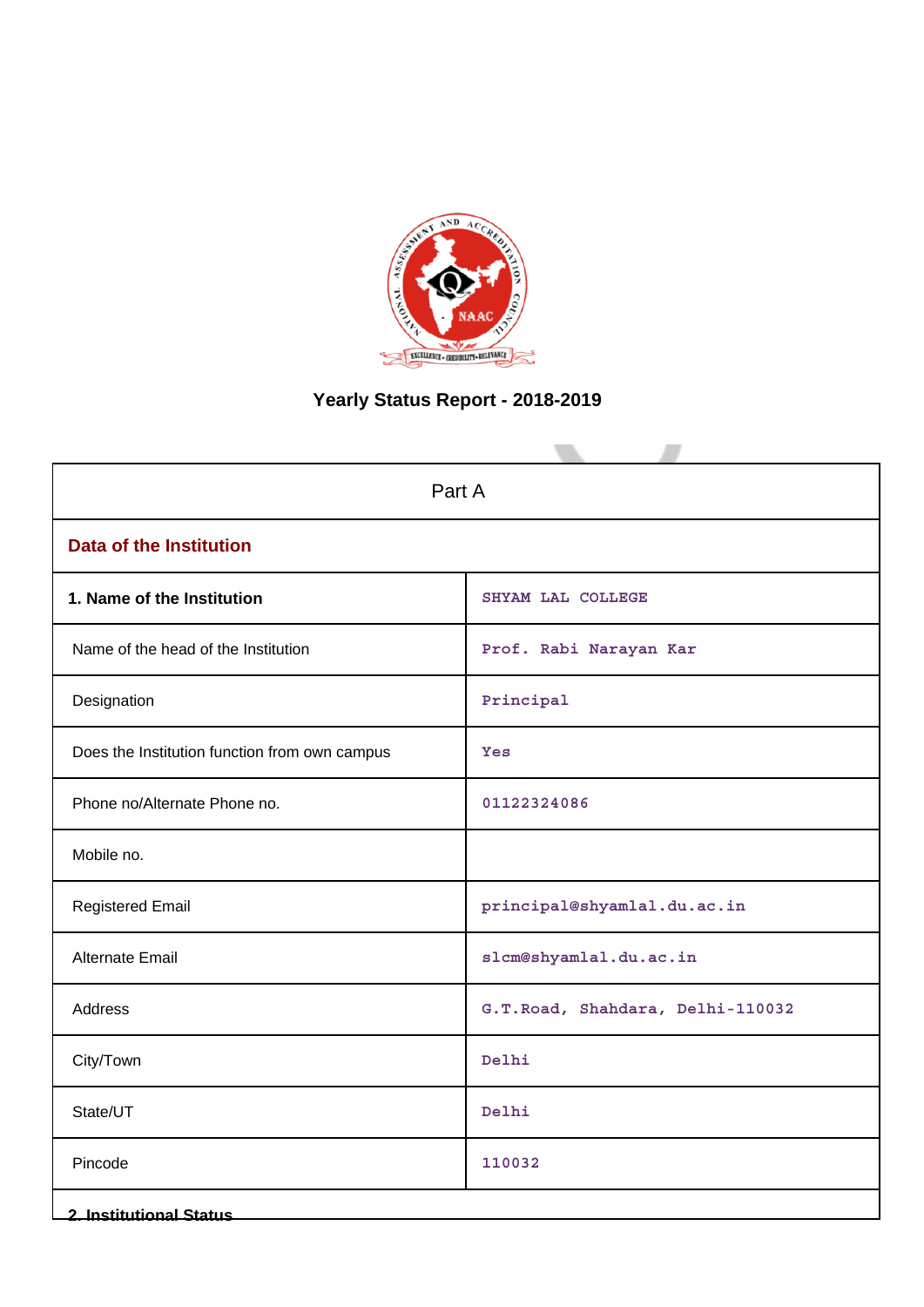

# **Yearly Status Report - 2018-2019**

| Part A                                        |                                  |  |  |
|-----------------------------------------------|----------------------------------|--|--|
| <b>Data of the Institution</b>                |                                  |  |  |
| 1. Name of the Institution                    | SHYAM LAL COLLEGE                |  |  |
| Name of the head of the Institution           | Prof. Rabi Narayan Kar           |  |  |
| Designation                                   | Principal                        |  |  |
| Does the Institution function from own campus | Yes                              |  |  |
| Phone no/Alternate Phone no.                  | 01122324086                      |  |  |
| Mobile no.                                    |                                  |  |  |
| <b>Registered Email</b>                       | principal@shyamlal.du.ac.in      |  |  |
| <b>Alternate Email</b>                        | slcm@shyamlal.du.ac.in           |  |  |
| Address                                       | G.T.Road, Shahdara, Delhi-110032 |  |  |
| City/Town                                     | Delhi                            |  |  |
| State/UT                                      | Delhi                            |  |  |
| Pincode                                       | 110032                           |  |  |
| <b>2. Institutional Status</b>                |                                  |  |  |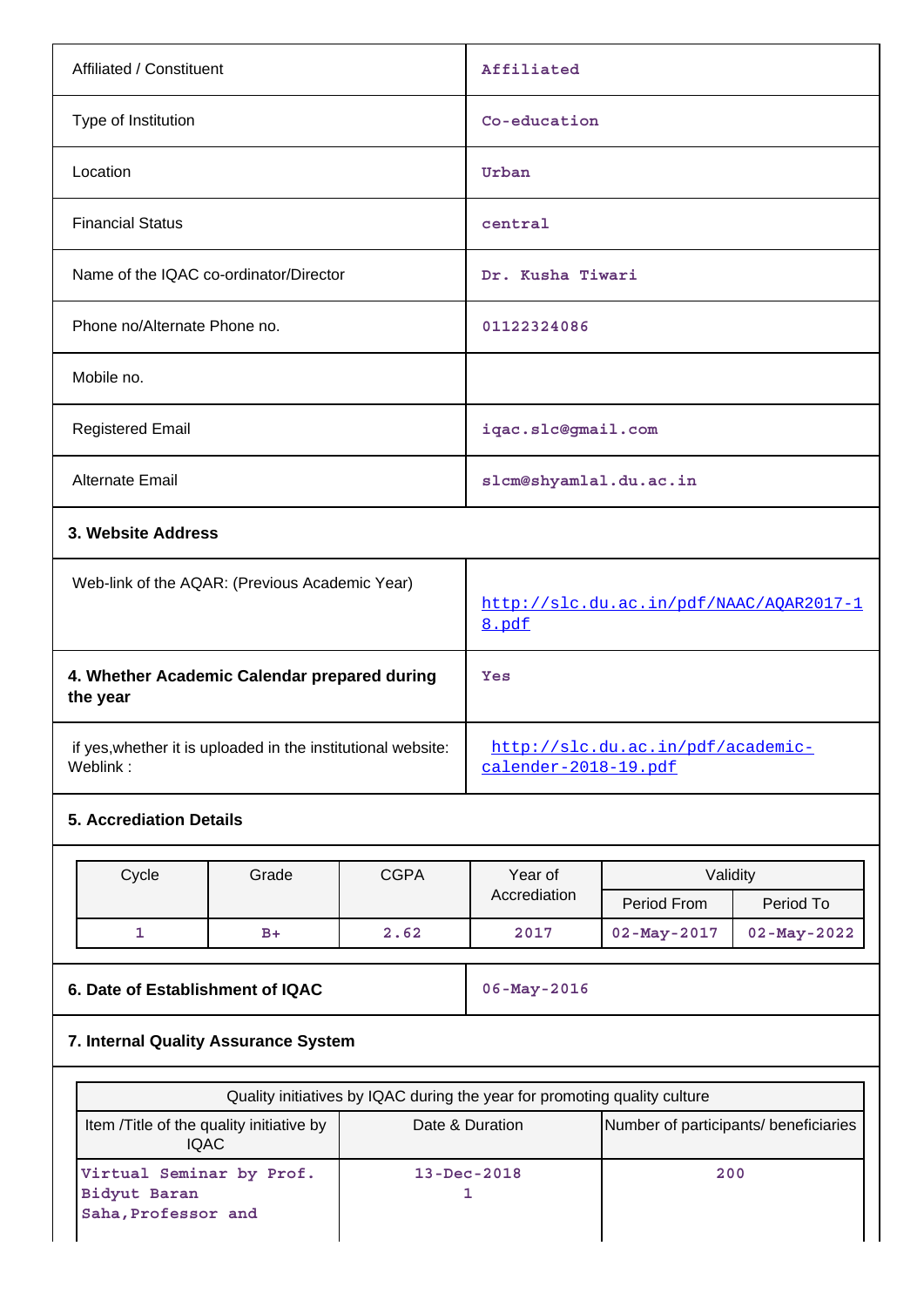| Affiliated / Constituent                                                              |                                              | Affiliated                                       |                                                           |                   |                   |
|---------------------------------------------------------------------------------------|----------------------------------------------|--------------------------------------------------|-----------------------------------------------------------|-------------------|-------------------|
| Type of Institution                                                                   |                                              | Co-education                                     |                                                           |                   |                   |
| Location                                                                              |                                              |                                                  | Urban                                                     |                   |                   |
| <b>Financial Status</b>                                                               |                                              |                                                  | central                                                   |                   |                   |
| Name of the IQAC co-ordinator/Director                                                |                                              |                                                  |                                                           | Dr. Kusha Tiwari  |                   |
| Phone no/Alternate Phone no.                                                          |                                              |                                                  | 01122324086                                               |                   |                   |
| Mobile no.                                                                            |                                              |                                                  |                                                           |                   |                   |
| <b>Registered Email</b>                                                               |                                              |                                                  | iqac.slc@gmail.com                                        |                   |                   |
| Alternate Email                                                                       |                                              |                                                  | slcm@shyamlal.du.ac.in                                    |                   |                   |
| 3. Website Address                                                                    |                                              |                                                  |                                                           |                   |                   |
| Web-link of the AQAR: (Previous Academic Year)                                        |                                              | http://slc.du.ac.in/pdf/NAAC/AOAR2017-1<br>8.pdf |                                                           |                   |                   |
| the year                                                                              | 4. Whether Academic Calendar prepared during |                                                  | Yes                                                       |                   |                   |
| if yes, whether it is uploaded in the institutional website:<br>Weblink:              |                                              |                                                  | http://slc.du.ac.in/pdf/academic-<br>calender-2018-19.pdf |                   |                   |
| <b>5. Accrediation Details</b>                                                        |                                              |                                                  |                                                           |                   |                   |
| Cycle                                                                                 | Grade                                        | <b>CGPA</b>                                      | Year of                                                   | Validity          |                   |
|                                                                                       |                                              |                                                  | Accrediation                                              | Period From       | Period To         |
| 1                                                                                     | $B+$                                         | 2.62                                             | 2017                                                      | $02 - May - 2017$ | $02 - May - 2022$ |
| 6. Date of Establishment of IQAC                                                      |                                              | $06 - May - 2016$                                |                                                           |                   |                   |
| 7. Internal Quality Assurance System                                                  |                                              |                                                  |                                                           |                   |                   |
| Quality initiatives by IQAC during the year for promoting quality culture             |                                              |                                                  |                                                           |                   |                   |
|                                                                                       | Item /Title of the quality initiative by     |                                                  | Date & Duration<br>Number of participants/ beneficiaries  |                   |                   |
| <b>IQAC</b><br>Virtual Seminar by Prof.<br><b>Bidyut Baran</b><br>Saha, Professor and |                                              | 13-Dec-2018<br>1                                 | 200                                                       |                   |                   |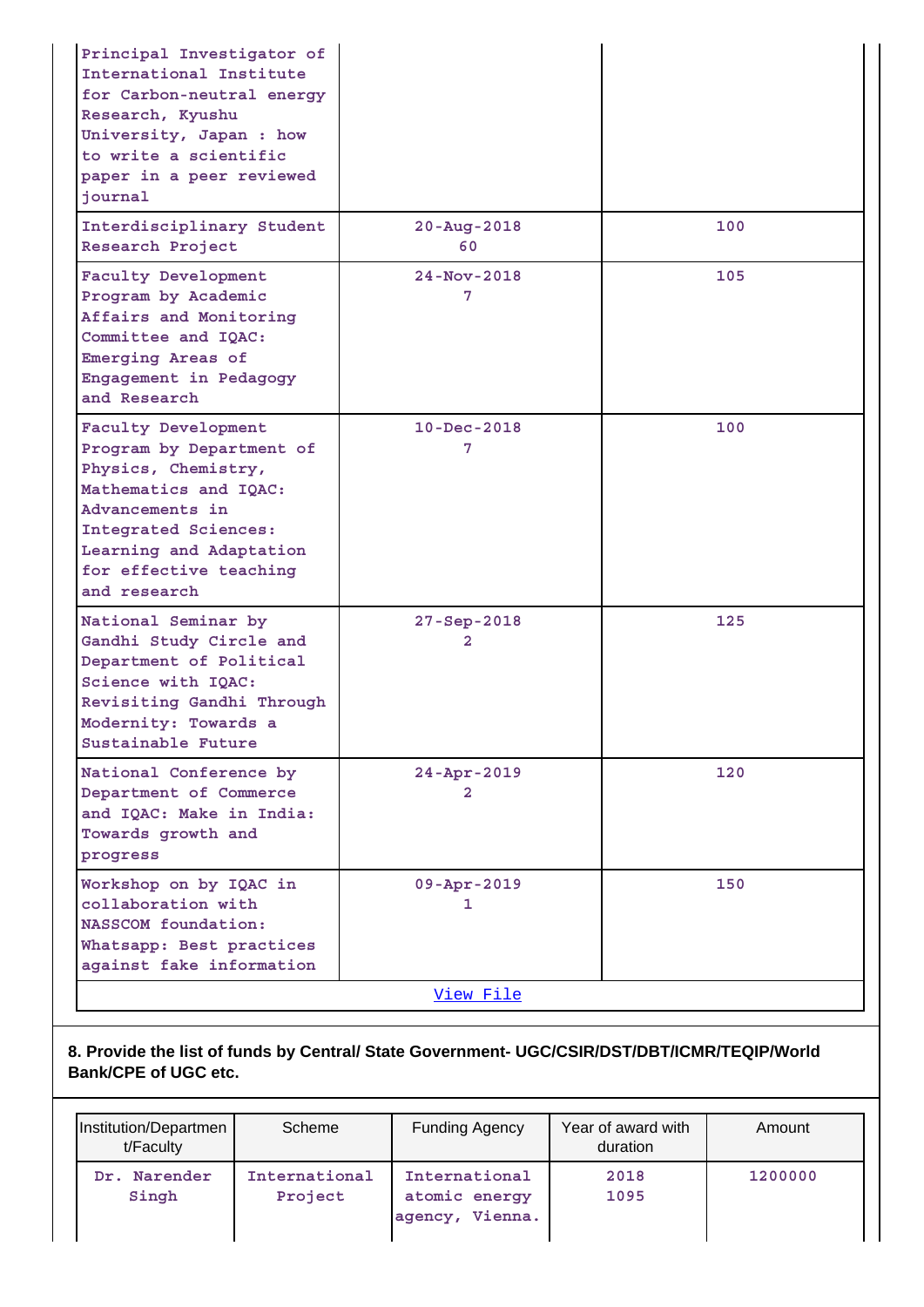| Principal Investigator of<br>International Institute<br>for Carbon-neutral energy<br>Research, Kyushu<br>University, Japan : how<br>to write a scientific<br>paper in a peer reviewed<br>journal                |                               |     |
|-----------------------------------------------------------------------------------------------------------------------------------------------------------------------------------------------------------------|-------------------------------|-----|
| Interdisciplinary Student<br>Research Project                                                                                                                                                                   | $20 - Aug - 2018$<br>60       | 100 |
| Faculty Development<br>Program by Academic<br>Affairs and Monitoring<br>Committee and IQAC:<br>Emerging Areas of<br>Engagement in Pedagogy<br>and Research                                                      | $24 - Nov - 2018$<br>7        | 105 |
| Faculty Development<br>Program by Department of<br>Physics, Chemistry,<br>Mathematics and IQAC:<br>Advancements in<br>Integrated Sciences:<br>Learning and Adaptation<br>for effective teaching<br>and research | $10 - Dec - 2018$<br>7        | 100 |
| National Seminar by<br>Gandhi Study Circle and<br>Department of Political<br>Science with IQAC:<br>Revisiting Gandhi Through<br>Modernity: Towards a<br>Sustainable Future                                      | 27-Sep-2018<br>$\overline{2}$ | 125 |
| National Conference by<br>Department of Commerce<br>and IQAC: Make in India:<br>Towards growth and<br>progress                                                                                                  | $24 - Apr - 2019$<br>2        | 120 |
| Workshop on by IQAC in<br>collaboration with<br>NASSCOM foundation:<br>Whatsapp: Best practices<br>against fake information                                                                                     | $09 - Appr - 2019$<br>1       | 150 |
|                                                                                                                                                                                                                 | View File                     |     |

**8. Provide the list of funds by Central/ State Government- UGC/CSIR/DST/DBT/ICMR/TEQIP/World Bank/CPE of UGC etc.**

| Institution/Departmen<br>t/Faculty | Scheme                   | <b>Funding Agency</b>                             | Year of award with<br>duration | Amount  |
|------------------------------------|--------------------------|---------------------------------------------------|--------------------------------|---------|
| Dr. Narender<br>Singh              | International<br>Project | International<br>atomic energy<br>agency, Vienna. | 2018<br>1095                   | 1200000 |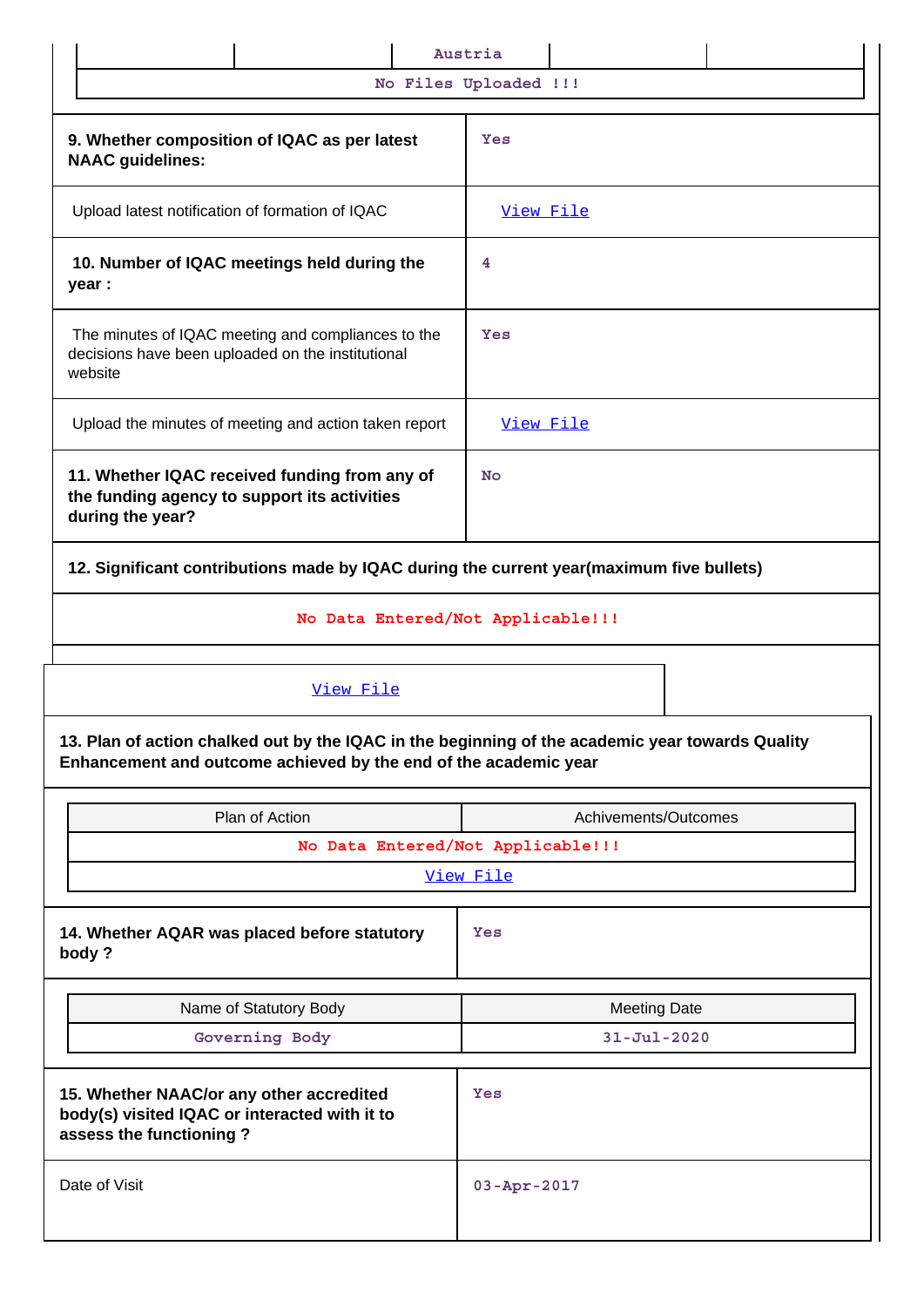|                                                                                                                             | Austria              |  |  |  |  |
|-----------------------------------------------------------------------------------------------------------------------------|----------------------|--|--|--|--|
| No Files Uploaded !!!                                                                                                       |                      |  |  |  |  |
| 9. Whether composition of IQAC as per latest<br><b>NAAC</b> guidelines:                                                     | Yes                  |  |  |  |  |
| Upload latest notification of formation of IQAC                                                                             | View File            |  |  |  |  |
| 10. Number of IQAC meetings held during the<br>year :                                                                       | 4                    |  |  |  |  |
| The minutes of IQAC meeting and compliances to the<br>Yes<br>decisions have been uploaded on the institutional<br>website   |                      |  |  |  |  |
| Upload the minutes of meeting and action taken report                                                                       | View File            |  |  |  |  |
| 11. Whether IQAC received funding from any of<br>the funding agency to support its activities<br>during the year?           | <b>No</b>            |  |  |  |  |
| 12. Significant contributions made by IQAC during the current year(maximum five bullets)                                    |                      |  |  |  |  |
| No Data Entered/Not Applicable!!!                                                                                           |                      |  |  |  |  |
| View File<br>13. Plan of action chalked out by the IQAC in the beginning of the academic year towards Quality               |                      |  |  |  |  |
| Enhancement and outcome achieved by the end of the academic year                                                            |                      |  |  |  |  |
| Plan of Action                                                                                                              | Achivements/Outcomes |  |  |  |  |
| No Data Entered/Not Applicable!!!                                                                                           |                      |  |  |  |  |
|                                                                                                                             | View File            |  |  |  |  |
| 14. Whether AQAR was placed before statutory<br>body?                                                                       | Yes                  |  |  |  |  |
| Name of Statutory Body                                                                                                      | <b>Meeting Date</b>  |  |  |  |  |
| Governing Body                                                                                                              | $31 - Jul - 2020$    |  |  |  |  |
| 15. Whether NAAC/or any other accredited<br>Yes<br>body(s) visited IQAC or interacted with it to<br>assess the functioning? |                      |  |  |  |  |
|                                                                                                                             |                      |  |  |  |  |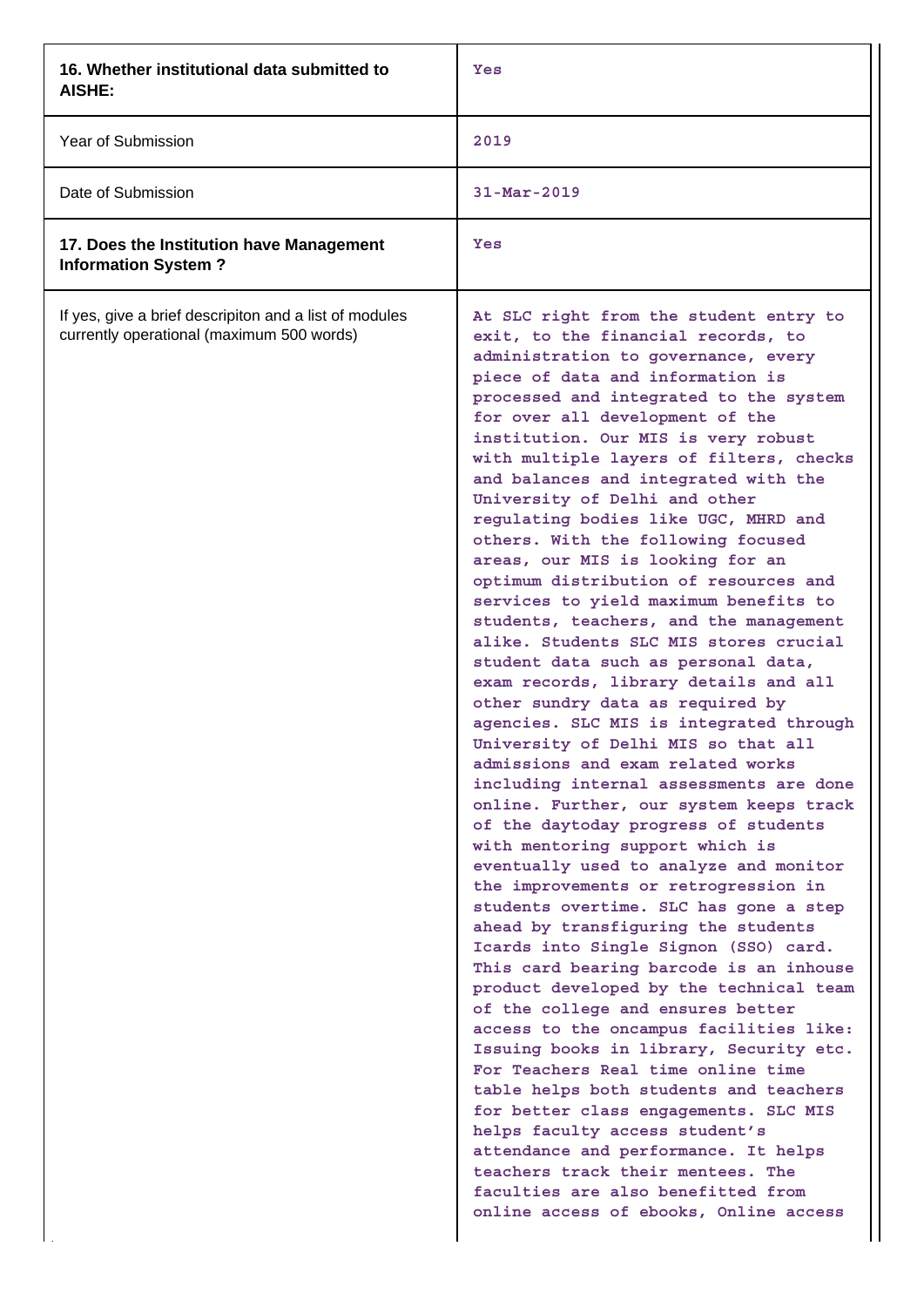| 16. Whether institutional data submitted to<br>AISHE:                                               | Yes                                                                                                                                                                                                                                                                                                                                                                                                                                                                                                                                                                                                                                                                                                                                                                                                                                                                                                                                                                                                                                                                                                                                                                                                                                                                                                                                                                                                                                                                                                                                                                                                                                                                                                                                                                                                                                                      |
|-----------------------------------------------------------------------------------------------------|----------------------------------------------------------------------------------------------------------------------------------------------------------------------------------------------------------------------------------------------------------------------------------------------------------------------------------------------------------------------------------------------------------------------------------------------------------------------------------------------------------------------------------------------------------------------------------------------------------------------------------------------------------------------------------------------------------------------------------------------------------------------------------------------------------------------------------------------------------------------------------------------------------------------------------------------------------------------------------------------------------------------------------------------------------------------------------------------------------------------------------------------------------------------------------------------------------------------------------------------------------------------------------------------------------------------------------------------------------------------------------------------------------------------------------------------------------------------------------------------------------------------------------------------------------------------------------------------------------------------------------------------------------------------------------------------------------------------------------------------------------------------------------------------------------------------------------------------------------|
| Year of Submission                                                                                  | 2019                                                                                                                                                                                                                                                                                                                                                                                                                                                                                                                                                                                                                                                                                                                                                                                                                                                                                                                                                                                                                                                                                                                                                                                                                                                                                                                                                                                                                                                                                                                                                                                                                                                                                                                                                                                                                                                     |
| Date of Submission                                                                                  | $31 - Mar - 2019$                                                                                                                                                                                                                                                                                                                                                                                                                                                                                                                                                                                                                                                                                                                                                                                                                                                                                                                                                                                                                                                                                                                                                                                                                                                                                                                                                                                                                                                                                                                                                                                                                                                                                                                                                                                                                                        |
| 17. Does the Institution have Management<br><b>Information System?</b>                              | Yes                                                                                                                                                                                                                                                                                                                                                                                                                                                                                                                                                                                                                                                                                                                                                                                                                                                                                                                                                                                                                                                                                                                                                                                                                                                                                                                                                                                                                                                                                                                                                                                                                                                                                                                                                                                                                                                      |
| If yes, give a brief descripiton and a list of modules<br>currently operational (maximum 500 words) | At SLC right from the student entry to<br>exit, to the financial records, to<br>administration to governance, every<br>piece of data and information is<br>processed and integrated to the system<br>for over all development of the<br>institution. Our MIS is very robust<br>with multiple layers of filters, checks<br>and balances and integrated with the<br>University of Delhi and other<br>regulating bodies like UGC, MHRD and<br>others. With the following focused<br>areas, our MIS is looking for an<br>optimum distribution of resources and<br>services to yield maximum benefits to<br>students, teachers, and the management<br>alike. Students SLC MIS stores crucial<br>student data such as personal data,<br>exam records, library details and all<br>other sundry data as required by<br>agencies. SLC MIS is integrated through<br>University of Delhi MIS so that all<br>admissions and exam related works<br>including internal assessments are done<br>online. Further, our system keeps track<br>of the daytoday progress of students<br>with mentoring support which is<br>eventually used to analyze and monitor<br>the improvements or retrogression in<br>students overtime. SLC has gone a step<br>ahead by transfiguring the students<br>Icards into Single Signon (SSO) card.<br>This card bearing barcode is an inhouse<br>product developed by the technical team<br>of the college and ensures better<br>access to the oncampus facilities like:<br>Issuing books in library, Security etc.<br>For Teachers Real time online time<br>table helps both students and teachers<br>for better class engagements. SLC MIS<br>helps faculty access student's<br>attendance and performance. It helps<br>teachers track their mentees. The<br>faculties are also benefitted from<br>online access of ebooks, Online access |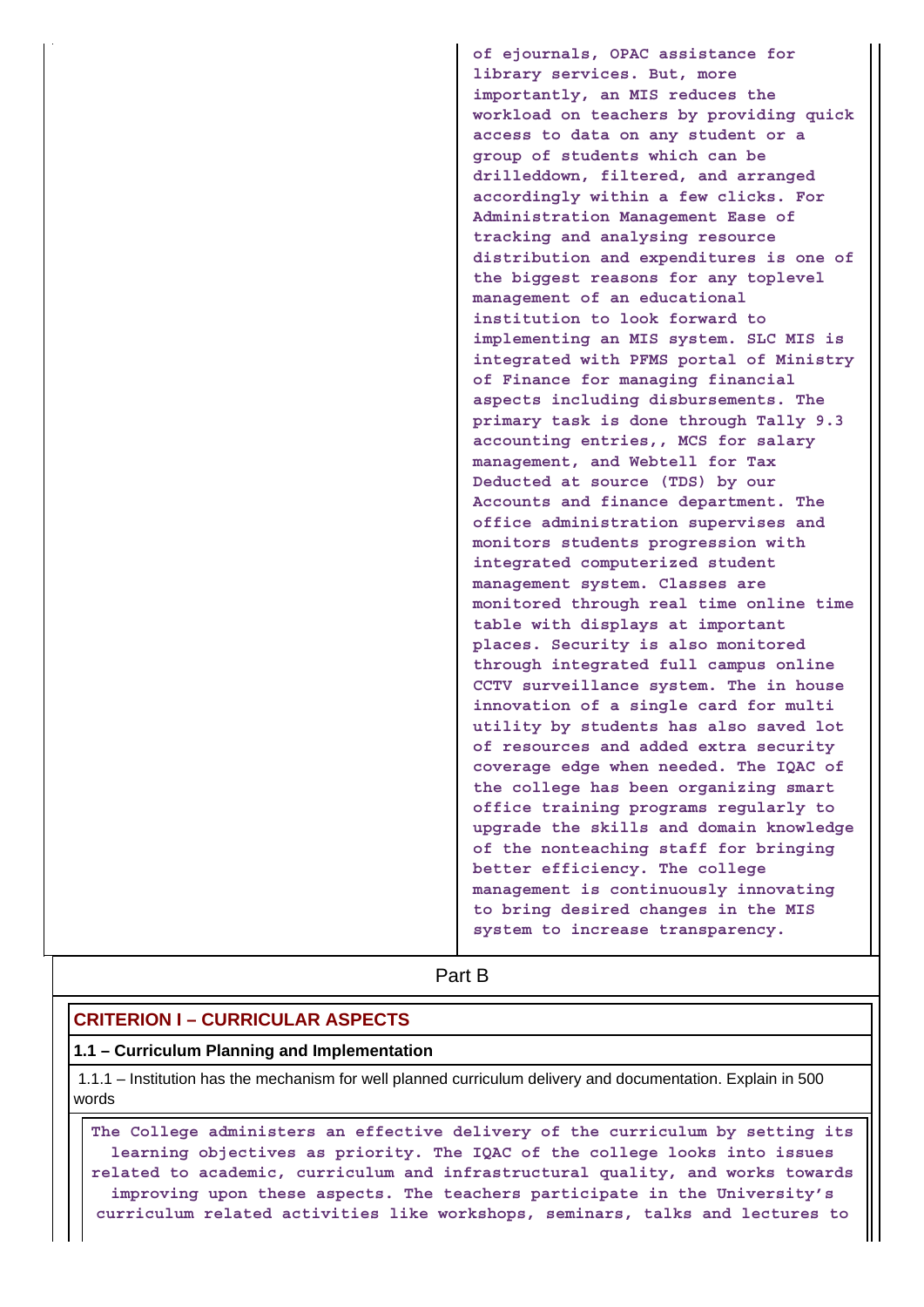**of ejournals, OPAC assistance for library services. But, more importantly, an MIS reduces the workload on teachers by providing quick access to data on any student or a group of students which can be drilleddown, filtered, and arranged accordingly within a few clicks. For Administration Management Ease of tracking and analysing resource distribution and expenditures is one of the biggest reasons for any toplevel management of an educational institution to look forward to implementing an MIS system. SLC MIS is integrated with PFMS portal of Ministry of Finance for managing financial aspects including disbursements. The primary task is done through Tally 9.3 accounting entries,, MCS for salary management, and Webtell for Tax Deducted at source (TDS) by our Accounts and finance department. The office administration supervises and monitors students progression with integrated computerized student management system. Classes are monitored through real time online time table with displays at important places. Security is also monitored through integrated full campus online CCTV surveillance system. The in house innovation of a single card for multi utility by students has also saved lot of resources and added extra security coverage edge when needed. The IQAC of the college has been organizing smart office training programs regularly to upgrade the skills and domain knowledge of the nonteaching staff for bringing better efficiency. The college management is continuously innovating to bring desired changes in the MIS system to increase transparency.**

**Part B** 

### **CRITERION I – CURRICULAR ASPECTS**

#### **1.1 – Curriculum Planning and Implementation**

 1.1.1 – Institution has the mechanism for well planned curriculum delivery and documentation. Explain in 500 words

 **The College administers an effective delivery of the curriculum by setting its learning objectives as priority. The IQAC of the college looks into issues related to academic, curriculum and infrastructural quality, and works towards improving upon these aspects. The teachers participate in the University's curriculum related activities like workshops, seminars, talks and lectures to**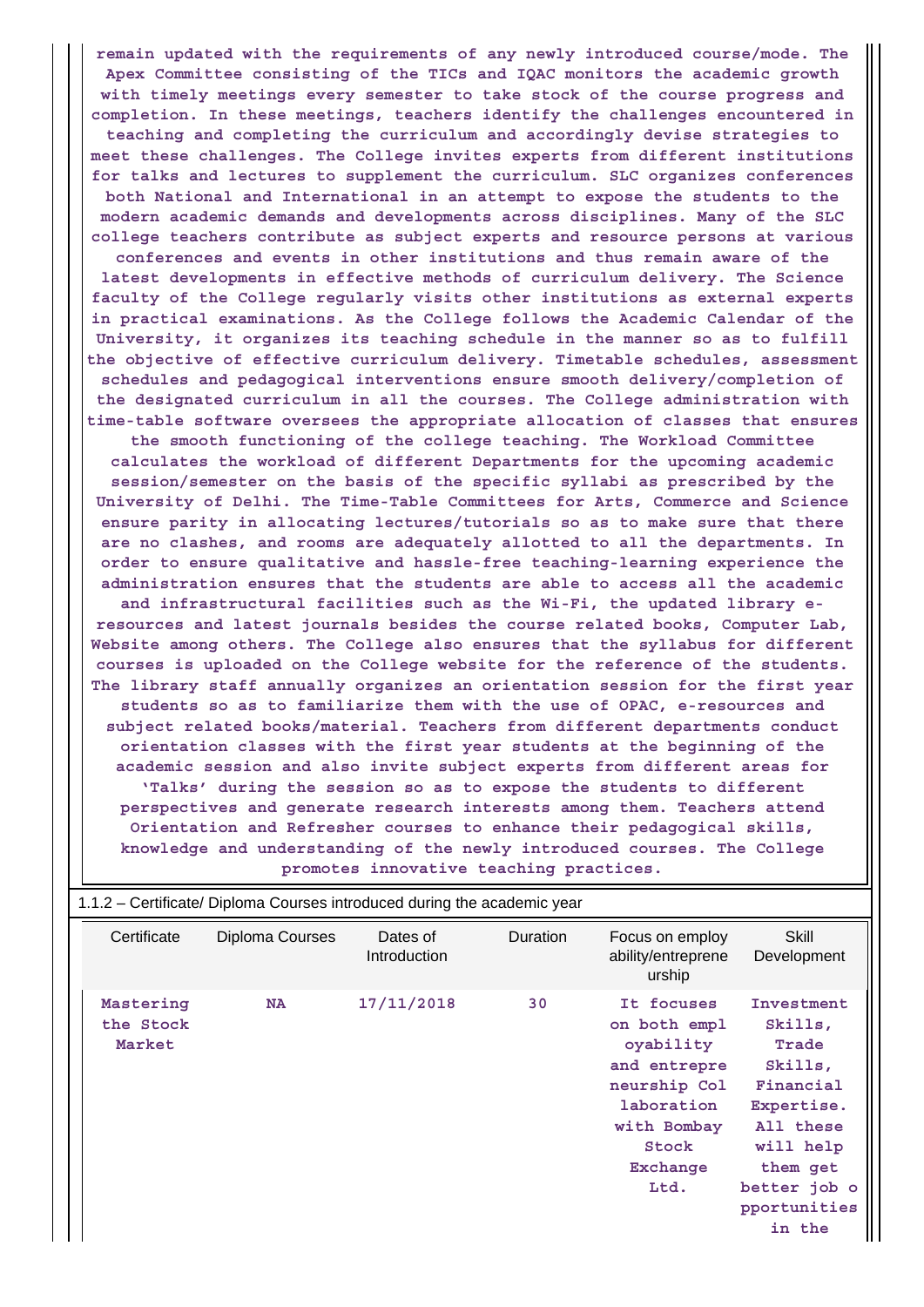**remain updated with the requirements of any newly introduced course/mode. The Apex Committee consisting of the TICs and IQAC monitors the academic growth with timely meetings every semester to take stock of the course progress and completion. In these meetings, teachers identify the challenges encountered in teaching and completing the curriculum and accordingly devise strategies to meet these challenges. The College invites experts from different institutions for talks and lectures to supplement the curriculum. SLC organizes conferences both National and International in an attempt to expose the students to the modern academic demands and developments across disciplines. Many of the SLC college teachers contribute as subject experts and resource persons at various conferences and events in other institutions and thus remain aware of the latest developments in effective methods of curriculum delivery. The Science faculty of the College regularly visits other institutions as external experts in practical examinations. As the College follows the Academic Calendar of the University, it organizes its teaching schedule in the manner so as to fulfill the objective of effective curriculum delivery. Timetable schedules, assessment schedules and pedagogical interventions ensure smooth delivery/completion of the designated curriculum in all the courses. The College administration with time-table software oversees the appropriate allocation of classes that ensures the smooth functioning of the college teaching. The Workload Committee calculates the workload of different Departments for the upcoming academic session/semester on the basis of the specific syllabi as prescribed by the University of Delhi. The Time-Table Committees for Arts, Commerce and Science ensure parity in allocating lectures/tutorials so as to make sure that there are no clashes, and rooms are adequately allotted to all the departments. In order to ensure qualitative and hassle-free teaching-learning experience the administration ensures that the students are able to access all the academic and infrastructural facilities such as the Wi-Fi, the updated library eresources and latest journals besides the course related books, Computer Lab, Website among others. The College also ensures that the syllabus for different courses is uploaded on the College website for the reference of the students. The library staff annually organizes an orientation session for the first year students so as to familiarize them with the use of OPAC, e-resources and subject related books/material. Teachers from different departments conduct orientation classes with the first year students at the beginning of the academic session and also invite subject experts from different areas for 'Talks' during the session so as to expose the students to different perspectives and generate research interests among them. Teachers attend Orientation and Refresher courses to enhance their pedagogical skills, knowledge and understanding of the newly introduced courses. The College promotes innovative teaching practices.**

| Certificate                      | Diploma Courses | Dates of<br>Introduction | <b>Duration</b> | Focus on employ<br>ability/entreprene<br>urship                                                                                   | Skill<br>Development                                                                                                                                 |
|----------------------------------|-----------------|--------------------------|-----------------|-----------------------------------------------------------------------------------------------------------------------------------|------------------------------------------------------------------------------------------------------------------------------------------------------|
| Mastering<br>the Stock<br>Market | <b>NA</b>       | 17/11/2018               | 30              | It focuses<br>on both empl<br>oyability<br>and entrepre<br>neurship Col<br>laboration<br>with Bombay<br>Stock<br>Exchange<br>Ltd. | Investment<br>Skills,<br>Trade<br>Skills,<br>Financial<br>Expertise.<br>All these<br>will help<br>them get<br>better job o<br>pportunities<br>in the |

## 1.1.2 – Certificate/ Diploma Courses introduced during the academic year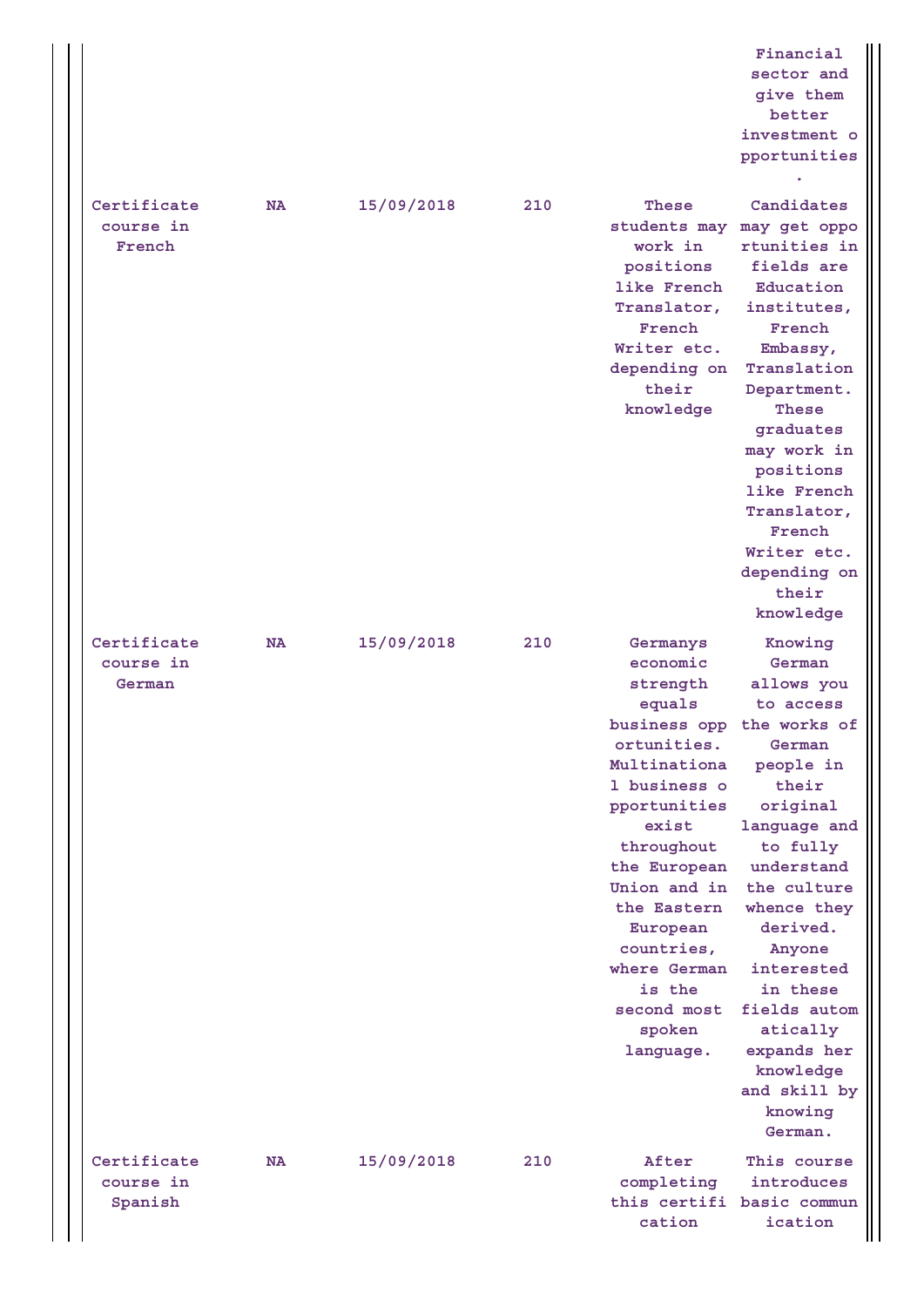**Financial sector and give them better investment o pportunities**

**.**

| Certificate | NA        | 15/09/2018 | 210 | These        | Candidates                |
|-------------|-----------|------------|-----|--------------|---------------------------|
| course in   |           |            |     |              | students may may get oppo |
| French      |           |            |     | work in      | rtunities in              |
|             |           |            |     | positions    | fields are                |
|             |           |            |     | like French  | Education                 |
|             |           |            |     | Translator,  | institutes,               |
|             |           |            |     | French       | French                    |
|             |           |            |     | Writer etc.  | Embassy,                  |
|             |           |            |     | depending on | Translation               |
|             |           |            |     | their        | Department.               |
|             |           |            |     | knowledge    | These                     |
|             |           |            |     |              | graduates                 |
|             |           |            |     |              | may work in               |
|             |           |            |     |              | positions                 |
|             |           |            |     |              | like French               |
|             |           |            |     |              | Translator,               |
|             |           |            |     |              | French                    |
|             |           |            |     |              | Writer etc.               |
|             |           |            |     |              | depending on              |
|             |           |            |     |              | their                     |
|             |           |            |     |              | knowledge                 |
| Certificate | <b>NA</b> | 15/09/2018 | 210 | Germanys     | Knowing                   |
| course in   |           |            |     | economic     | German                    |
| German      |           |            |     | strength     | allows you                |
|             |           |            |     | equals       | to access                 |
|             |           |            |     | business opp | the works of              |
|             |           |            |     | ortunities.  | German                    |
|             |           |            |     | Multinationa | people in                 |
|             |           |            |     | 1 business o | their                     |
|             |           |            |     | pportunities | original                  |
|             |           |            |     | exist        | language and              |
|             |           |            |     | throughout   | to fully                  |
|             |           |            |     | the European | understand                |
|             |           |            |     | Union and in | the culture               |
|             |           |            |     | the Eastern  | whence they               |
|             |           |            |     | European     | derived.                  |
|             |           |            |     | countries,   | Anyone                    |
|             |           |            |     | where German | interested                |
|             |           |            |     | is the       | in these                  |
|             |           |            |     | second most  | fields autom              |
|             |           |            |     | spoken       | atically                  |
|             |           |            |     | language.    | expands her               |
|             |           |            |     |              | knowledge                 |
|             |           |            |     |              | and skill by              |
|             |           |            |     |              | knowing<br>German.        |
|             |           |            |     |              |                           |
| Certificate | NA        | 15/09/2018 | 210 | After        | This course               |
| course in   |           |            |     | completing   | introduces                |
| Spanish     |           |            |     |              | this certifi basic commun |
|             |           |            |     | cation       | ication                   |
|             |           |            |     |              |                           |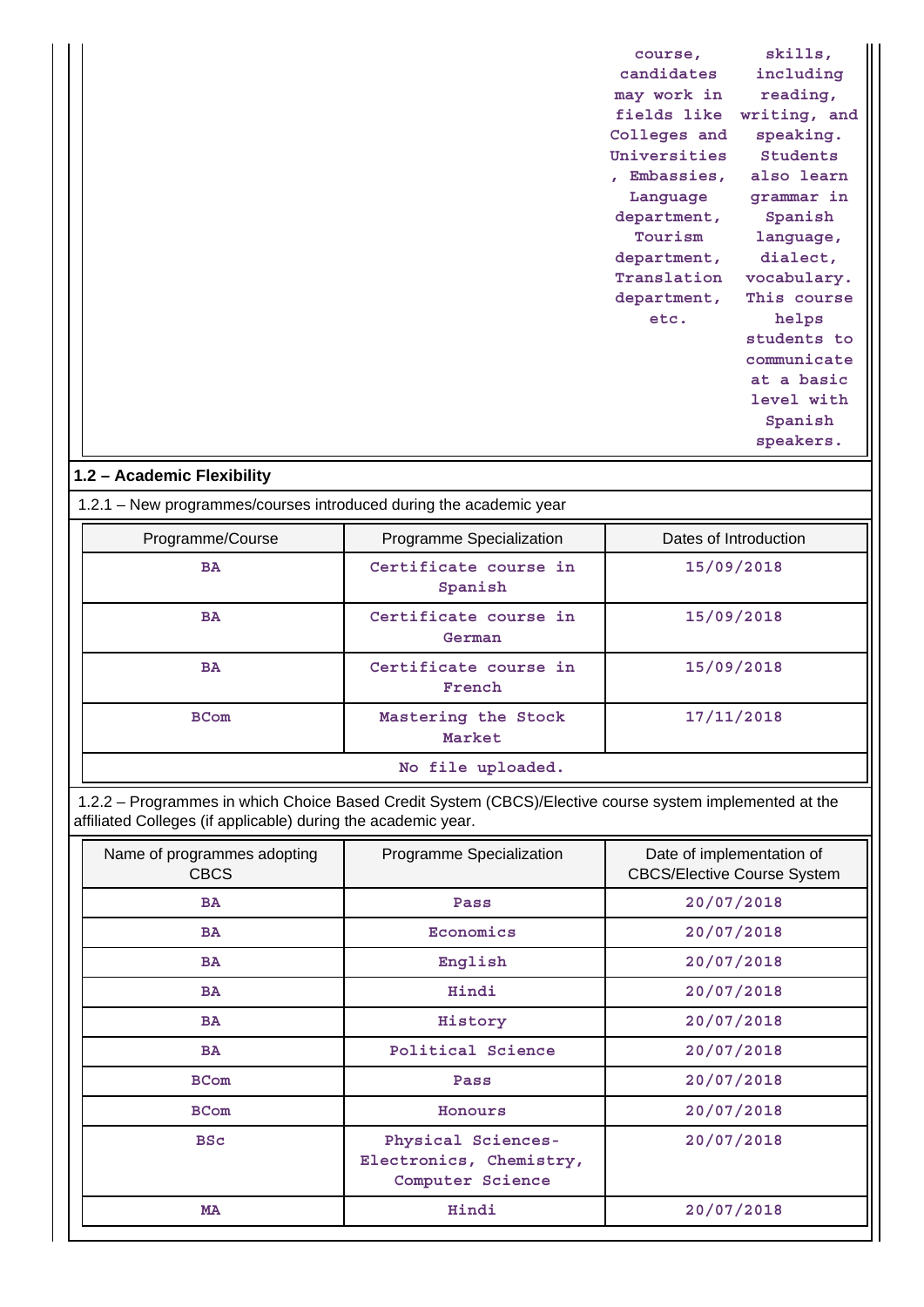| course,      | skills,         |
|--------------|-----------------|
| candidates   | including       |
| may work in  | reading,        |
| fields like  | writing, and    |
| Colleges and | speaking.       |
| Universities | <b>Students</b> |
| Embassies,   | also learn      |
| Language     | grammar in      |
| department,  | Spanish         |
| Tourism      | language,       |
| department,  | dialect,        |
| Translation  | vocabulary.     |
| department,  | This course     |
| etc.         | helps           |
|              | students to     |
|              | communicate     |
|              | at a basic      |
|              | level with      |
|              | Spanish         |
|              | speakers.       |
|              |                 |

## **1.2 – Academic Flexibility**

1.2.1 – New programmes/courses introduced during the academic year

| Programme/Course  | Programme Specialization         | Dates of Introduction |  |
|-------------------|----------------------------------|-----------------------|--|
| <b>BA</b>         | Certificate course in<br>Spanish | 15/09/2018            |  |
| <b>BA</b>         | Certificate course in<br>German  | 15/09/2018            |  |
| <b>BA</b>         | Certificate course in<br>French  | 15/09/2018            |  |
| <b>BCom</b>       | Mastering the Stock<br>Market    | 17/11/2018            |  |
| No file uploaded. |                                  |                       |  |

 1.2.2 – Programmes in which Choice Based Credit System (CBCS)/Elective course system implemented at the affiliated Colleges (if applicable) during the academic year.

| Name of programmes adopting<br><b>CBCS</b> | Programme Specialization                                          | Date of implementation of<br><b>CBCS/Elective Course System</b> |
|--------------------------------------------|-------------------------------------------------------------------|-----------------------------------------------------------------|
| <b>BA</b>                                  | Pass                                                              | 20/07/2018                                                      |
| <b>BA</b>                                  | Economics                                                         | 20/07/2018                                                      |
| <b>BA</b>                                  | English                                                           | 20/07/2018                                                      |
| <b>BA</b>                                  | Hindi                                                             | 20/07/2018                                                      |
| <b>BA</b>                                  | History                                                           | 20/07/2018                                                      |
| <b>BA</b>                                  | Political Science                                                 | 20/07/2018                                                      |
| <b>BCom</b>                                | Pass                                                              | 20/07/2018                                                      |
| <b>BCom</b>                                | Honours                                                           | 20/07/2018                                                      |
| <b>BSc</b>                                 | Physical Sciences-<br>Electronics, Chemistry,<br>Computer Science | 20/07/2018                                                      |
| <b>MA</b>                                  | Hindi                                                             | 20/07/2018                                                      |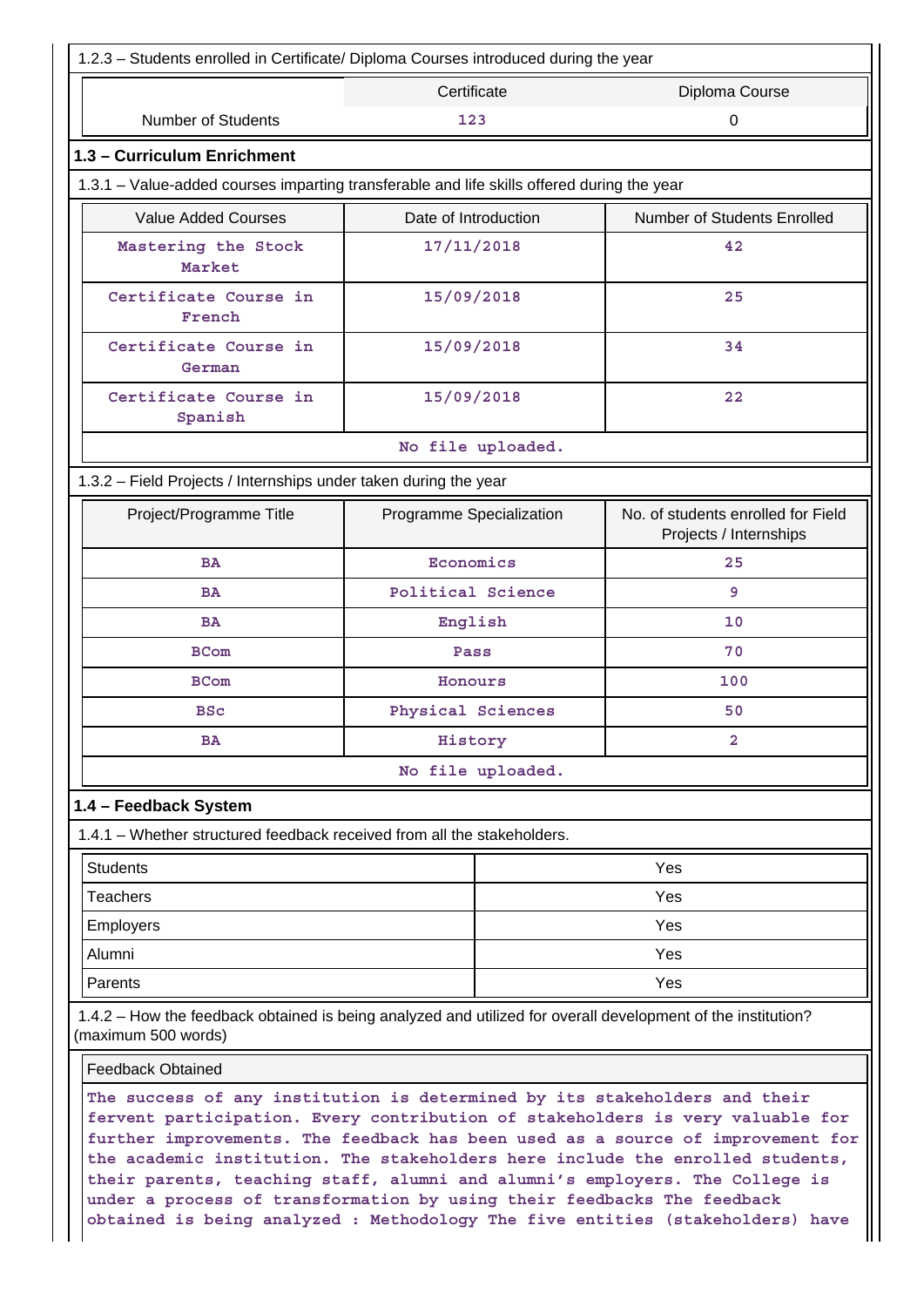| 1.2.3 - Students enrolled in Certificate/ Diploma Courses introduced during the year                                                |                               |                                                              |  |
|-------------------------------------------------------------------------------------------------------------------------------------|-------------------------------|--------------------------------------------------------------|--|
|                                                                                                                                     | Certificate<br>Diploma Course |                                                              |  |
| <b>Number of Students</b>                                                                                                           | 123                           | 0                                                            |  |
| 1.3 - Curriculum Enrichment                                                                                                         |                               |                                                              |  |
| 1.3.1 – Value-added courses imparting transferable and life skills offered during the year                                          |                               |                                                              |  |
| <b>Value Added Courses</b>                                                                                                          | Date of Introduction          | Number of Students Enrolled                                  |  |
| Mastering the Stock<br>Market                                                                                                       | 17/11/2018                    | 42                                                           |  |
| Certificate Course in<br>French                                                                                                     | 15/09/2018                    | 25                                                           |  |
| Certificate Course in<br>German                                                                                                     | 15/09/2018                    | 34                                                           |  |
| Certificate Course in<br>Spanish                                                                                                    | 15/09/2018                    | 22                                                           |  |
|                                                                                                                                     | No file uploaded.             |                                                              |  |
| 1.3.2 - Field Projects / Internships under taken during the year                                                                    |                               |                                                              |  |
| Project/Programme Title                                                                                                             | Programme Specialization      | No. of students enrolled for Field<br>Projects / Internships |  |
| <b>BA</b>                                                                                                                           | Economics                     | 25                                                           |  |
| <b>BA</b>                                                                                                                           | Political Science             | 9                                                            |  |
| <b>BA</b>                                                                                                                           | English                       | 10                                                           |  |
| <b>BCom</b>                                                                                                                         | Pass                          | 70                                                           |  |
| <b>BCom</b>                                                                                                                         | Honours                       | 100                                                          |  |
| <b>BSc</b>                                                                                                                          | Physical Sciences             | 50                                                           |  |
| <b>BA</b>                                                                                                                           | History                       | 2                                                            |  |
|                                                                                                                                     | No file uploaded.             |                                                              |  |
| 1.4 - Feedback System                                                                                                               |                               |                                                              |  |
| 1.4.1 – Whether structured feedback received from all the stakeholders.                                                             |                               |                                                              |  |
| <b>Students</b>                                                                                                                     |                               | Yes                                                          |  |
| <b>Teachers</b>                                                                                                                     |                               | Yes                                                          |  |
| Employers                                                                                                                           | Yes                           |                                                              |  |
| Alumni                                                                                                                              |                               | Yes                                                          |  |
| Parents                                                                                                                             |                               | Yes                                                          |  |
| 1.4.2 - How the feedback obtained is being analyzed and utilized for overall development of the institution?<br>(maximum 500 words) |                               |                                                              |  |
| <b>Feedback Obtained</b>                                                                                                            |                               |                                                              |  |
| The success of any institution is determined by its stakeholders and their                                                          |                               |                                                              |  |

**fervent participation. Every contribution of stakeholders is very valuable for further improvements. The feedback has been used as a source of improvement for the academic institution. The stakeholders here include the enrolled students, their parents, teaching staff, alumni and alumni's employers. The College is under a process of transformation by using their feedbacks The feedback obtained is being analyzed : Methodology The five entities (stakeholders) have**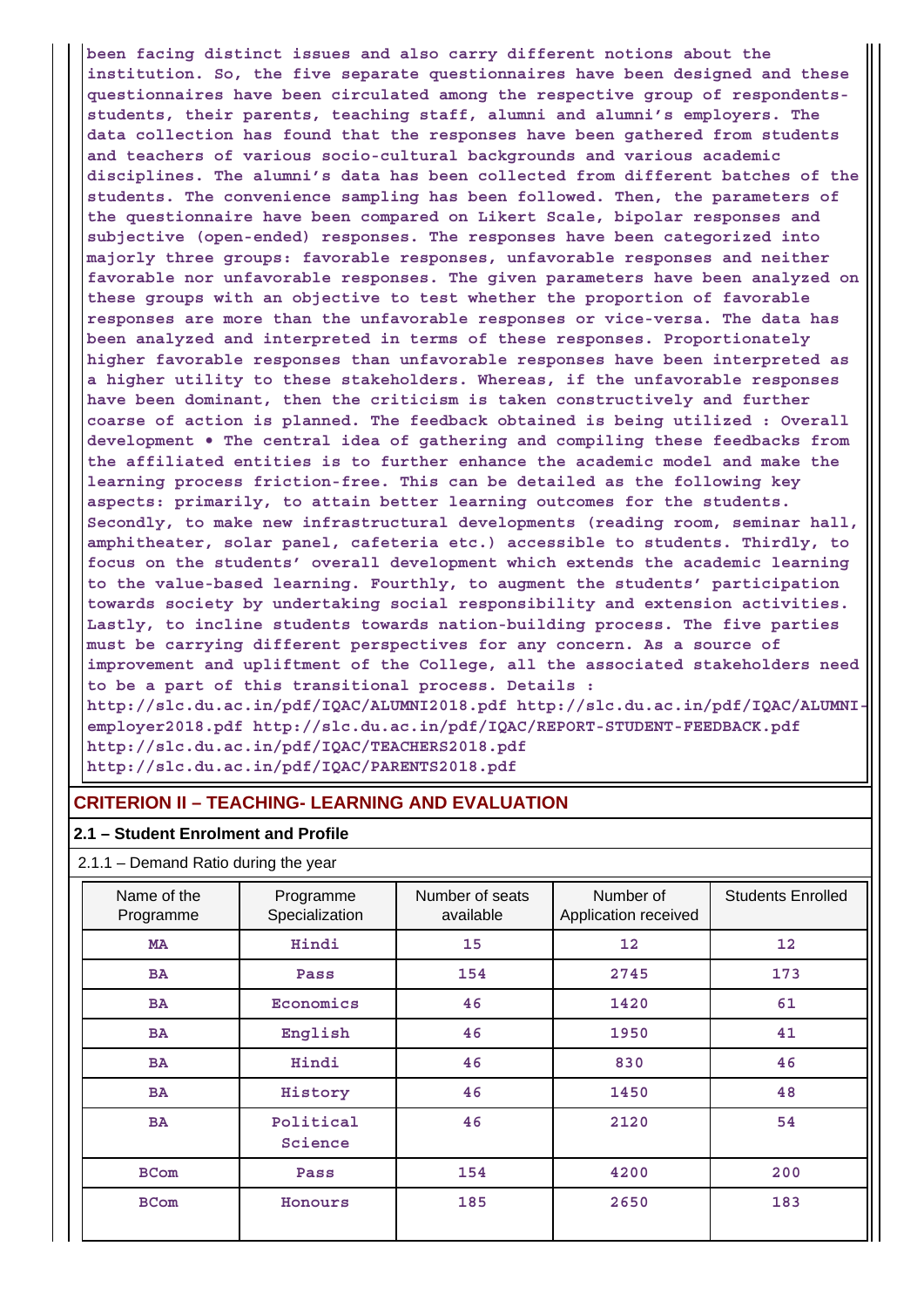**been facing distinct issues and also carry different notions about the institution. So, the five separate questionnaires have been designed and these questionnaires have been circulated among the respective group of respondentsstudents, their parents, teaching staff, alumni and alumni's employers. The data collection has found that the responses have been gathered from students and teachers of various socio-cultural backgrounds and various academic disciplines. The alumni's data has been collected from different batches of the students. The convenience sampling has been followed. Then, the parameters of the questionnaire have been compared on Likert Scale, bipolar responses and subjective (open-ended) responses. The responses have been categorized into majorly three groups: favorable responses, unfavorable responses and neither favorable nor unfavorable responses. The given parameters have been analyzed on these groups with an objective to test whether the proportion of favorable responses are more than the unfavorable responses or vice-versa. The data has been analyzed and interpreted in terms of these responses. Proportionately higher favorable responses than unfavorable responses have been interpreted as a higher utility to these stakeholders. Whereas, if the unfavorable responses have been dominant, then the criticism is taken constructively and further coarse of action is planned. The feedback obtained is being utilized : Overall development • The central idea of gathering and compiling these feedbacks from the affiliated entities is to further enhance the academic model and make the learning process friction-free. This can be detailed as the following key aspects: primarily, to attain better learning outcomes for the students. Secondly, to make new infrastructural developments (reading room, seminar hall, amphitheater, solar panel, cafeteria etc.) accessible to students. Thirdly, to focus on the students' overall development which extends the academic learning to the value-based learning. Fourthly, to augment the students' participation towards society by undertaking social responsibility and extension activities. Lastly, to incline students towards nation-building process. The five parties must be carrying different perspectives for any concern. As a source of improvement and upliftment of the College, all the associated stakeholders need to be a part of this transitional process. Details : http://slc.du.ac.in/pdf/IQAC/ALUMNI2018.pdf http://slc.du.ac.in/pdf/IQAC/ALUMNIemployer2018.pdf http://slc.du.ac.in/pdf/IQAC/REPORT-STUDENT-FEEDBACK.pdf http://slc.du.ac.in/pdf/IQAC/TEACHERS2018.pdf http://slc.du.ac.in/pdf/IQAC/PARENTS2018.pdf**

### **CRITERION II – TEACHING- LEARNING AND EVALUATION**

#### **2.1 – Student Enrolment and Profile**

## 2.1.1 – Demand Ratio during the year

| Name of the<br>Programme | Programme<br>Specialization | Number of seats<br>available | Number of<br>Application received | <b>Students Enrolled</b> |
|--------------------------|-----------------------------|------------------------------|-----------------------------------|--------------------------|
| MA                       | Hindi                       | 15                           | 12                                | 12                       |
| <b>BA</b>                | Pass                        | 154                          | 2745                              | 173                      |
| <b>BA</b>                | Economics                   | 46                           | 1420                              | 61                       |
| <b>BA</b>                | English                     | 46                           | 1950                              | 41                       |
| <b>BA</b>                | Hindi                       | 46                           | 830                               | 46                       |
| <b>BA</b>                | History                     | 46                           | 1450                              | 48                       |
| <b>BA</b>                | Political<br>Science        | 46                           | 2120                              | 54                       |
| <b>BCom</b>              | Pass                        | 154                          | 4200                              | 200                      |
| <b>BCom</b>              | Honours                     | 185                          | 2650                              | 183                      |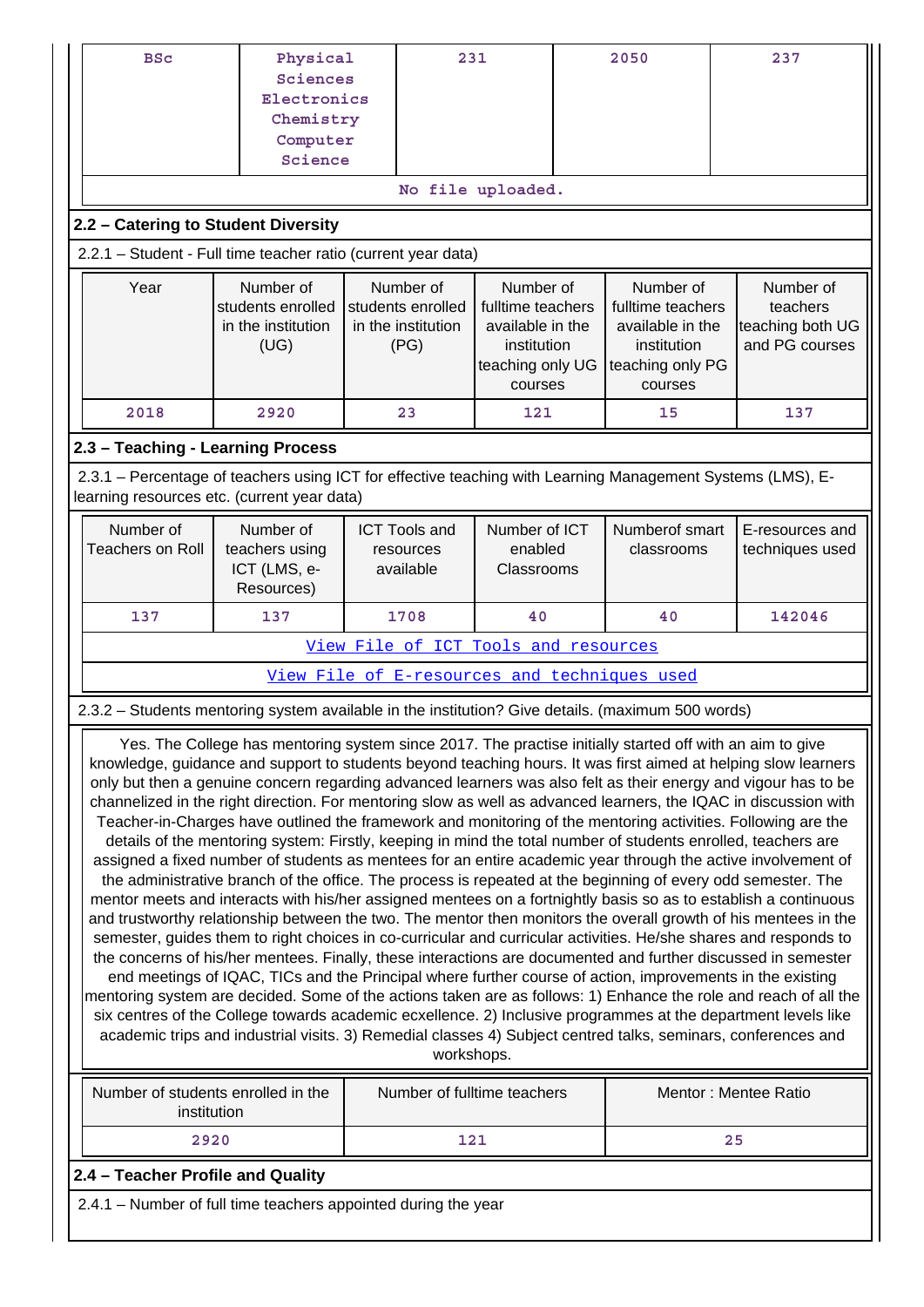| <b>BSc</b>                                                                                                                                                                                                                                                                                                                                                                                                                                                                                                                                                                                                                                                                                                                                                                                                                                                                                                                                                                                                                                                                                                                                                                                                                                                                                                                                                                                                                                                                                                                                                                                                                                                                                                                                                                                                                                                                                    | Physical<br>Sciences<br>Electronics<br>Chemistry<br>Computer<br>Science                                                                                                                                                          |  | 231                                                                                              |                                                             |  | 2050                                         | 237                                |  |
|-----------------------------------------------------------------------------------------------------------------------------------------------------------------------------------------------------------------------------------------------------------------------------------------------------------------------------------------------------------------------------------------------------------------------------------------------------------------------------------------------------------------------------------------------------------------------------------------------------------------------------------------------------------------------------------------------------------------------------------------------------------------------------------------------------------------------------------------------------------------------------------------------------------------------------------------------------------------------------------------------------------------------------------------------------------------------------------------------------------------------------------------------------------------------------------------------------------------------------------------------------------------------------------------------------------------------------------------------------------------------------------------------------------------------------------------------------------------------------------------------------------------------------------------------------------------------------------------------------------------------------------------------------------------------------------------------------------------------------------------------------------------------------------------------------------------------------------------------------------------------------------------------|----------------------------------------------------------------------------------------------------------------------------------------------------------------------------------------------------------------------------------|--|--------------------------------------------------------------------------------------------------|-------------------------------------------------------------|--|----------------------------------------------|------------------------------------|--|
|                                                                                                                                                                                                                                                                                                                                                                                                                                                                                                                                                                                                                                                                                                                                                                                                                                                                                                                                                                                                                                                                                                                                                                                                                                                                                                                                                                                                                                                                                                                                                                                                                                                                                                                                                                                                                                                                                               |                                                                                                                                                                                                                                  |  |                                                                                                  | No file uploaded.                                           |  |                                              |                                    |  |
| 2.2 - Catering to Student Diversity                                                                                                                                                                                                                                                                                                                                                                                                                                                                                                                                                                                                                                                                                                                                                                                                                                                                                                                                                                                                                                                                                                                                                                                                                                                                                                                                                                                                                                                                                                                                                                                                                                                                                                                                                                                                                                                           |                                                                                                                                                                                                                                  |  |                                                                                                  |                                                             |  |                                              |                                    |  |
| 2.2.1 - Student - Full time teacher ratio (current year data)                                                                                                                                                                                                                                                                                                                                                                                                                                                                                                                                                                                                                                                                                                                                                                                                                                                                                                                                                                                                                                                                                                                                                                                                                                                                                                                                                                                                                                                                                                                                                                                                                                                                                                                                                                                                                                 |                                                                                                                                                                                                                                  |  |                                                                                                  |                                                             |  |                                              |                                    |  |
| Year                                                                                                                                                                                                                                                                                                                                                                                                                                                                                                                                                                                                                                                                                                                                                                                                                                                                                                                                                                                                                                                                                                                                                                                                                                                                                                                                                                                                                                                                                                                                                                                                                                                                                                                                                                                                                                                                                          | Number of<br>Number of<br>Number of<br>students enrolled<br>students enrolled<br>fulltime teachers<br>in the institution<br>in the institution<br>available in the<br>(UG)<br>(PG)<br>institution<br>teaching only UG<br>courses |  | Number of<br>fulltime teachers<br>available in the<br>institution<br>teaching only PG<br>courses | Number of<br>teachers<br>teaching both UG<br>and PG courses |  |                                              |                                    |  |
| 2018                                                                                                                                                                                                                                                                                                                                                                                                                                                                                                                                                                                                                                                                                                                                                                                                                                                                                                                                                                                                                                                                                                                                                                                                                                                                                                                                                                                                                                                                                                                                                                                                                                                                                                                                                                                                                                                                                          | 2920                                                                                                                                                                                                                             |  | 23                                                                                               | 121                                                         |  | 15                                           | 137                                |  |
| 2.3 - Teaching - Learning Process                                                                                                                                                                                                                                                                                                                                                                                                                                                                                                                                                                                                                                                                                                                                                                                                                                                                                                                                                                                                                                                                                                                                                                                                                                                                                                                                                                                                                                                                                                                                                                                                                                                                                                                                                                                                                                                             |                                                                                                                                                                                                                                  |  |                                                                                                  |                                                             |  |                                              |                                    |  |
| 2.3.1 – Percentage of teachers using ICT for effective teaching with Learning Management Systems (LMS), E-<br>learning resources etc. (current year data)                                                                                                                                                                                                                                                                                                                                                                                                                                                                                                                                                                                                                                                                                                                                                                                                                                                                                                                                                                                                                                                                                                                                                                                                                                                                                                                                                                                                                                                                                                                                                                                                                                                                                                                                     |                                                                                                                                                                                                                                  |  |                                                                                                  |                                                             |  |                                              |                                    |  |
| Number of<br><b>Teachers on Roll</b>                                                                                                                                                                                                                                                                                                                                                                                                                                                                                                                                                                                                                                                                                                                                                                                                                                                                                                                                                                                                                                                                                                                                                                                                                                                                                                                                                                                                                                                                                                                                                                                                                                                                                                                                                                                                                                                          | Number of<br>teachers using<br>ICT (LMS, e-<br>Resources)                                                                                                                                                                        |  | <b>ICT Tools and</b><br>resources<br>available                                                   | Number of ICT<br>enabled<br>Classrooms                      |  | Numberof smart<br>classrooms                 | E-resources and<br>techniques used |  |
| 137                                                                                                                                                                                                                                                                                                                                                                                                                                                                                                                                                                                                                                                                                                                                                                                                                                                                                                                                                                                                                                                                                                                                                                                                                                                                                                                                                                                                                                                                                                                                                                                                                                                                                                                                                                                                                                                                                           | 137                                                                                                                                                                                                                              |  | 1708                                                                                             | 40                                                          |  | 40                                           | 142046                             |  |
|                                                                                                                                                                                                                                                                                                                                                                                                                                                                                                                                                                                                                                                                                                                                                                                                                                                                                                                                                                                                                                                                                                                                                                                                                                                                                                                                                                                                                                                                                                                                                                                                                                                                                                                                                                                                                                                                                               |                                                                                                                                                                                                                                  |  |                                                                                                  | View File of ICT Tools and resources                        |  |                                              |                                    |  |
|                                                                                                                                                                                                                                                                                                                                                                                                                                                                                                                                                                                                                                                                                                                                                                                                                                                                                                                                                                                                                                                                                                                                                                                                                                                                                                                                                                                                                                                                                                                                                                                                                                                                                                                                                                                                                                                                                               |                                                                                                                                                                                                                                  |  |                                                                                                  |                                                             |  | View File of E-resources and techniques used |                                    |  |
| 2.3.2 - Students mentoring system available in the institution? Give details. (maximum 500 words)                                                                                                                                                                                                                                                                                                                                                                                                                                                                                                                                                                                                                                                                                                                                                                                                                                                                                                                                                                                                                                                                                                                                                                                                                                                                                                                                                                                                                                                                                                                                                                                                                                                                                                                                                                                             |                                                                                                                                                                                                                                  |  |                                                                                                  |                                                             |  |                                              |                                    |  |
| Yes. The College has mentoring system since 2017. The practise initially started off with an aim to give<br>knowledge, guidance and support to students beyond teaching hours. It was first aimed at helping slow learners<br>only but then a genuine concern regarding advanced learners was also felt as their energy and vigour has to be<br>channelized in the right direction. For mentoring slow as well as advanced learners, the IQAC in discussion with<br>Teacher-in-Charges have outlined the framework and monitoring of the mentoring activities. Following are the<br>details of the mentoring system: Firstly, keeping in mind the total number of students enrolled, teachers are<br>assigned a fixed number of students as mentees for an entire academic year through the active involvement of<br>the administrative branch of the office. The process is repeated at the beginning of every odd semester. The<br>mentor meets and interacts with his/her assigned mentees on a fortnightly basis so as to establish a continuous<br>and trustworthy relationship between the two. The mentor then monitors the overall growth of his mentees in the<br>semester, guides them to right choices in co-curricular and curricular activities. He/she shares and responds to<br>the concerns of his/her mentees. Finally, these interactions are documented and further discussed in semester<br>end meetings of IQAC, TICs and the Principal where further course of action, improvements in the existing<br>mentoring system are decided. Some of the actions taken are as follows: 1) Enhance the role and reach of all the<br>six centres of the College towards academic ecxellence. 2) Inclusive programmes at the department levels like<br>academic trips and industrial visits. 3) Remedial classes 4) Subject centred talks, seminars, conferences and<br>workshops. |                                                                                                                                                                                                                                  |  |                                                                                                  |                                                             |  |                                              |                                    |  |
| Number of students enrolled in the<br>institution                                                                                                                                                                                                                                                                                                                                                                                                                                                                                                                                                                                                                                                                                                                                                                                                                                                                                                                                                                                                                                                                                                                                                                                                                                                                                                                                                                                                                                                                                                                                                                                                                                                                                                                                                                                                                                             |                                                                                                                                                                                                                                  |  |                                                                                                  | Number of fulltime teachers                                 |  |                                              | Mentor: Mentee Ratio               |  |
| 2920                                                                                                                                                                                                                                                                                                                                                                                                                                                                                                                                                                                                                                                                                                                                                                                                                                                                                                                                                                                                                                                                                                                                                                                                                                                                                                                                                                                                                                                                                                                                                                                                                                                                                                                                                                                                                                                                                          |                                                                                                                                                                                                                                  |  | 121                                                                                              |                                                             |  |                                              | 25                                 |  |
| 2.4 - Teacher Profile and Quality                                                                                                                                                                                                                                                                                                                                                                                                                                                                                                                                                                                                                                                                                                                                                                                                                                                                                                                                                                                                                                                                                                                                                                                                                                                                                                                                                                                                                                                                                                                                                                                                                                                                                                                                                                                                                                                             |                                                                                                                                                                                                                                  |  |                                                                                                  |                                                             |  |                                              |                                    |  |
|                                                                                                                                                                                                                                                                                                                                                                                                                                                                                                                                                                                                                                                                                                                                                                                                                                                                                                                                                                                                                                                                                                                                                                                                                                                                                                                                                                                                                                                                                                                                                                                                                                                                                                                                                                                                                                                                                               | 2.4.1 – Number of full time teachers appointed during the year                                                                                                                                                                   |  |                                                                                                  |                                                             |  |                                              |                                    |  |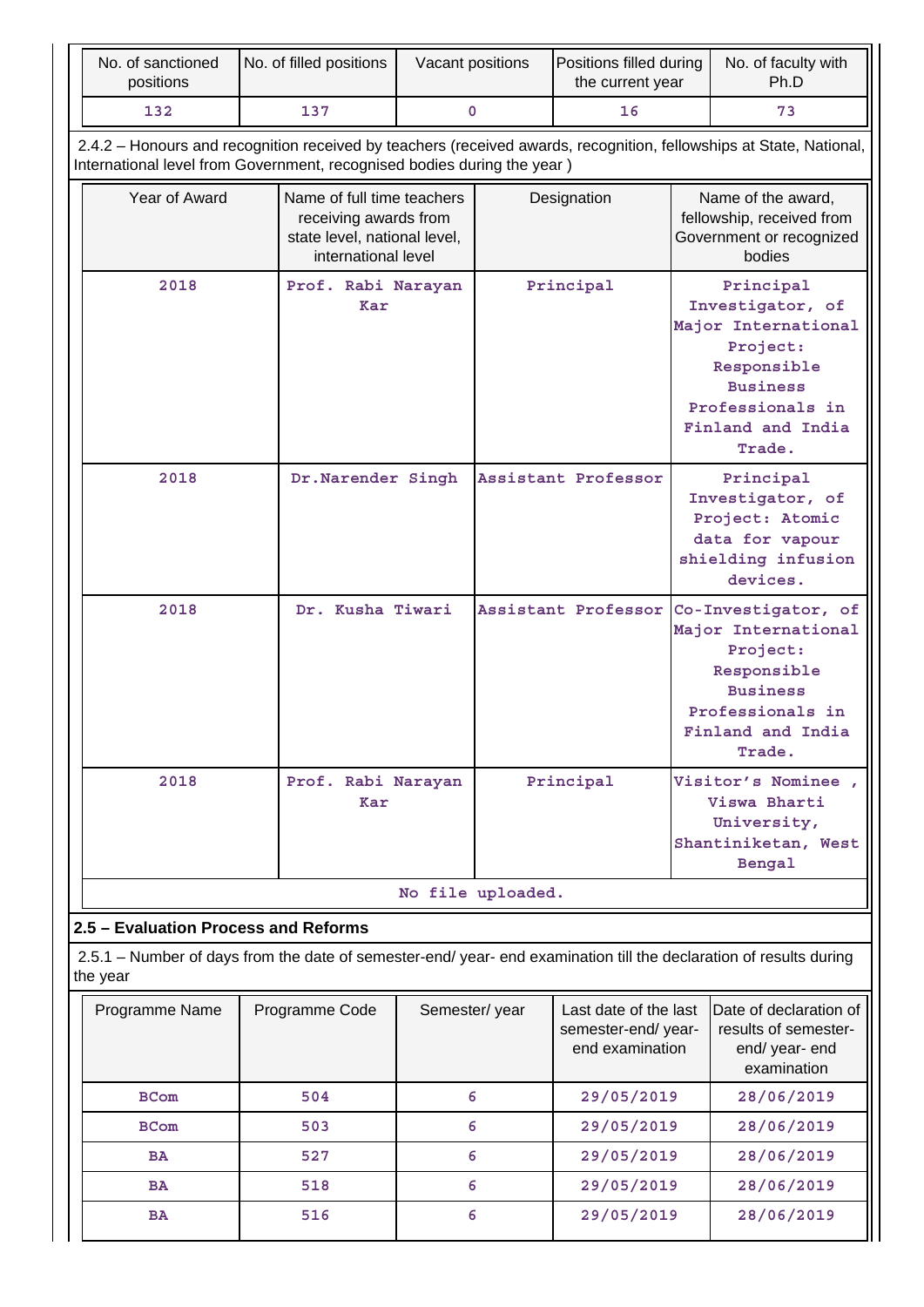| No. of sanctioned<br>positions                                                                                                 | No. of filled positions                                                                                    | Vacant positions |                   | Positions filled during<br>the current year                    |                                                                                                                                                       | No. of faculty with<br>Ph.D                                                                                         |
|--------------------------------------------------------------------------------------------------------------------------------|------------------------------------------------------------------------------------------------------------|------------------|-------------------|----------------------------------------------------------------|-------------------------------------------------------------------------------------------------------------------------------------------------------|---------------------------------------------------------------------------------------------------------------------|
| 132                                                                                                                            | 137<br>0                                                                                                   |                  | 16                |                                                                | 73                                                                                                                                                    |                                                                                                                     |
| International level from Government, recognised bodies during the year)                                                        |                                                                                                            |                  |                   |                                                                |                                                                                                                                                       | 2.4.2 - Honours and recognition received by teachers (received awards, recognition, fellowships at State, National, |
| Year of Award                                                                                                                  | Name of full time teachers<br>receiving awards from<br>state level, national level,<br>international level |                  |                   | Designation                                                    |                                                                                                                                                       | Name of the award,<br>fellowship, received from<br>Government or recognized<br>bodies                               |
| 2018                                                                                                                           | Prof. Rabi Narayan<br>Kar                                                                                  |                  |                   | Principal                                                      | Principal<br>Investigator, of<br>Major International<br>Project:<br>Responsible<br><b>Business</b><br>Professionals in<br>Finland and India<br>Trade. |                                                                                                                     |
| 2018                                                                                                                           | Dr. Narender Singh                                                                                         |                  |                   | Assistant Professor                                            | Principal<br>Investigator, of<br>Project: Atomic<br>data for vapour<br>shielding infusion<br>devices.                                                 |                                                                                                                     |
| 2018                                                                                                                           | Dr. Kusha Tiwari                                                                                           |                  |                   | Assistant Professor                                            | Co-Investigator, of<br>Major International<br>Project:<br>Responsible<br><b>Business</b><br>Professionals in<br>Finland and India<br>Trade.           |                                                                                                                     |
| 2018                                                                                                                           | Prof. Rabi Narayan<br>Kar                                                                                  |                  |                   | Principal                                                      |                                                                                                                                                       | Visitor's Nominee,<br>Viswa Bharti<br>University,<br>Shantiniketan, West<br>Bengal                                  |
|                                                                                                                                |                                                                                                            |                  | No file uploaded. |                                                                |                                                                                                                                                       |                                                                                                                     |
| 2.5 - Evaluation Process and Reforms                                                                                           |                                                                                                            |                  |                   |                                                                |                                                                                                                                                       |                                                                                                                     |
| 2.5.1 – Number of days from the date of semester-end/ year- end examination till the declaration of results during<br>the year |                                                                                                            |                  |                   |                                                                |                                                                                                                                                       |                                                                                                                     |
| Programme Name                                                                                                                 | Programme Code                                                                                             | Semester/year    |                   | Last date of the last<br>semester-end/year-<br>end examination |                                                                                                                                                       | Date of declaration of<br>results of semester-<br>end/ year- end<br>examination                                     |
| <b>BCom</b>                                                                                                                    | 504                                                                                                        |                  | 6                 | 29/05/2019                                                     |                                                                                                                                                       | 28/06/2019                                                                                                          |
| <b>BCom</b>                                                                                                                    | 503                                                                                                        | 6                |                   | 29/05/2019                                                     |                                                                                                                                                       | 28/06/2019                                                                                                          |
| <b>BA</b>                                                                                                                      | 527                                                                                                        |                  | 6                 | 29/05/2019                                                     |                                                                                                                                                       | 28/06/2019                                                                                                          |
| <b>BA</b>                                                                                                                      | 518                                                                                                        |                  | 6                 | 29/05/2019                                                     |                                                                                                                                                       | 28/06/2019                                                                                                          |
| <b>BA</b>                                                                                                                      | 516                                                                                                        |                  | 6                 | 29/05/2019                                                     |                                                                                                                                                       | 28/06/2019                                                                                                          |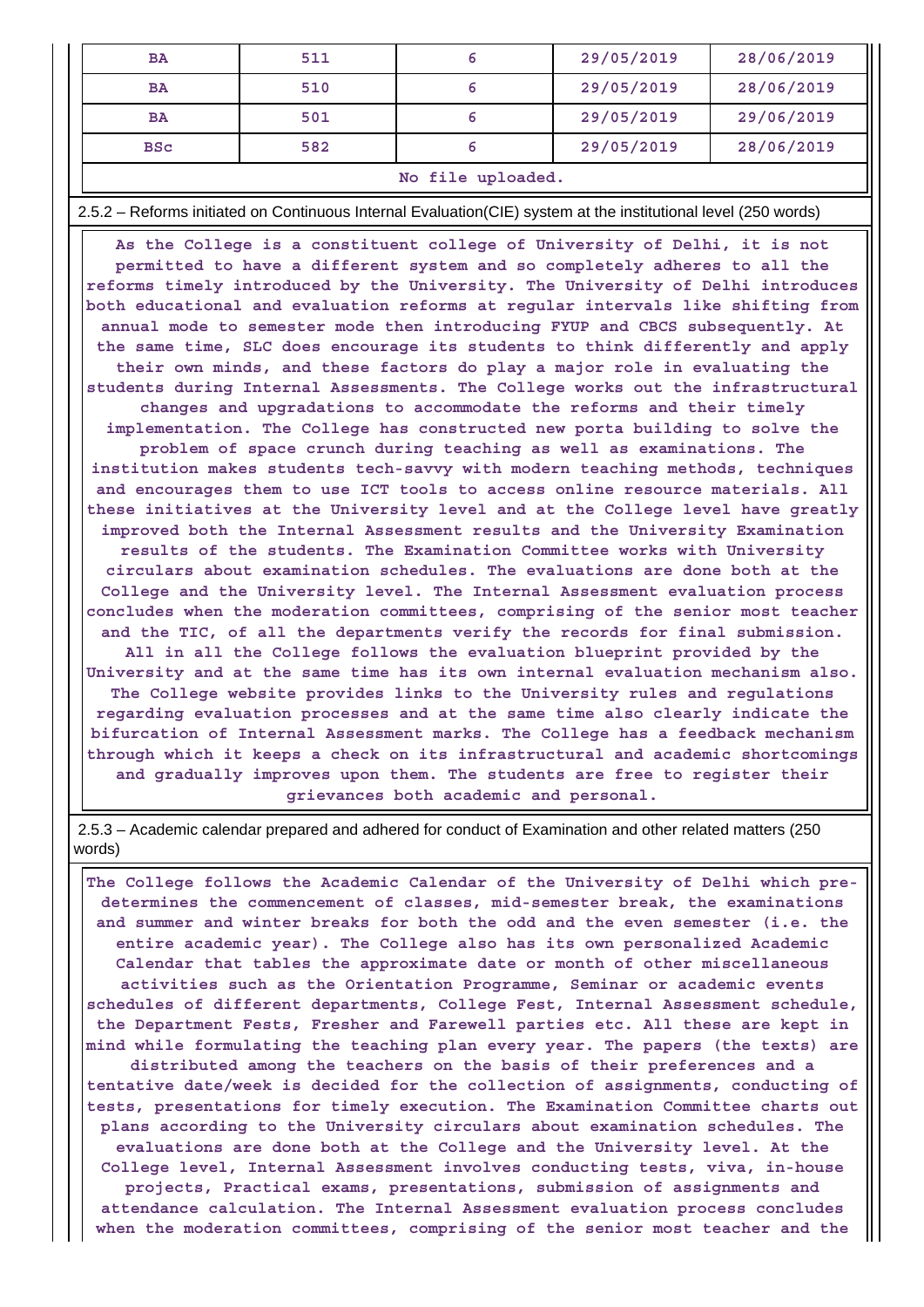| <b>BA</b>      | 511 |  | 29/05/2019 | 28/06/2019 |  |  |
|----------------|-----|--|------------|------------|--|--|
| <b>BA</b>      | 510 |  | 29/05/2019 | 28/06/2019 |  |  |
| <b>BA</b>      | 501 |  | 29/05/2019 | 29/06/2019 |  |  |
| <b>BSC</b>     | 582 |  | 29/05/2019 | 28/06/2019 |  |  |
| .<br>. .<br>-- |     |  |            |            |  |  |

#### **No file uploaded.**

2.5.2 – Reforms initiated on Continuous Internal Evaluation(CIE) system at the institutional level (250 words)

 **As the College is a constituent college of University of Delhi, it is not permitted to have a different system and so completely adheres to all the reforms timely introduced by the University. The University of Delhi introduces both educational and evaluation reforms at regular intervals like shifting from annual mode to semester mode then introducing FYUP and CBCS subsequently. At the same time, SLC does encourage its students to think differently and apply their own minds, and these factors do play a major role in evaluating the students during Internal Assessments. The College works out the infrastructural changes and upgradations to accommodate the reforms and their timely implementation. The College has constructed new porta building to solve the problem of space crunch during teaching as well as examinations. The institution makes students tech-savvy with modern teaching methods, techniques and encourages them to use ICT tools to access online resource materials. All these initiatives at the University level and at the College level have greatly improved both the Internal Assessment results and the University Examination results of the students. The Examination Committee works with University circulars about examination schedules. The evaluations are done both at the College and the University level. The Internal Assessment evaluation process concludes when the moderation committees, comprising of the senior most teacher and the TIC, of all the departments verify the records for final submission. All in all the College follows the evaluation blueprint provided by the University and at the same time has its own internal evaluation mechanism also. The College website provides links to the University rules and regulations regarding evaluation processes and at the same time also clearly indicate the bifurcation of Internal Assessment marks. The College has a feedback mechanism through which it keeps a check on its infrastructural and academic shortcomings and gradually improves upon them. The students are free to register their grievances both academic and personal.**

 2.5.3 – Academic calendar prepared and adhered for conduct of Examination and other related matters (250 words)

 **The College follows the Academic Calendar of the University of Delhi which predetermines the commencement of classes, mid-semester break, the examinations and summer and winter breaks for both the odd and the even semester (i.e. the entire academic year). The College also has its own personalized Academic Calendar that tables the approximate date or month of other miscellaneous activities such as the Orientation Programme, Seminar or academic events schedules of different departments, College Fest, Internal Assessment schedule, the Department Fests, Fresher and Farewell parties etc. All these are kept in mind while formulating the teaching plan every year. The papers (the texts) are distributed among the teachers on the basis of their preferences and a tentative date/week is decided for the collection of assignments, conducting of tests, presentations for timely execution. The Examination Committee charts out plans according to the University circulars about examination schedules. The evaluations are done both at the College and the University level. At the College level, Internal Assessment involves conducting tests, viva, in-house projects, Practical exams, presentations, submission of assignments and attendance calculation. The Internal Assessment evaluation process concludes when the moderation committees, comprising of the senior most teacher and the**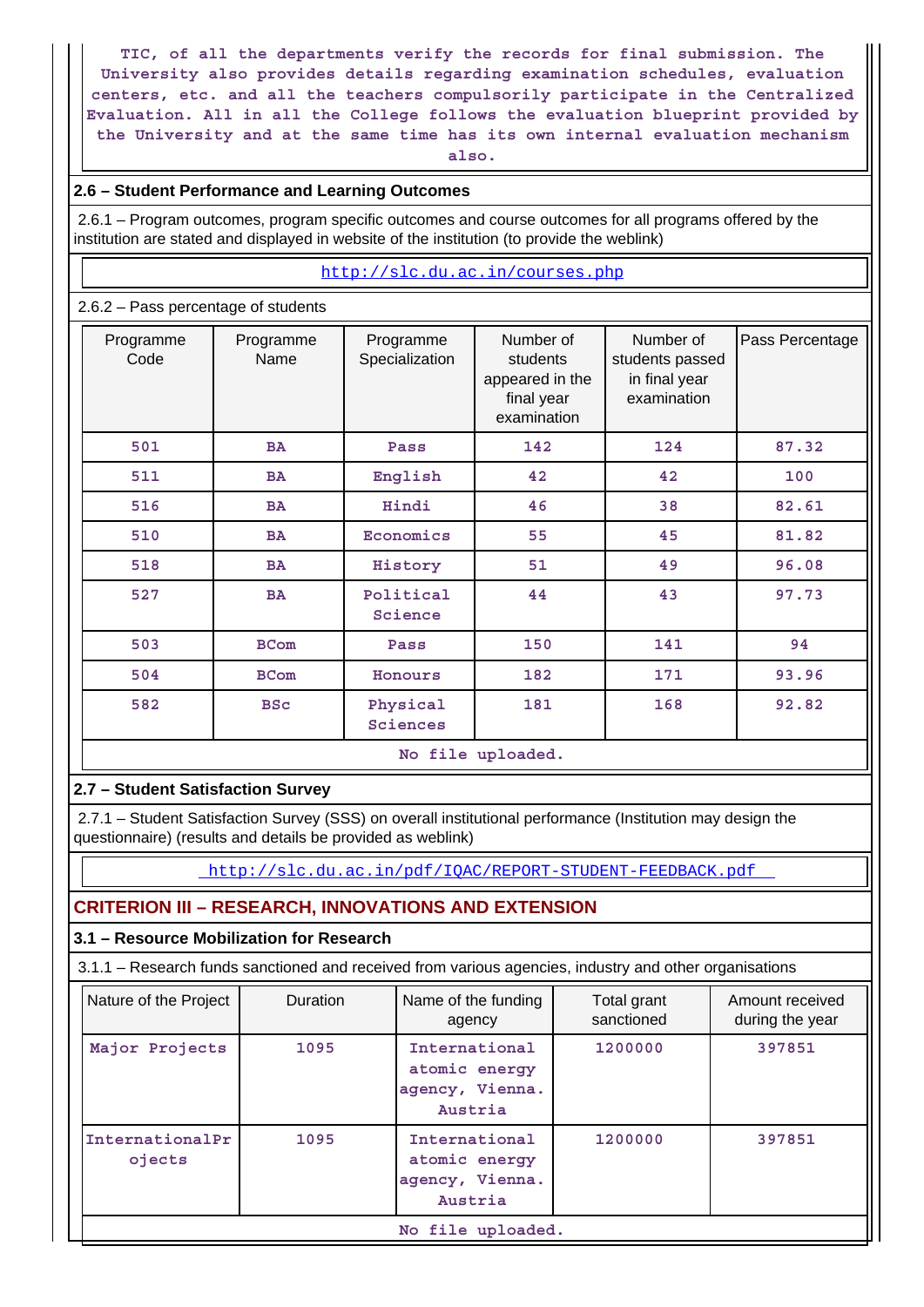**TIC, of all the departments verify the records for final submission. The University also provides details regarding examination schedules, evaluation centers, etc. and all the teachers compulsorily participate in the Centralized Evaluation. All in all the College follows the evaluation blueprint provided by the University and at the same time has its own internal evaluation mechanism also.**

## **2.6 – Student Performance and Learning Outcomes**

 2.6.1 – Program outcomes, program specific outcomes and course outcomes for all programs offered by the institution are stated and displayed in website of the institution (to provide the weblink)

#### <http://slc.du.ac.in/courses.php>

### 2.6.2 – Pass percentage of students

| Programme<br>Code | Programme<br>Name | Programme<br>Specialization | Number of<br>students<br>appeared in the<br>final year<br>examination | Number of<br>students passed<br>in final year<br>examination | Pass Percentage |  |  |  |  |
|-------------------|-------------------|-----------------------------|-----------------------------------------------------------------------|--------------------------------------------------------------|-----------------|--|--|--|--|
| 501               | <b>BA</b>         | Pass                        | 142                                                                   | 124                                                          | 87.32           |  |  |  |  |
| 511               | BA                | English                     | 42                                                                    | 42                                                           | 100             |  |  |  |  |
| 516               | <b>BA</b>         | Hindi                       | 46                                                                    | 38                                                           | 82.61           |  |  |  |  |
| 510               | <b>BA</b>         | Economics                   | 55                                                                    | 45                                                           | 81.82           |  |  |  |  |
| 518               | <b>BA</b>         | History                     | 51                                                                    | 49                                                           | 96.08           |  |  |  |  |
| 527               | <b>BA</b>         | Political<br>Science        | 44                                                                    | 43                                                           | 97.73           |  |  |  |  |
| 503               | <b>BCom</b>       | Pass                        | 150                                                                   | 141                                                          | 94              |  |  |  |  |
| 504               | <b>BCom</b>       | Honours                     | 182                                                                   | 171                                                          | 93.96           |  |  |  |  |
| 582               | <b>BSc</b>        | Physical<br>Sciences        | 181                                                                   | 168                                                          | 92.82           |  |  |  |  |
|                   | No file uploaded. |                             |                                                                       |                                                              |                 |  |  |  |  |

## **2.7 – Student Satisfaction Survey**

 2.7.1 – Student Satisfaction Survey (SSS) on overall institutional performance (Institution may design the questionnaire) (results and details be provided as weblink)

<http://slc.du.ac.in/pdf/IQAC/REPORT-STUDENT-FEEDBACK.pdf>

## **CRITERION III – RESEARCH, INNOVATIONS AND EXTENSION**

### **3.1 – Resource Mobilization for Research**

3.1.1 – Research funds sanctioned and received from various agencies, industry and other organisations

| Nature of the Project     | Duration | Name of the funding<br>agency                                | Total grant<br>sanctioned | Amount received<br>during the year |
|---------------------------|----------|--------------------------------------------------------------|---------------------------|------------------------------------|
| Major Projects            | 1095     | International<br>atomic energy<br>agency, Vienna.<br>Austria | 1200000                   | 397851                             |
| InternationalPr<br>ojects | 1095     | International<br>atomic energy<br>agency, Vienna.<br>Austria | 1200000                   | 397851                             |
|                           |          | No file uploaded.                                            |                           |                                    |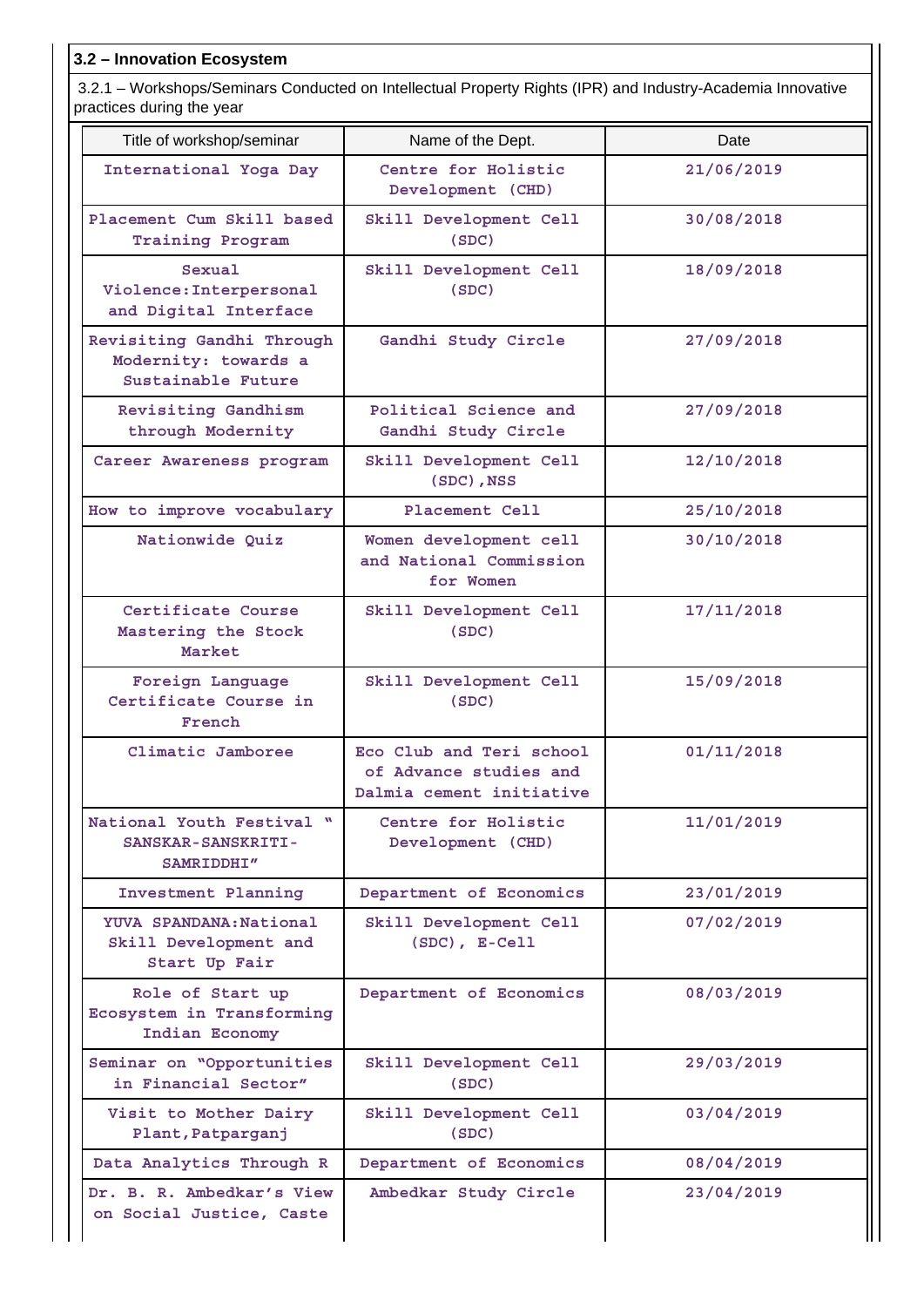## **3.2 – Innovation Ecosystem**

 3.2.1 – Workshops/Seminars Conducted on Intellectual Property Rights (IPR) and Industry-Academia Innovative practices during the year

| Title of workshop/seminar                                               | Name of the Dept.                                                              | Date       |
|-------------------------------------------------------------------------|--------------------------------------------------------------------------------|------------|
| International Yoga Day                                                  | Centre for Holistic<br>Development (CHD)                                       | 21/06/2019 |
| Placement Cum Skill based<br><b>Training Program</b>                    | Skill Development Cell<br>(SDC)                                                | 30/08/2018 |
| Sexual<br>Violence: Interpersonal<br>and Digital Interface              | Skill Development Cell<br>(SDC)                                                | 18/09/2018 |
| Revisiting Gandhi Through<br>Modernity: towards a<br>Sustainable Future | Gandhi Study Circle                                                            | 27/09/2018 |
| Revisiting Gandhism<br>through Modernity                                | Political Science and<br>Gandhi Study Circle                                   | 27/09/2018 |
| Career Awareness program                                                | Skill Development Cell<br>(SDC), NSS                                           | 12/10/2018 |
| How to improve vocabulary                                               | Placement Cell                                                                 | 25/10/2018 |
| Nationwide Quiz                                                         | Women development cell<br>and National Commission<br>for Women                 | 30/10/2018 |
| Certificate Course<br>Mastering the Stock<br>Market                     | Skill Development Cell<br>(SDC)                                                | 17/11/2018 |
| Foreign Language<br>Certificate Course in<br>French                     | Skill Development Cell<br>(SDC)                                                | 15/09/2018 |
| Climatic Jamboree                                                       | Eco Club and Teri school<br>of Advance studies and<br>Dalmia cement initiative | 01/11/2018 |
| National Youth Festival "<br>SANSKAR-SANSKRITI-<br>SAMRIDDHI"           | Centre for Holistic<br>Development (CHD)                                       | 11/01/2019 |
| Investment Planning                                                     | Department of Economics                                                        | 23/01/2019 |
| YUVA SPANDANA: National<br>Skill Development and<br>Start Up Fair       | Skill Development Cell<br>$(SDC)$ , $E-Cell$                                   | 07/02/2019 |
| Role of Start up<br>Ecosystem in Transforming<br>Indian Economy         | Department of Economics                                                        | 08/03/2019 |
| Seminar on "Opportunities<br>in Financial Sector"                       | Skill Development Cell<br>(SDC)                                                | 29/03/2019 |
| Visit to Mother Dairy<br>Plant, Patparganj                              | Skill Development Cell<br>(SDC)                                                | 03/04/2019 |
| Data Analytics Through R                                                | Department of Economics                                                        | 08/04/2019 |
| Dr. B. R. Ambedkar's View<br>on Social Justice, Caste                   | Ambedkar Study Circle                                                          | 23/04/2019 |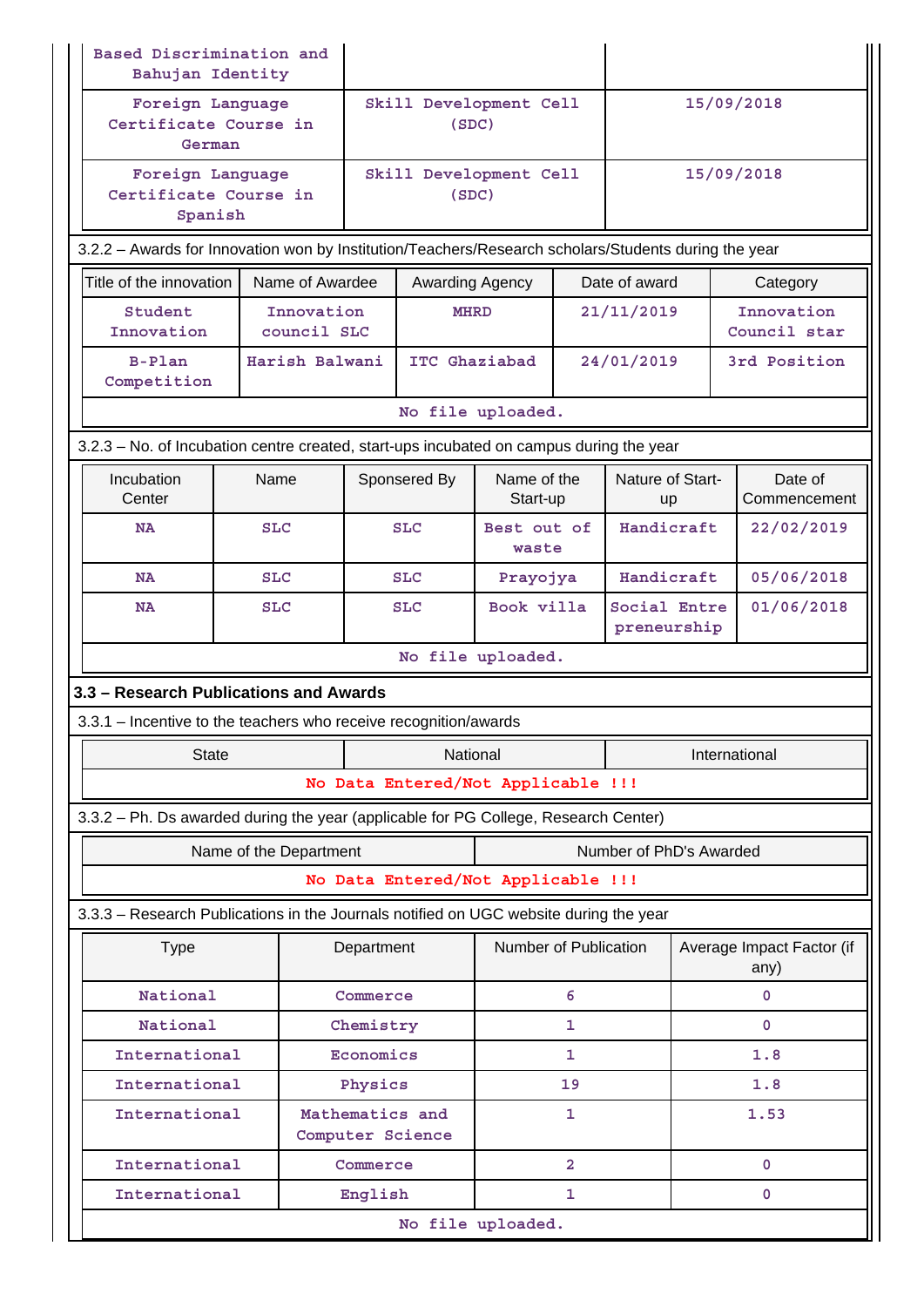|                      | Based Discrimination and<br>Bahujan Identity                                                         |            |                           |            |                                                                                         |                         |   |                             |          |                                   |  |
|----------------------|------------------------------------------------------------------------------------------------------|------------|---------------------------|------------|-----------------------------------------------------------------------------------------|-------------------------|---|-----------------------------|----------|-----------------------------------|--|
|                      | Foreign Language<br>Certificate Course in<br>German                                                  |            |                           |            | Skill Development Cell<br>(SDC)                                                         |                         |   |                             |          | 15/09/2018                        |  |
|                      | Foreign Language<br>Certificate Course in<br>Spanish                                                 |            |                           |            | Skill Development Cell<br>(SDC)                                                         |                         |   |                             |          | 15/09/2018                        |  |
|                      | 3.2.2 - Awards for Innovation won by Institution/Teachers/Research scholars/Students during the year |            |                           |            |                                                                                         |                         |   |                             |          |                                   |  |
|                      | Title of the innovation<br>Name of Awardee                                                           |            |                           |            | Awarding Agency                                                                         |                         |   | Date of award               | Category |                                   |  |
|                      | Student<br>Innovation                                                                                |            | Innovation<br>council SLC |            | <b>MHRD</b>                                                                             |                         |   | 21/11/2019                  |          | Innovation<br>Council star        |  |
|                      | $B-Plan$<br>Competition                                                                              |            | Harish Balwani            |            | ITC Ghaziabad                                                                           |                         |   | 24/01/2019                  |          | 3rd Position                      |  |
|                      |                                                                                                      |            |                           |            | No file uploaded.                                                                       |                         |   |                             |          |                                   |  |
|                      |                                                                                                      |            |                           |            | 3.2.3 - No. of Incubation centre created, start-ups incubated on campus during the year |                         |   |                             |          |                                   |  |
| Incubation<br>Center |                                                                                                      | Name       |                           |            | Sponsered By                                                                            | Name of the<br>Start-up |   | Nature of Start-<br>up      |          | Date of<br>Commencement           |  |
| <b>NA</b>            |                                                                                                      | <b>SLC</b> |                           |            | <b>SLC</b>                                                                              | Best out of<br>waste    |   | Handicraft                  |          | 22/02/2019                        |  |
| <b>NA</b>            |                                                                                                      | <b>SLC</b> |                           |            | <b>SLC</b>                                                                              | Prayojya                |   | Handicraft                  |          | 05/06/2018                        |  |
| <b>NA</b>            |                                                                                                      | <b>SLC</b> |                           |            | <b>SLC</b>                                                                              | Book villa              |   | Social Entre<br>preneurship |          | 01/06/2018                        |  |
|                      |                                                                                                      |            |                           |            | No file uploaded.                                                                       |                         |   |                             |          |                                   |  |
|                      | 3.3 - Research Publications and Awards                                                               |            |                           |            |                                                                                         |                         |   |                             |          |                                   |  |
|                      |                                                                                                      |            |                           |            | 3.3.1 – Incentive to the teachers who receive recognition/awards                        |                         |   |                             |          |                                   |  |
|                      | <b>State</b>                                                                                         |            |                           |            | National                                                                                |                         |   |                             |          | International                     |  |
|                      |                                                                                                      |            |                           |            | No Data Entered/Not Applicable !!!                                                      |                         |   |                             |          |                                   |  |
|                      |                                                                                                      |            |                           |            | 3.3.2 - Ph. Ds awarded during the year (applicable for PG College, Research Center)     |                         |   |                             |          |                                   |  |
|                      |                                                                                                      |            | Name of the Department    |            |                                                                                         |                         |   | Number of PhD's Awarded     |          |                                   |  |
|                      |                                                                                                      |            |                           |            | No Data Entered/Not Applicable !!!                                                      |                         |   |                             |          |                                   |  |
|                      |                                                                                                      |            |                           |            | 3.3.3 - Research Publications in the Journals notified on UGC website during the year   |                         |   |                             |          |                                   |  |
|                      | <b>Type</b>                                                                                          |            |                           | Department |                                                                                         | Number of Publication   |   |                             |          | Average Impact Factor (if<br>any) |  |
|                      | National                                                                                             |            |                           | Commerce   |                                                                                         |                         | 6 |                             |          | 0                                 |  |
|                      | National<br>Chemistry                                                                                |            |                           |            |                                                                                         | 1                       |   |                             | 0        |                                   |  |
|                      | International<br>Economics                                                                           |            |                           |            |                                                                                         | 1                       |   |                             | 1.8      |                                   |  |
|                      | International                                                                                        |            | Physics                   |            |                                                                                         | 19                      |   |                             | 1.8      |                                   |  |
|                      | International                                                                                        |            |                           |            | Mathematics and<br>Computer Science                                                     |                         | 1 |                             |          | 1.53                              |  |
|                      | International                                                                                        |            |                           | Commerce   |                                                                                         |                         | 2 |                             |          | $\mathbf{0}$                      |  |
|                      | International                                                                                        |            |                           | English    |                                                                                         |                         | 1 |                             |          | 0                                 |  |
|                      | No file uploaded.                                                                                    |            |                           |            |                                                                                         |                         |   |                             |          |                                   |  |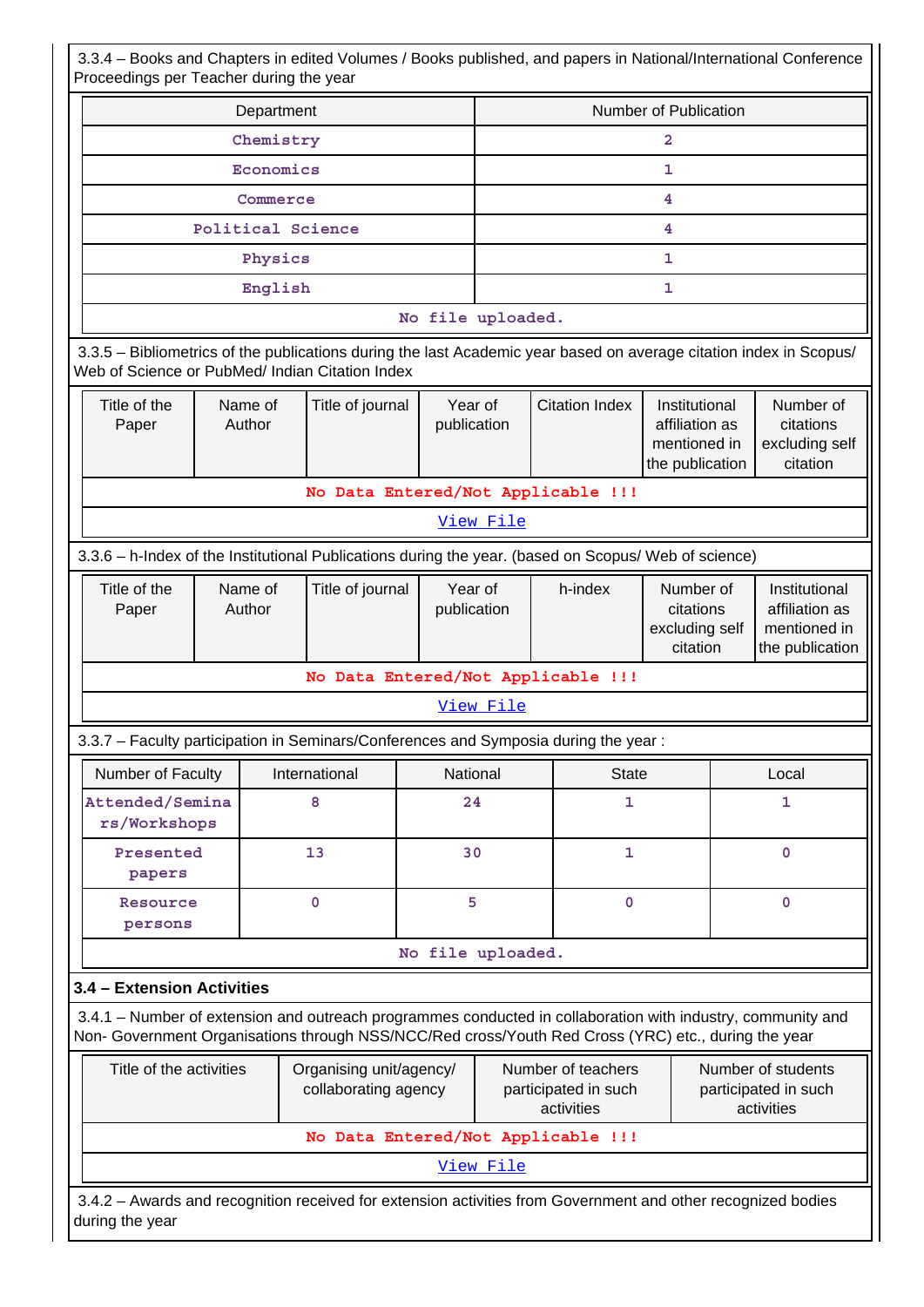3.3.4 – Books and Chapters in edited Volumes / Books published, and papers in National/International Conference Proceedings per Teacher during the year

| <b>The contract of the contract of the second to the second terms</b>                                                                                                                              |                                       |                                                                                                                                                                                                                    |                                                 |                       |                                                                    |                                                      |                                                                    |  |
|----------------------------------------------------------------------------------------------------------------------------------------------------------------------------------------------------|---------------------------------------|--------------------------------------------------------------------------------------------------------------------------------------------------------------------------------------------------------------------|-------------------------------------------------|-----------------------|--------------------------------------------------------------------|------------------------------------------------------|--------------------------------------------------------------------|--|
| Department                                                                                                                                                                                         |                                       |                                                                                                                                                                                                                    |                                                 | Number of Publication |                                                                    |                                                      |                                                                    |  |
|                                                                                                                                                                                                    |                                       | Chemistry                                                                                                                                                                                                          |                                                 |                       |                                                                    | 2                                                    |                                                                    |  |
| Economics                                                                                                                                                                                          |                                       |                                                                                                                                                                                                                    |                                                 |                       | 1                                                                  |                                                      |                                                                    |  |
|                                                                                                                                                                                                    |                                       | Commerce                                                                                                                                                                                                           |                                                 | 4                     |                                                                    |                                                      |                                                                    |  |
|                                                                                                                                                                                                    |                                       | Political Science                                                                                                                                                                                                  |                                                 |                       |                                                                    | 4                                                    |                                                                    |  |
|                                                                                                                                                                                                    |                                       | Physics                                                                                                                                                                                                            |                                                 | $\mathbf{1}$          |                                                                    |                                                      |                                                                    |  |
|                                                                                                                                                                                                    |                                       | English                                                                                                                                                                                                            |                                                 |                       |                                                                    | $\mathbf{1}$                                         |                                                                    |  |
|                                                                                                                                                                                                    |                                       |                                                                                                                                                                                                                    | No file uploaded.                               |                       |                                                                    |                                                      |                                                                    |  |
|                                                                                                                                                                                                    |                                       | 3.3.5 – Bibliometrics of the publications during the last Academic year based on average citation index in Scopus/<br>Web of Science or PubMed/ Indian Citation Index                                              |                                                 |                       |                                                                    |                                                      |                                                                    |  |
| Title of the<br>Paper                                                                                                                                                                              | Name of<br>Title of journal<br>Author |                                                                                                                                                                                                                    | Year of<br><b>Citation Index</b><br>publication |                       | Institutional<br>affiliation as<br>mentioned in<br>the publication | Number of<br>citations<br>excluding self<br>citation |                                                                    |  |
|                                                                                                                                                                                                    |                                       |                                                                                                                                                                                                                    |                                                 |                       | No Data Entered/Not Applicable !!!                                 |                                                      |                                                                    |  |
|                                                                                                                                                                                                    |                                       |                                                                                                                                                                                                                    |                                                 | View File             |                                                                    |                                                      |                                                                    |  |
|                                                                                                                                                                                                    |                                       | 3.3.6 - h-Index of the Institutional Publications during the year. (based on Scopus/ Web of science)                                                                                                               |                                                 |                       |                                                                    |                                                      |                                                                    |  |
| Title of the<br>Paper                                                                                                                                                                              | Name of<br>Title of journal<br>Author |                                                                                                                                                                                                                    | Year of<br>publication                          |                       | h-index                                                            | Number of<br>citations<br>excluding self<br>citation | Institutional<br>affiliation as<br>mentioned in<br>the publication |  |
|                                                                                                                                                                                                    |                                       |                                                                                                                                                                                                                    |                                                 |                       | No Data Entered/Not Applicable !!!                                 |                                                      |                                                                    |  |
|                                                                                                                                                                                                    |                                       |                                                                                                                                                                                                                    |                                                 | View File             |                                                                    |                                                      |                                                                    |  |
|                                                                                                                                                                                                    |                                       | 3.3.7 - Faculty participation in Seminars/Conferences and Symposia during the year:                                                                                                                                |                                                 |                       |                                                                    |                                                      |                                                                    |  |
| Number of Faculty                                                                                                                                                                                  |                                       | International                                                                                                                                                                                                      |                                                 | National              | <b>State</b>                                                       | Local                                                |                                                                    |  |
| Attended/Semina<br>rs/Workshops                                                                                                                                                                    |                                       | 8                                                                                                                                                                                                                  | 24                                              |                       | 1                                                                  | 1                                                    |                                                                    |  |
| Presented<br>papers                                                                                                                                                                                |                                       | 13                                                                                                                                                                                                                 | 30                                              |                       | 1                                                                  |                                                      | $\mathbf 0$                                                        |  |
| Resource<br>persons                                                                                                                                                                                |                                       | $\mathbf 0$                                                                                                                                                                                                        |                                                 | 5                     | $\mathbf 0$                                                        |                                                      | $\mathbf 0$                                                        |  |
|                                                                                                                                                                                                    |                                       |                                                                                                                                                                                                                    | No file uploaded.                               |                       |                                                                    |                                                      |                                                                    |  |
| 3.4 - Extension Activities                                                                                                                                                                         |                                       |                                                                                                                                                                                                                    |                                                 |                       |                                                                    |                                                      |                                                                    |  |
|                                                                                                                                                                                                    |                                       | 3.4.1 – Number of extension and outreach programmes conducted in collaboration with industry, community and<br>Non- Government Organisations through NSS/NCC/Red cross/Youth Red Cross (YRC) etc., during the year |                                                 |                       |                                                                    |                                                      |                                                                    |  |
| Title of the activities<br>Organising unit/agency/<br>Number of teachers<br>Number of students<br>collaborating agency<br>participated in such<br>participated in such<br>activities<br>activities |                                       |                                                                                                                                                                                                                    |                                                 |                       |                                                                    |                                                      |                                                                    |  |
|                                                                                                                                                                                                    |                                       |                                                                                                                                                                                                                    |                                                 |                       | No Data Entered/Not Applicable !!!                                 |                                                      |                                                                    |  |
|                                                                                                                                                                                                    |                                       |                                                                                                                                                                                                                    |                                                 | View File             |                                                                    |                                                      |                                                                    |  |
| during the year                                                                                                                                                                                    |                                       | 3.4.2 - Awards and recognition received for extension activities from Government and other recognized bodies                                                                                                       |                                                 |                       |                                                                    |                                                      |                                                                    |  |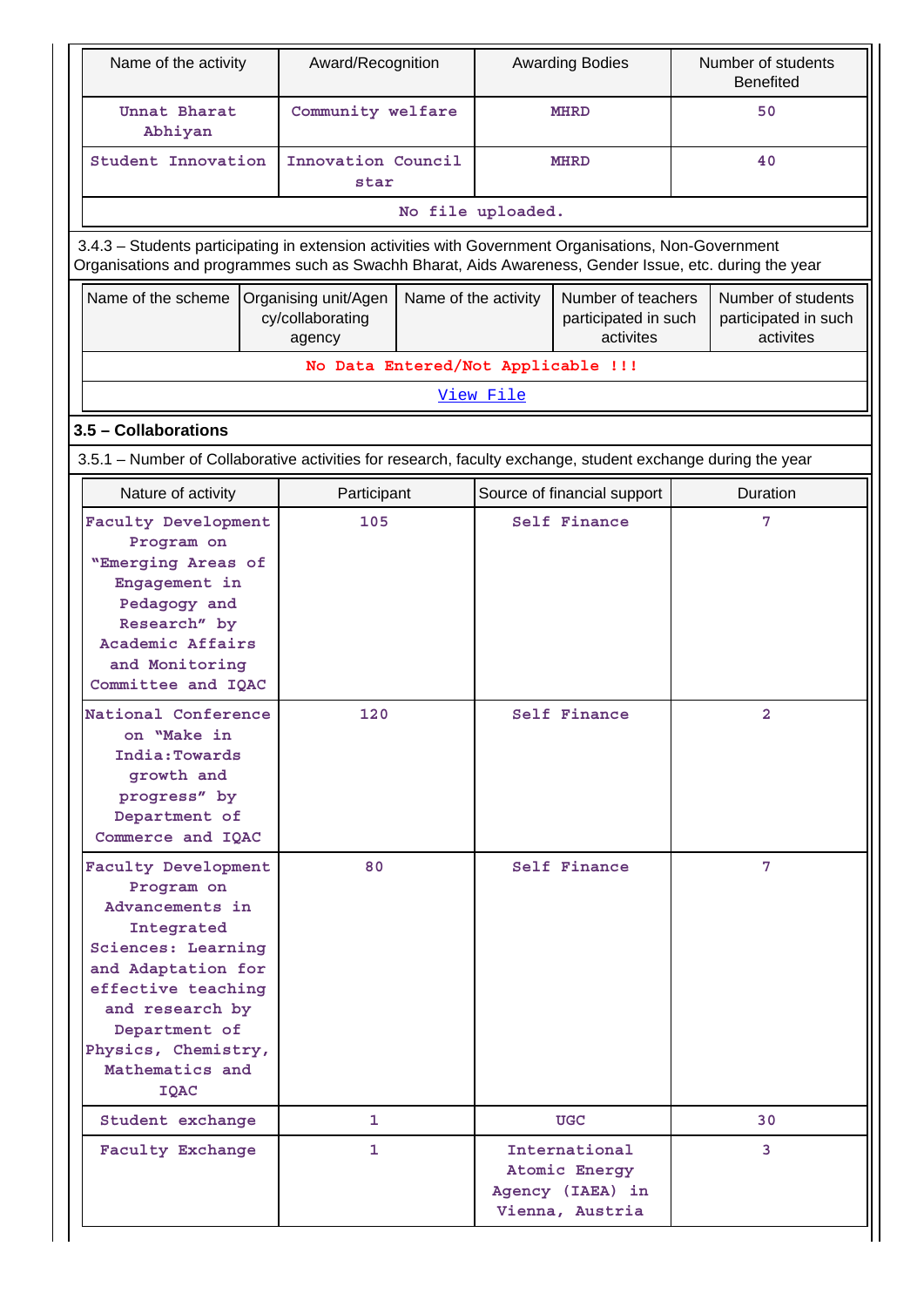| Name of the activity                                                                                                                                                                                                       | Award/Recognition                                  |                                     | <b>Awarding Bodies</b> |                                                                       | Number of students<br><b>Benefited</b> |                                                         |  |  |
|----------------------------------------------------------------------------------------------------------------------------------------------------------------------------------------------------------------------------|----------------------------------------------------|-------------------------------------|------------------------|-----------------------------------------------------------------------|----------------------------------------|---------------------------------------------------------|--|--|
| Unnat Bharat<br>Abhiyan                                                                                                                                                                                                    | Community welfare                                  |                                     |                        | <b>MHRD</b>                                                           |                                        | 50                                                      |  |  |
| Student Innovation                                                                                                                                                                                                         | Innovation Council<br>star                         |                                     | 40<br><b>MHRD</b>      |                                                                       |                                        |                                                         |  |  |
|                                                                                                                                                                                                                            |                                                    |                                     | No file uploaded.      |                                                                       |                                        |                                                         |  |  |
| 3.4.3 - Students participating in extension activities with Government Organisations, Non-Government<br>Organisations and programmes such as Swachh Bharat, Aids Awareness, Gender Issue, etc. during the year             |                                                    |                                     |                        |                                                                       |                                        |                                                         |  |  |
| Name of the scheme                                                                                                                                                                                                         | Organising unit/Agen<br>cy/collaborating<br>agency | Name of the activity                |                        | Number of teachers<br>participated in such<br>activites               |                                        | Number of students<br>participated in such<br>activites |  |  |
|                                                                                                                                                                                                                            | No Data Entered/Not Applicable !!!                 |                                     |                        |                                                                       |                                        |                                                         |  |  |
|                                                                                                                                                                                                                            |                                                    |                                     | View File              |                                                                       |                                        |                                                         |  |  |
| 3.5 - Collaborations                                                                                                                                                                                                       |                                                    |                                     |                        |                                                                       |                                        |                                                         |  |  |
| 3.5.1 - Number of Collaborative activities for research, faculty exchange, student exchange during the year                                                                                                                |                                                    |                                     |                        |                                                                       |                                        |                                                         |  |  |
| Nature of activity                                                                                                                                                                                                         | Participant                                        |                                     |                        | Source of financial support                                           |                                        | Duration                                                |  |  |
| Faculty Development<br>Program on<br>"Emerging Areas of<br>Engagement in<br>Pedagogy and<br>Research" by<br>Academic Affairs<br>and Monitoring<br>Committee and IQAC<br>National Conference                                | 120                                                | 105<br>Self Finance<br>Self Finance |                        | $\overline{2}$                                                        |                                        |                                                         |  |  |
| on "Make in<br>India: Towards<br>qrowth and<br>progress" by<br>Department of<br>Commerce and IQAC                                                                                                                          |                                                    |                                     |                        |                                                                       |                                        |                                                         |  |  |
| Faculty Development<br>Program on<br>Advancements in<br>Integrated<br>Sciences: Learning<br>and Adaptation for<br>effective teaching<br>and research by<br>Department of<br>Physics, Chemistry,<br>Mathematics and<br>IQAC | Self Finance<br>80                                 |                                     | 7                      |                                                                       |                                        |                                                         |  |  |
| Student exchange                                                                                                                                                                                                           | 1                                                  |                                     |                        | <b>UGC</b>                                                            |                                        | 30                                                      |  |  |
| <b>Faculty Exchange</b><br>1                                                                                                                                                                                               |                                                    |                                     |                        | International<br>Atomic Energy<br>Agency (IAEA) in<br>Vienna, Austria |                                        | 3                                                       |  |  |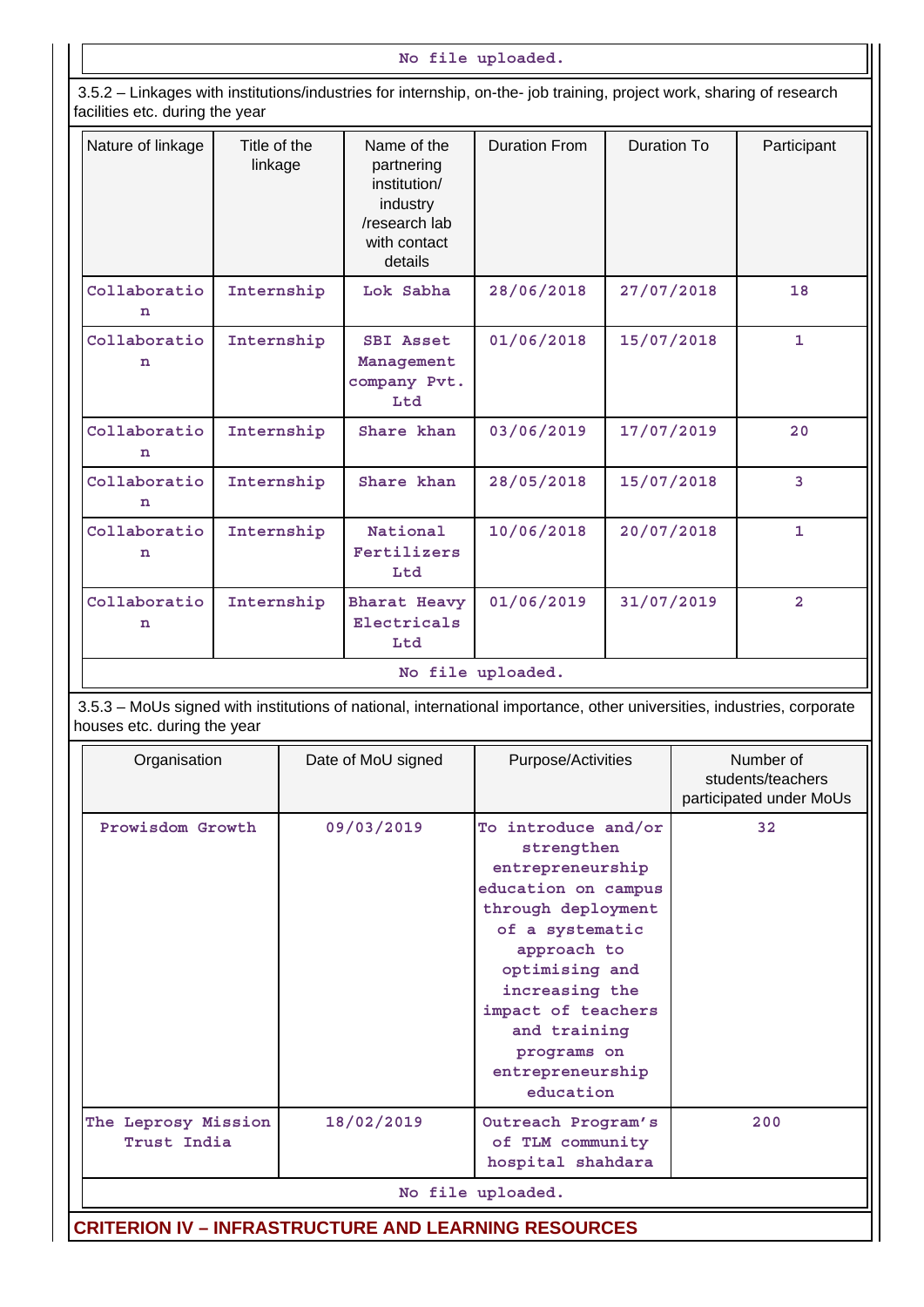### **No file uploaded.**

 3.5.2 – Linkages with institutions/industries for internship, on-the- job training, project work, sharing of research facilities etc. during the year

| Nature of linkage           | Title of the<br>linkage                                                                                                | Name of the<br>partnering<br>institution/<br>industry<br>/research lab<br>with contact<br>details | <b>Duration From</b> | Duration To | Participant    |  |  |  |
|-----------------------------|------------------------------------------------------------------------------------------------------------------------|---------------------------------------------------------------------------------------------------|----------------------|-------------|----------------|--|--|--|
| Collaboratio<br>n           | Internship                                                                                                             | Lok Sabha                                                                                         | 28/06/2018           | 27/07/2018  | 18             |  |  |  |
| Collaboratio<br>n           | Internship                                                                                                             | <b>SBI Asset</b><br>Management<br>company Pvt.<br>Ltd                                             | 01/06/2018           | 15/07/2018  | $\mathbf{1}$   |  |  |  |
| Collaboratio<br>n           | Internship                                                                                                             | Share khan                                                                                        | 03/06/2019           | 17/07/2019  | 20             |  |  |  |
| Collaboratio<br>n           | Internship                                                                                                             | Share khan                                                                                        | 28/05/2018           | 15/07/2018  | 3              |  |  |  |
| Collaboratio<br>n           | Internship                                                                                                             | National<br>Fertilizers<br>Ltd                                                                    | 10/06/2018           | 20/07/2018  | $\mathbf{1}$   |  |  |  |
| Collaboratio<br>n           | Internship                                                                                                             | <b>Bharat Heavy</b><br>Electricals<br>Ltd                                                         | 01/06/2019           | 31/07/2019  | $\overline{2}$ |  |  |  |
| No file uploaded.           |                                                                                                                        |                                                                                                   |                      |             |                |  |  |  |
| houses etc. during the year | 3.5.3 - MoUs signed with institutions of national, international importance, other universities, industries, corporate |                                                                                                   |                      |             |                |  |  |  |
|                             |                                                                                                                        |                                                                                                   |                      |             |                |  |  |  |

| Organisation                       | Date of MoU signed | Purpose/Activities                                                                                                                                                                                                                                             | Number of<br>students/teachers<br>participated under MoUs |
|------------------------------------|--------------------|----------------------------------------------------------------------------------------------------------------------------------------------------------------------------------------------------------------------------------------------------------------|-----------------------------------------------------------|
| Prowisdom Growth                   | 09/03/2019         | To introduce and/or<br>strengthen<br>entrepreneurship<br>education on campus<br>through deployment<br>of a systematic<br>approach to<br>optimising and<br>increasing the<br>impact of teachers<br>and training<br>programs on<br>entrepreneurship<br>education | 32                                                        |
| The Leprosy Mission<br>Trust India | 18/02/2019         | Outreach Program's<br>of TLM community<br>hospital shahdara                                                                                                                                                                                                    | 200                                                       |
|                                    |                    | No file uploaded.                                                                                                                                                                                                                                              |                                                           |

**CRITERION IV – INFRASTRUCTURE AND LEARNING RESOURCES**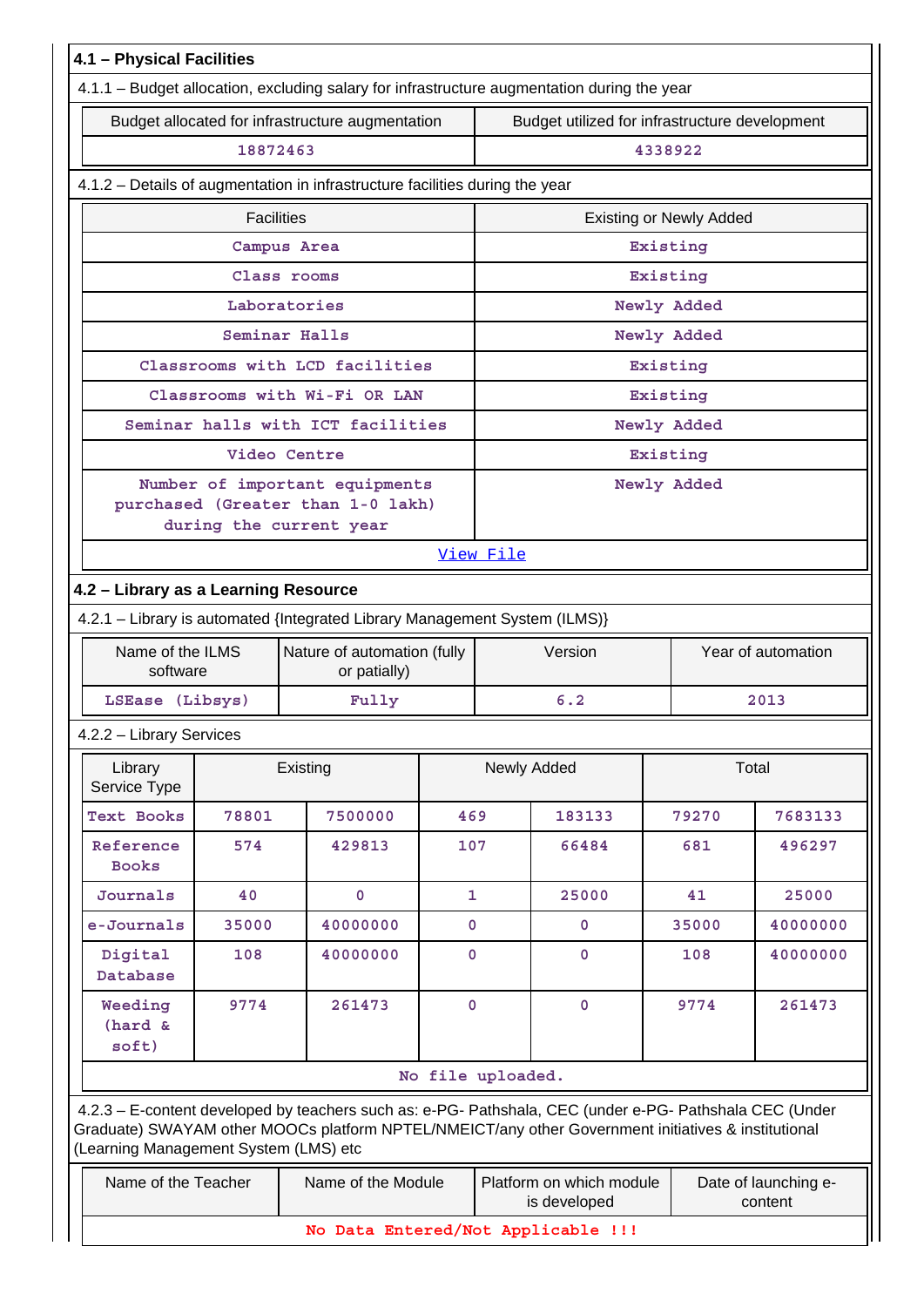| 4.1 - Physical Facilities                                                                   |                                                                             |                                                                                                                                                                                                                |                   |                                                                             |                                                |                    |          |  |  |
|---------------------------------------------------------------------------------------------|-----------------------------------------------------------------------------|----------------------------------------------------------------------------------------------------------------------------------------------------------------------------------------------------------------|-------------------|-----------------------------------------------------------------------------|------------------------------------------------|--------------------|----------|--|--|
| 4.1.1 - Budget allocation, excluding salary for infrastructure augmentation during the year |                                                                             |                                                                                                                                                                                                                |                   |                                                                             |                                                |                    |          |  |  |
| Budget allocated for infrastructure augmentation                                            |                                                                             |                                                                                                                                                                                                                |                   |                                                                             | Budget utilized for infrastructure development |                    |          |  |  |
|                                                                                             | 18872463                                                                    |                                                                                                                                                                                                                |                   |                                                                             | 4338922                                        |                    |          |  |  |
| 4.1.2 - Details of augmentation in infrastructure facilities during the year                |                                                                             |                                                                                                                                                                                                                |                   |                                                                             |                                                |                    |          |  |  |
|                                                                                             | <b>Facilities</b>                                                           |                                                                                                                                                                                                                |                   | <b>Existing or Newly Added</b>                                              |                                                |                    |          |  |  |
|                                                                                             |                                                                             | Campus Area                                                                                                                                                                                                    |                   | Existing                                                                    |                                                |                    |          |  |  |
|                                                                                             |                                                                             | Class rooms                                                                                                                                                                                                    |                   | Existing                                                                    |                                                |                    |          |  |  |
|                                                                                             |                                                                             | Laboratories                                                                                                                                                                                                   |                   | Newly Added                                                                 |                                                |                    |          |  |  |
|                                                                                             |                                                                             | Seminar Halls                                                                                                                                                                                                  |                   | Newly Added                                                                 |                                                |                    |          |  |  |
|                                                                                             | Classrooms with LCD facilities                                              |                                                                                                                                                                                                                |                   |                                                                             |                                                | Existing           |          |  |  |
| Classrooms with Wi-Fi OR LAN                                                                |                                                                             |                                                                                                                                                                                                                |                   |                                                                             | Existing                                       |                    |          |  |  |
| Seminar halls with ICT facilities                                                           |                                                                             |                                                                                                                                                                                                                |                   |                                                                             | Newly Added                                    |                    |          |  |  |
| Video Centre                                                                                |                                                                             |                                                                                                                                                                                                                |                   |                                                                             |                                                | Existing           |          |  |  |
| Number of important equipments<br>purchased (Greater than 1-0 lakh)                         |                                                                             |                                                                                                                                                                                                                |                   |                                                                             |                                                | Newly Added        |          |  |  |
|                                                                                             | during the current year                                                     |                                                                                                                                                                                                                |                   |                                                                             |                                                |                    |          |  |  |
| View File                                                                                   |                                                                             |                                                                                                                                                                                                                |                   |                                                                             |                                                |                    |          |  |  |
| 4.2 - Library as a Learning Resource                                                        |                                                                             |                                                                                                                                                                                                                |                   |                                                                             |                                                |                    |          |  |  |
| 4.2.1 - Library is automated {Integrated Library Management System (ILMS)}                  |                                                                             |                                                                                                                                                                                                                |                   |                                                                             |                                                |                    |          |  |  |
|                                                                                             | Name of the ILMS<br>Nature of automation (fully<br>software<br>or patially) |                                                                                                                                                                                                                |                   | Version                                                                     |                                                | Year of automation |          |  |  |
| LSEase (Libsys)<br>Fully                                                                    |                                                                             |                                                                                                                                                                                                                |                   | 6.2                                                                         |                                                | 2013               |          |  |  |
| 4.2.2 - Library Services                                                                    |                                                                             |                                                                                                                                                                                                                |                   |                                                                             |                                                |                    |          |  |  |
| Library<br>Service Type                                                                     |                                                                             | Existing                                                                                                                                                                                                       |                   |                                                                             | Newly Added                                    |                    | Total    |  |  |
| <b>Text Books</b>                                                                           | 78801                                                                       | 7500000                                                                                                                                                                                                        | 469               |                                                                             | 183133                                         | 79270              | 7683133  |  |  |
| Reference<br><b>Books</b>                                                                   | 574                                                                         | 429813                                                                                                                                                                                                         | 107               |                                                                             | 66484                                          | 681                | 496297   |  |  |
| Journals                                                                                    | 40                                                                          | $\mathbf 0$                                                                                                                                                                                                    | $\mathbf{1}$      |                                                                             | 25000                                          | 41                 | 25000    |  |  |
| e-Journals                                                                                  | 35000                                                                       | 40000000                                                                                                                                                                                                       | $\mathbf 0$       |                                                                             | 0                                              | 35000              | 40000000 |  |  |
| Digital<br>Database                                                                         | 108                                                                         | 40000000                                                                                                                                                                                                       | 0                 |                                                                             | $\mathbf 0$                                    | 108                | 40000000 |  |  |
| Weeding<br>(hard &<br>soft)                                                                 | 261473<br>$\mathbf 0$<br>9774                                               |                                                                                                                                                                                                                |                   | $\mathbf 0$                                                                 | 9774                                           | 261473             |          |  |  |
|                                                                                             |                                                                             |                                                                                                                                                                                                                | No file uploaded. |                                                                             |                                                |                    |          |  |  |
| (Learning Management System (LMS) etc                                                       |                                                                             | 4.2.3 - E-content developed by teachers such as: e-PG- Pathshala, CEC (under e-PG- Pathshala CEC (Under<br>Graduate) SWAYAM other MOOCs platform NPTEL/NMEICT/any other Government initiatives & institutional |                   |                                                                             |                                                |                    |          |  |  |
| Name of the Teacher                                                                         |                                                                             | Name of the Module                                                                                                                                                                                             |                   | Platform on which module<br>Date of launching e-<br>is developed<br>content |                                                |                    |          |  |  |
| No Data Entered/Not Applicable !!!                                                          |                                                                             |                                                                                                                                                                                                                |                   |                                                                             |                                                |                    |          |  |  |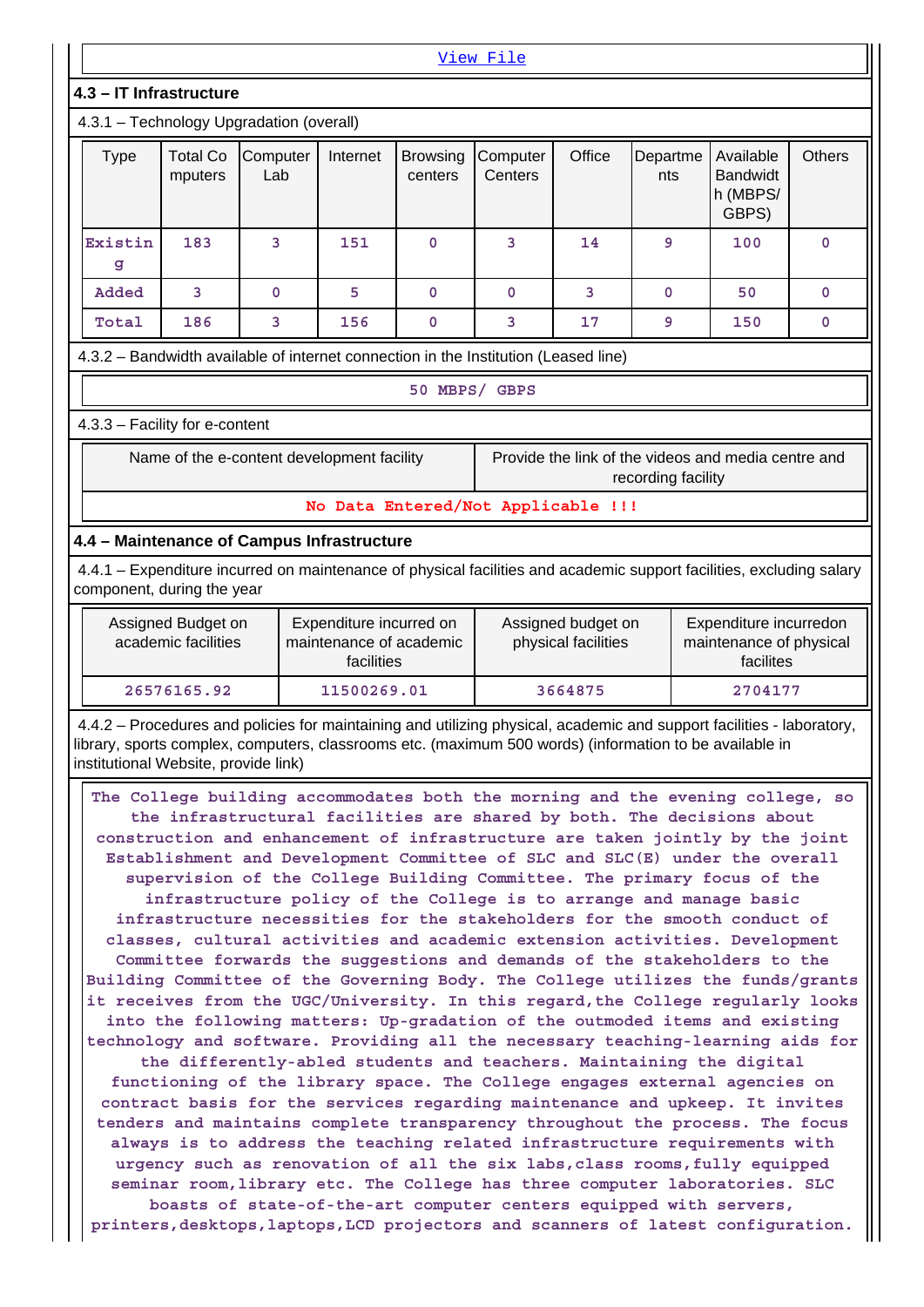| View File                                                                                                                                                                                                                                                                                                                                                                                                                                                                                                                                                                                                                                                                                                                                                                                                                                                                                                                                                                                                                                                                                                                                                                                                                                                                                                                                                                                                                                                                                                                                                                                                                                                                                                                                                                                  |                                                                                                                                                                                                                              |   |     |             |                                                                                                                      |    |             |     |               |
|--------------------------------------------------------------------------------------------------------------------------------------------------------------------------------------------------------------------------------------------------------------------------------------------------------------------------------------------------------------------------------------------------------------------------------------------------------------------------------------------------------------------------------------------------------------------------------------------------------------------------------------------------------------------------------------------------------------------------------------------------------------------------------------------------------------------------------------------------------------------------------------------------------------------------------------------------------------------------------------------------------------------------------------------------------------------------------------------------------------------------------------------------------------------------------------------------------------------------------------------------------------------------------------------------------------------------------------------------------------------------------------------------------------------------------------------------------------------------------------------------------------------------------------------------------------------------------------------------------------------------------------------------------------------------------------------------------------------------------------------------------------------------------------------|------------------------------------------------------------------------------------------------------------------------------------------------------------------------------------------------------------------------------|---|-----|-------------|----------------------------------------------------------------------------------------------------------------------|----|-------------|-----|---------------|
| 4.3 - IT Infrastructure                                                                                                                                                                                                                                                                                                                                                                                                                                                                                                                                                                                                                                                                                                                                                                                                                                                                                                                                                                                                                                                                                                                                                                                                                                                                                                                                                                                                                                                                                                                                                                                                                                                                                                                                                                    |                                                                                                                                                                                                                              |   |     |             |                                                                                                                      |    |             |     |               |
|                                                                                                                                                                                                                                                                                                                                                                                                                                                                                                                                                                                                                                                                                                                                                                                                                                                                                                                                                                                                                                                                                                                                                                                                                                                                                                                                                                                                                                                                                                                                                                                                                                                                                                                                                                                            | 4.3.1 - Technology Upgradation (overall)                                                                                                                                                                                     |   |     |             |                                                                                                                      |    |             |     |               |
| <b>Total Co</b><br>Internet<br>Office<br>Available<br><b>Type</b><br>Computer<br><b>Browsing</b><br>Computer<br>Departme<br><b>Bandwidt</b><br>Lab<br>Centers<br>mputers<br>centers<br>nts<br>h (MBPS/<br>GBPS)                                                                                                                                                                                                                                                                                                                                                                                                                                                                                                                                                                                                                                                                                                                                                                                                                                                                                                                                                                                                                                                                                                                                                                                                                                                                                                                                                                                                                                                                                                                                                                            |                                                                                                                                                                                                                              |   |     |             |                                                                                                                      |    |             |     | <b>Others</b> |
| Existin<br>g                                                                                                                                                                                                                                                                                                                                                                                                                                                                                                                                                                                                                                                                                                                                                                                                                                                                                                                                                                                                                                                                                                                                                                                                                                                                                                                                                                                                                                                                                                                                                                                                                                                                                                                                                                               | 183                                                                                                                                                                                                                          | 3 | 151 | $\mathbf 0$ | 3                                                                                                                    | 14 | 9           | 100 | $\mathbf 0$   |
| Added                                                                                                                                                                                                                                                                                                                                                                                                                                                                                                                                                                                                                                                                                                                                                                                                                                                                                                                                                                                                                                                                                                                                                                                                                                                                                                                                                                                                                                                                                                                                                                                                                                                                                                                                                                                      | 3                                                                                                                                                                                                                            | 0 | 5   | $\mathbf 0$ | $\mathbf 0$                                                                                                          | 3  | $\mathbf 0$ | 50  | $\mathbf 0$   |
| Total<br>186<br>3<br>156<br>3<br>17<br>150<br>$\mathbf 0$<br>9<br>0                                                                                                                                                                                                                                                                                                                                                                                                                                                                                                                                                                                                                                                                                                                                                                                                                                                                                                                                                                                                                                                                                                                                                                                                                                                                                                                                                                                                                                                                                                                                                                                                                                                                                                                        |                                                                                                                                                                                                                              |   |     |             |                                                                                                                      |    |             |     |               |
|                                                                                                                                                                                                                                                                                                                                                                                                                                                                                                                                                                                                                                                                                                                                                                                                                                                                                                                                                                                                                                                                                                                                                                                                                                                                                                                                                                                                                                                                                                                                                                                                                                                                                                                                                                                            | 4.3.2 - Bandwidth available of internet connection in the Institution (Leased line)                                                                                                                                          |   |     |             |                                                                                                                      |    |             |     |               |
| 50 MBPS/ GBPS                                                                                                                                                                                                                                                                                                                                                                                                                                                                                                                                                                                                                                                                                                                                                                                                                                                                                                                                                                                                                                                                                                                                                                                                                                                                                                                                                                                                                                                                                                                                                                                                                                                                                                                                                                              |                                                                                                                                                                                                                              |   |     |             |                                                                                                                      |    |             |     |               |
| 4.3.3 - Facility for e-content                                                                                                                                                                                                                                                                                                                                                                                                                                                                                                                                                                                                                                                                                                                                                                                                                                                                                                                                                                                                                                                                                                                                                                                                                                                                                                                                                                                                                                                                                                                                                                                                                                                                                                                                                             |                                                                                                                                                                                                                              |   |     |             |                                                                                                                      |    |             |     |               |
| Name of the e-content development facility<br>Provide the link of the videos and media centre and<br>recording facility                                                                                                                                                                                                                                                                                                                                                                                                                                                                                                                                                                                                                                                                                                                                                                                                                                                                                                                                                                                                                                                                                                                                                                                                                                                                                                                                                                                                                                                                                                                                                                                                                                                                    |                                                                                                                                                                                                                              |   |     |             |                                                                                                                      |    |             |     |               |
|                                                                                                                                                                                                                                                                                                                                                                                                                                                                                                                                                                                                                                                                                                                                                                                                                                                                                                                                                                                                                                                                                                                                                                                                                                                                                                                                                                                                                                                                                                                                                                                                                                                                                                                                                                                            |                                                                                                                                                                                                                              |   |     |             | No Data Entered/Not Applicable !!!                                                                                   |    |             |     |               |
| 4.4 - Maintenance of Campus Infrastructure                                                                                                                                                                                                                                                                                                                                                                                                                                                                                                                                                                                                                                                                                                                                                                                                                                                                                                                                                                                                                                                                                                                                                                                                                                                                                                                                                                                                                                                                                                                                                                                                                                                                                                                                                 |                                                                                                                                                                                                                              |   |     |             |                                                                                                                      |    |             |     |               |
| component, during the year                                                                                                                                                                                                                                                                                                                                                                                                                                                                                                                                                                                                                                                                                                                                                                                                                                                                                                                                                                                                                                                                                                                                                                                                                                                                                                                                                                                                                                                                                                                                                                                                                                                                                                                                                                 |                                                                                                                                                                                                                              |   |     |             | 4.4.1 - Expenditure incurred on maintenance of physical facilities and academic support facilities, excluding salary |    |             |     |               |
|                                                                                                                                                                                                                                                                                                                                                                                                                                                                                                                                                                                                                                                                                                                                                                                                                                                                                                                                                                                                                                                                                                                                                                                                                                                                                                                                                                                                                                                                                                                                                                                                                                                                                                                                                                                            | Expenditure incurred on<br>Expenditure incurredon<br>Assigned Budget on<br>Assigned budget on<br>academic facilities<br>maintenance of academic<br>physical facilities<br>maintenance of physical<br>facilities<br>facilites |   |     |             |                                                                                                                      |    |             |     |               |
| 26576165.92<br>11500269.01<br>3664875<br>2704177                                                                                                                                                                                                                                                                                                                                                                                                                                                                                                                                                                                                                                                                                                                                                                                                                                                                                                                                                                                                                                                                                                                                                                                                                                                                                                                                                                                                                                                                                                                                                                                                                                                                                                                                           |                                                                                                                                                                                                                              |   |     |             |                                                                                                                      |    |             |     |               |
| 4.4.2 - Procedures and policies for maintaining and utilizing physical, academic and support facilities - laboratory,<br>library, sports complex, computers, classrooms etc. (maximum 500 words) (information to be available in<br>institutional Website, provide link)                                                                                                                                                                                                                                                                                                                                                                                                                                                                                                                                                                                                                                                                                                                                                                                                                                                                                                                                                                                                                                                                                                                                                                                                                                                                                                                                                                                                                                                                                                                   |                                                                                                                                                                                                                              |   |     |             |                                                                                                                      |    |             |     |               |
| The College building accommodates both the morning and the evening college, so<br>the infrastructural facilities are shared by both. The decisions about<br>construction and enhancement of infrastructure are taken jointly by the joint<br>Establishment and Development Committee of SLC and SLC(E) under the overall<br>supervision of the College Building Committee. The primary focus of the<br>infrastructure policy of the College is to arrange and manage basic<br>infrastructure necessities for the stakeholders for the smooth conduct of<br>classes, cultural activities and academic extension activities. Development<br>Committee forwards the suggestions and demands of the stakeholders to the<br>Building Committee of the Governing Body. The College utilizes the funds/grants<br>it receives from the UGC/University. In this regard, the College regularly looks<br>into the following matters: Up-gradation of the outmoded items and existing<br>technology and software. Providing all the necessary teaching-learning aids for<br>the differently-abled students and teachers. Maintaining the digital<br>functioning of the library space. The College engages external agencies on<br>contract basis for the services regarding maintenance and upkeep. It invites<br>tenders and maintains complete transparency throughout the process. The focus<br>always is to address the teaching related infrastructure requirements with<br>urgency such as renovation of all the six labs, class rooms, fully equipped<br>seminar room, library etc. The College has three computer laboratories. SLC<br>boasts of state-of-the-art computer centers equipped with servers,<br>printers, desktops, laptops, LCD projectors and scanners of latest configuration. |                                                                                                                                                                                                                              |   |     |             |                                                                                                                      |    |             |     |               |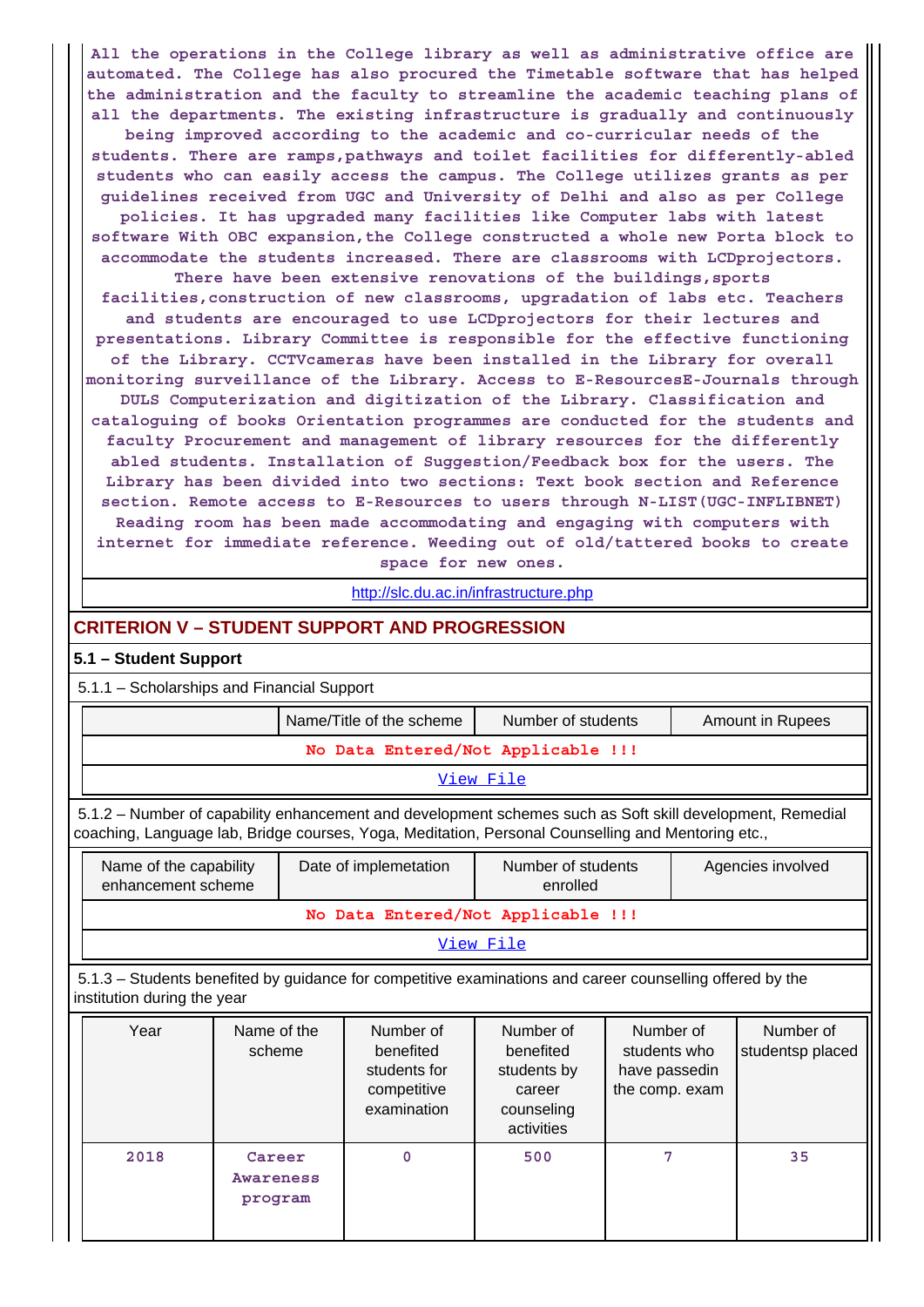**All the operations in the College library as well as administrative office are automated. The College has also procured the Timetable software that has helped the administration and the faculty to streamline the academic teaching plans of all the departments. The existing infrastructure is gradually and continuously being improved according to the academic and co-curricular needs of the students. There are ramps,pathways and toilet facilities for differently-abled students who can easily access the campus. The College utilizes grants as per guidelines received from UGC and University of Delhi and also as per College policies. It has upgraded many facilities like Computer labs with latest software With OBC expansion,the College constructed a whole new Porta block to accommodate the students increased. There are classrooms with LCDprojectors. There have been extensive renovations of the buildings,sports facilities,construction of new classrooms, upgradation of labs etc. Teachers and students are encouraged to use LCDprojectors for their lectures and presentations. Library Committee is responsible for the effective functioning of the Library. CCTVcameras have been installed in the Library for overall monitoring surveillance of the Library. Access to E-ResourcesE-Journals through DULS Computerization and digitization of the Library. Classification and cataloguing of books Orientation programmes are conducted for the students and faculty Procurement and management of library resources for the differently abled students. Installation of Suggestion/Feedback box for the users. The Library has been divided into two sections: Text book section and Reference section. Remote access to E-Resources to users through N-LIST(UGC-INFLIBNET) Reading room has been made accommodating and engaging with computers with internet for immediate reference. Weeding out of old/tattered books to create space for new ones.**

<http://slc.du.ac.in/infrastructure.php>

## **CRITERION V – STUDENT SUPPORT AND PROGRESSION**

#### **5.1 – Student Support**

5.1.1 – Scholarships and Financial Support

**program**

|                                                                                                                                          |                                                                                                                                                                                                                 |                       |  | Name/Title of the scheme                                             | Number of students                                                          |                                                              |  | <b>Amount in Rupees</b>       |
|------------------------------------------------------------------------------------------------------------------------------------------|-----------------------------------------------------------------------------------------------------------------------------------------------------------------------------------------------------------------|-----------------------|--|----------------------------------------------------------------------|-----------------------------------------------------------------------------|--------------------------------------------------------------|--|-------------------------------|
|                                                                                                                                          |                                                                                                                                                                                                                 |                       |  | No Data Entered/Not Applicable !!!                                   |                                                                             |                                                              |  |                               |
|                                                                                                                                          | View File                                                                                                                                                                                                       |                       |  |                                                                      |                                                                             |                                                              |  |                               |
|                                                                                                                                          | 5.1.2 – Number of capability enhancement and development schemes such as Soft skill development, Remedial<br>coaching, Language lab, Bridge courses, Yoga, Meditation, Personal Counselling and Mentoring etc., |                       |  |                                                                      |                                                                             |                                                              |  |                               |
|                                                                                                                                          | Name of the capability<br>enhancement scheme                                                                                                                                                                    |                       |  | Date of implemetation                                                | Number of students<br>enrolled                                              |                                                              |  | Agencies involved             |
|                                                                                                                                          |                                                                                                                                                                                                                 |                       |  | No Data Entered/Not Applicable !!!                                   |                                                                             |                                                              |  |                               |
| View File                                                                                                                                |                                                                                                                                                                                                                 |                       |  |                                                                      |                                                                             |                                                              |  |                               |
| 5.1.3 – Students benefited by guidance for competitive examinations and career counselling offered by the<br>institution during the year |                                                                                                                                                                                                                 |                       |  |                                                                      |                                                                             |                                                              |  |                               |
|                                                                                                                                          | Year                                                                                                                                                                                                            | Name of the<br>scheme |  | Number of<br>benefited<br>students for<br>competitive<br>examination | Number of<br>benefited<br>students by<br>career<br>counseling<br>activities | Number of<br>students who<br>have passedin<br>the comp. exam |  | Number of<br>studentsp placed |
|                                                                                                                                          | 2018                                                                                                                                                                                                            | Career<br>Awareness   |  | 0                                                                    | 500                                                                         | 7                                                            |  | 35                            |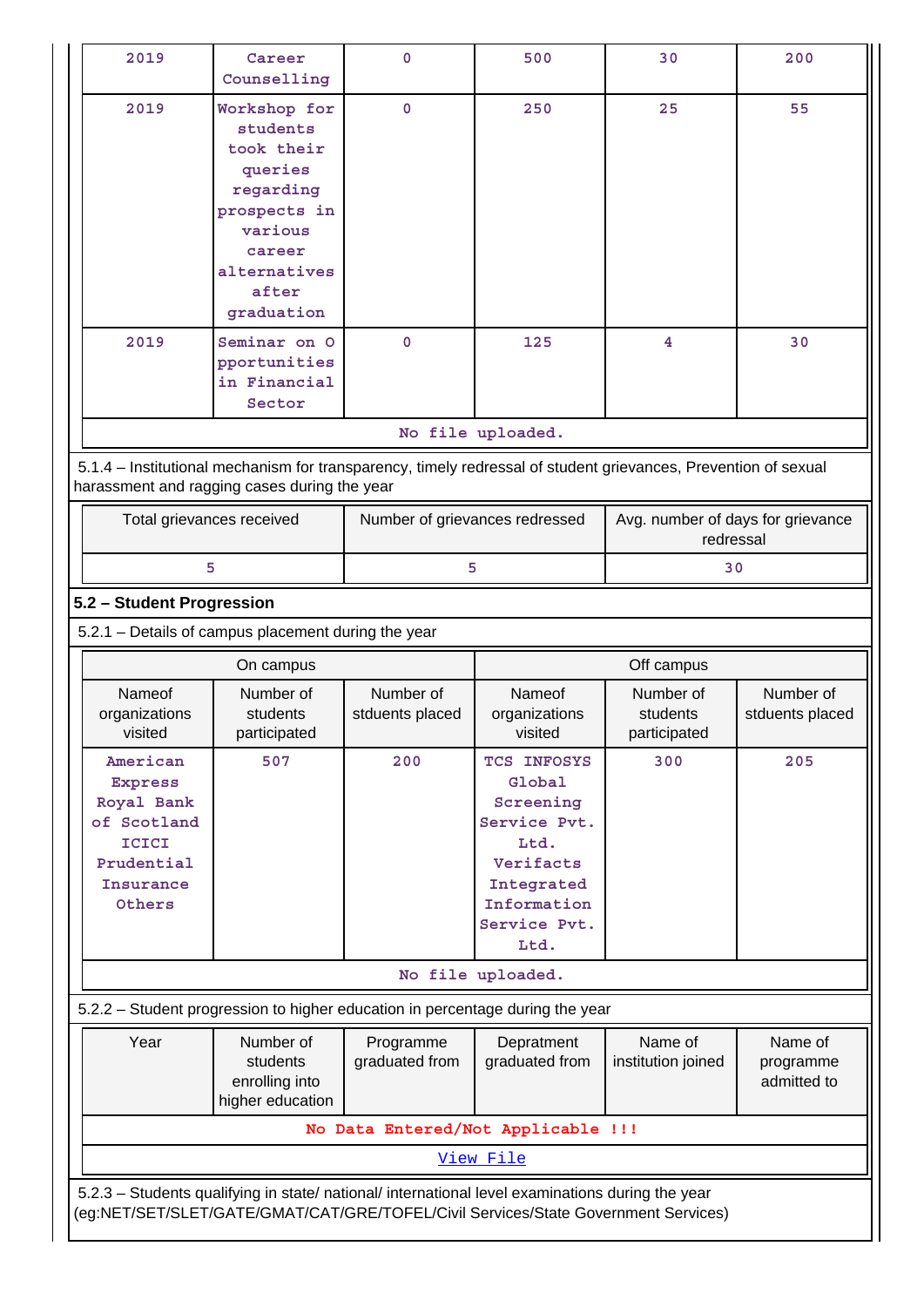| 2019                                                                                                                                                           | Career<br>Counselling                                                                                                                      | $\mathbf 0$                        | 500                                                                                                                          | 30                                             | 200                                 |  |  |
|----------------------------------------------------------------------------------------------------------------------------------------------------------------|--------------------------------------------------------------------------------------------------------------------------------------------|------------------------------------|------------------------------------------------------------------------------------------------------------------------------|------------------------------------------------|-------------------------------------|--|--|
| 2019                                                                                                                                                           | Workshop for<br>students<br>took their<br>queries<br>regarding<br>prospects in<br>various<br>career<br>alternatives<br>after<br>graduation | $\mathbf 0$                        | 250                                                                                                                          | 25                                             | 55                                  |  |  |
| 2019                                                                                                                                                           | Seminar on O<br>pportunities<br>in Financial<br>Sector                                                                                     | $\mathbf 0$                        | 125                                                                                                                          | 4                                              | 30                                  |  |  |
| No file uploaded.                                                                                                                                              |                                                                                                                                            |                                    |                                                                                                                              |                                                |                                     |  |  |
| 5.1.4 – Institutional mechanism for transparency, timely redressal of student grievances, Prevention of sexual<br>harassment and ragging cases during the year |                                                                                                                                            |                                    |                                                                                                                              |                                                |                                     |  |  |
| Total grievances received                                                                                                                                      |                                                                                                                                            | Number of grievances redressed     |                                                                                                                              | Avg. number of days for grievance<br>redressal |                                     |  |  |
|                                                                                                                                                                | 5                                                                                                                                          | 5                                  |                                                                                                                              | 30                                             |                                     |  |  |
| 5.2 - Student Progression                                                                                                                                      |                                                                                                                                            |                                    |                                                                                                                              |                                                |                                     |  |  |
| 5.2.1 - Details of campus placement during the year                                                                                                            |                                                                                                                                            |                                    |                                                                                                                              |                                                |                                     |  |  |
|                                                                                                                                                                |                                                                                                                                            |                                    |                                                                                                                              |                                                |                                     |  |  |
|                                                                                                                                                                | On campus                                                                                                                                  |                                    |                                                                                                                              | Off campus                                     |                                     |  |  |
| Nameof<br>organizations<br>visited                                                                                                                             | Number of<br>students<br>participated                                                                                                      | Number of<br>stduents placed       | Nameof<br>organizations<br>visited                                                                                           | Number of<br>students<br>participated          | Number of<br>stduents placed        |  |  |
| American<br><b>Express</b><br>Royal Bank<br>of Scotland<br><b>ICICI</b><br>Prudential<br>Insurance<br>Others                                                   | 507                                                                                                                                        | 200                                | TCS INFOSYS<br>Global<br>Screening<br>Service Pvt.<br>Ltd.<br>Verifacts<br>Integrated<br>Information<br>Service Pvt.<br>Ltd. | 300                                            | 205                                 |  |  |
|                                                                                                                                                                |                                                                                                                                            |                                    | No file uploaded.                                                                                                            |                                                |                                     |  |  |
| 5.2.2 - Student progression to higher education in percentage during the year                                                                                  |                                                                                                                                            |                                    |                                                                                                                              |                                                |                                     |  |  |
| Year                                                                                                                                                           | Number of<br>students<br>enrolling into<br>higher education                                                                                | Programme<br>graduated from        | Depratment<br>graduated from                                                                                                 | Name of<br>institution joined                  | Name of<br>programme<br>admitted to |  |  |
|                                                                                                                                                                |                                                                                                                                            | No Data Entered/Not Applicable !!! |                                                                                                                              |                                                |                                     |  |  |
|                                                                                                                                                                |                                                                                                                                            |                                    | View File                                                                                                                    |                                                |                                     |  |  |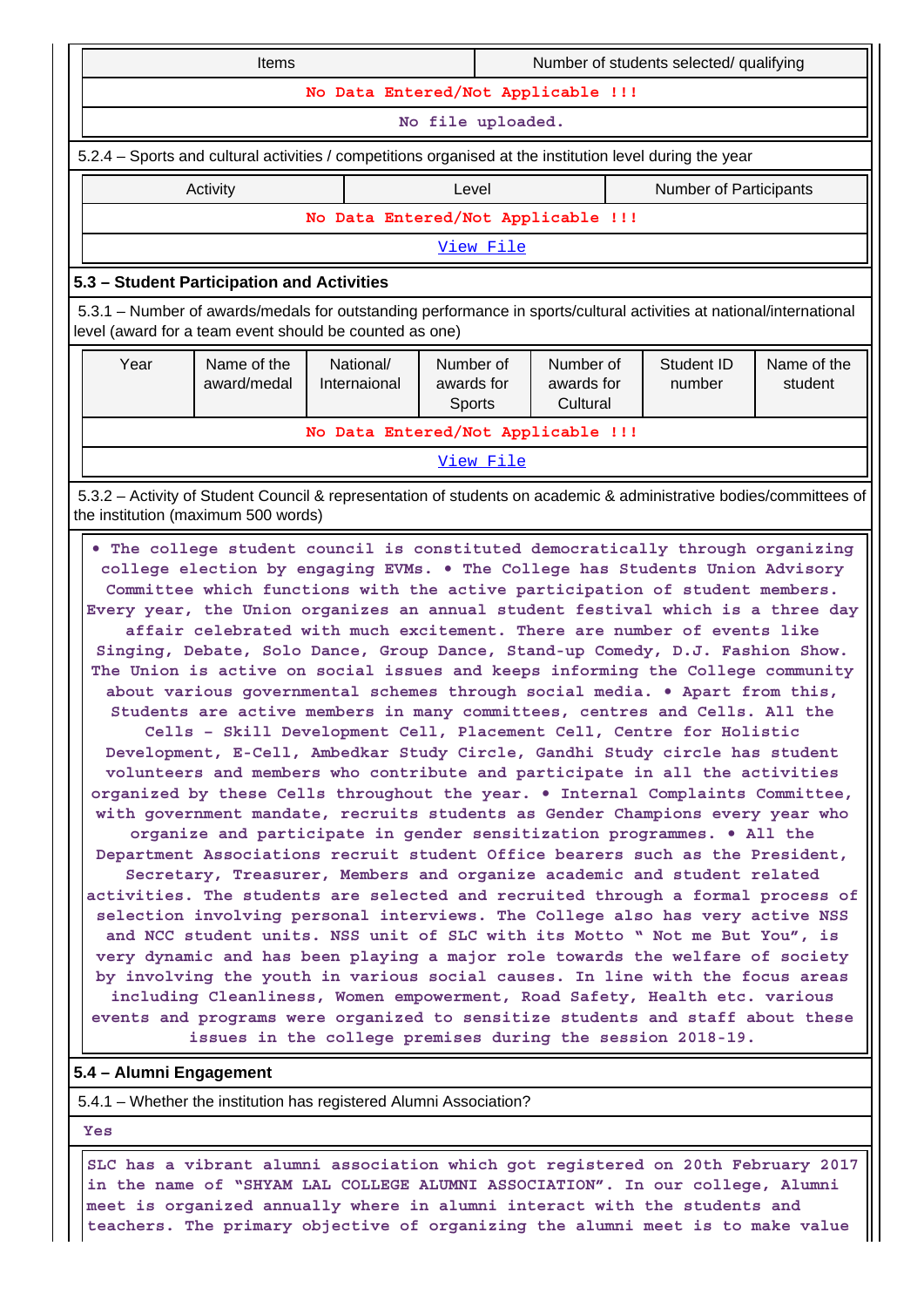5.4.1 – Whether the institution has registered Alumni Association?

 **Yes**

 **SLC has a vibrant alumni association which got registered on 20th February 2017 in the name of "SHYAM LAL COLLEGE ALUMNI ASSOCIATION". In our college, Alumni meet is organized annually where in alumni interact with the students and teachers. The primary objective of organizing the alumni meet is to make value**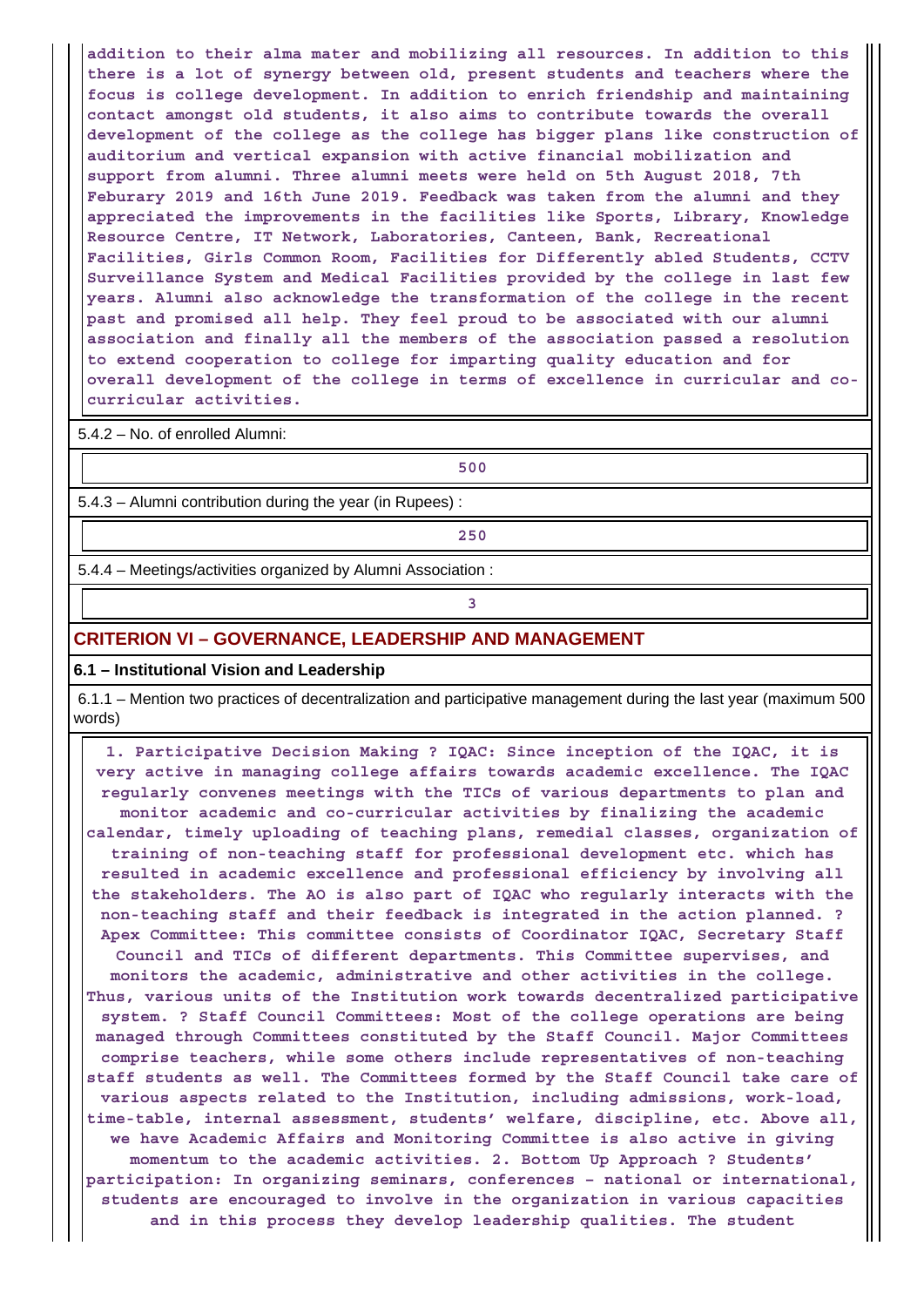**addition to their alma mater and mobilizing all resources. In addition to this there is a lot of synergy between old, present students and teachers where the focus is college development. In addition to enrich friendship and maintaining contact amongst old students, it also aims to contribute towards the overall development of the college as the college has bigger plans like construction of auditorium and vertical expansion with active financial mobilization and support from alumni. Three alumni meets were held on 5th August 2018, 7th Feburary 2019 and 16th June 2019. Feedback was taken from the alumni and they appreciated the improvements in the facilities like Sports, Library, Knowledge Resource Centre, IT Network, Laboratories, Canteen, Bank, Recreational Facilities, Girls Common Room, Facilities for Differently abled Students, CCTV Surveillance System and Medical Facilities provided by the college in last few years. Alumni also acknowledge the transformation of the college in the recent past and promised all help. They feel proud to be associated with our alumni association and finally all the members of the association passed a resolution to extend cooperation to college for imparting quality education and for overall development of the college in terms of excellence in curricular and cocurricular activities.**

5.4.2 – No. of enrolled Alumni:

**500**

5.4.3 – Alumni contribution during the year (in Rupees) :

5.4.4 – Meetings/activities organized by Alumni Association :

**250**

## **3**

## **CRITERION VI – GOVERNANCE, LEADERSHIP AND MANAGEMENT**

#### **6.1 – Institutional Vision and Leadership**

 6.1.1 – Mention two practices of decentralization and participative management during the last year (maximum 500 words)

 **1. Participative Decision Making ? IQAC: Since inception of the IQAC, it is very active in managing college affairs towards academic excellence. The IQAC regularly convenes meetings with the TICs of various departments to plan and monitor academic and co-curricular activities by finalizing the academic calendar, timely uploading of teaching plans, remedial classes, organization of training of non-teaching staff for professional development etc. which has resulted in academic excellence and professional efficiency by involving all the stakeholders. The AO is also part of IQAC who regularly interacts with the non-teaching staff and their feedback is integrated in the action planned. ? Apex Committee: This committee consists of Coordinator IQAC, Secretary Staff Council and TICs of different departments. This Committee supervises, and monitors the academic, administrative and other activities in the college. Thus, various units of the Institution work towards decentralized participative system. ? Staff Council Committees: Most of the college operations are being managed through Committees constituted by the Staff Council. Major Committees comprise teachers, while some others include representatives of non-teaching staff students as well. The Committees formed by the Staff Council take care of various aspects related to the Institution, including admissions, work-load, time-table, internal assessment, students' welfare, discipline, etc. Above all, we have Academic Affairs and Monitoring Committee is also active in giving momentum to the academic activities. 2. Bottom Up Approach ? Students' participation: In organizing seminars, conferences – national or international, students are encouraged to involve in the organization in various capacities and in this process they develop leadership qualities. The student**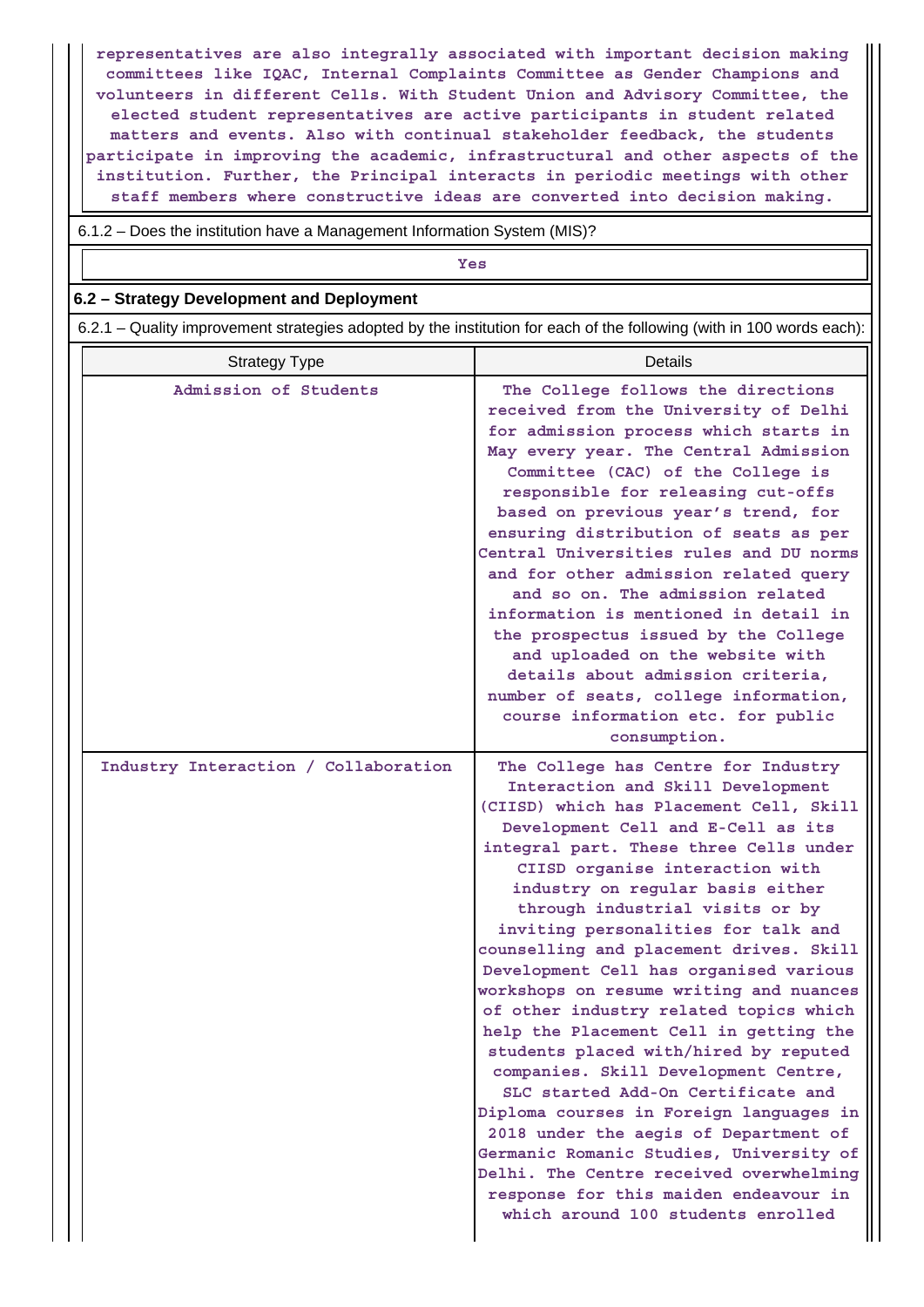**representatives are also integrally associated with important decision making committees like IQAC, Internal Complaints Committee as Gender Champions and volunteers in different Cells. With Student Union and Advisory Committee, the elected student representatives are active participants in student related matters and events. Also with continual stakeholder feedback, the students participate in improving the academic, infrastructural and other aspects of the institution. Further, the Principal interacts in periodic meetings with other staff members where constructive ideas are converted into decision making.**

6.1.2 – Does the institution have a Management Information System (MIS)?

| Yes |
|-----|
|     |

#### **6.2 – Strategy Development and Deployment**

6.2.1 – Quality improvement strategies adopted by the institution for each of the following (with in 100 words each):

| <b>Strategy Type</b>                 | <b>Details</b>                                                                                                                                                                                                                                                                                                                                                                                                                                                                                                                                                                                                                                                                                                                                                                                                                                                                                                                                           |
|--------------------------------------|----------------------------------------------------------------------------------------------------------------------------------------------------------------------------------------------------------------------------------------------------------------------------------------------------------------------------------------------------------------------------------------------------------------------------------------------------------------------------------------------------------------------------------------------------------------------------------------------------------------------------------------------------------------------------------------------------------------------------------------------------------------------------------------------------------------------------------------------------------------------------------------------------------------------------------------------------------|
| Admission of Students                | The College follows the directions<br>received from the University of Delhi<br>for admission process which starts in<br>May every year. The Central Admission<br>Committee (CAC) of the College is<br>responsible for releasing cut-offs<br>based on previous year's trend, for<br>ensuring distribution of seats as per<br>Central Universities rules and DU norms<br>and for other admission related query<br>and so on. The admission related<br>information is mentioned in detail in<br>the prospectus issued by the College<br>and uploaded on the website with<br>details about admission criteria,<br>number of seats, college information,<br>course information etc. for public<br>consumption.                                                                                                                                                                                                                                                |
| Industry Interaction / Collaboration | The College has Centre for Industry<br>Interaction and Skill Development<br>(CIISD) which has Placement Cell, Skill<br>Development Cell and E-Cell as its<br>integral part. These three Cells under<br>CIISD organise interaction with<br>industry on regular basis either<br>through industrial visits or by<br>inviting personalities for talk and<br>counselling and placement drives. Skill<br>Development Cell has organised various<br>workshops on resume writing and nuances<br>of other industry related topics which<br>help the Placement Cell in getting the<br>students placed with/hired by reputed<br>companies. Skill Development Centre,<br>SLC started Add-On Certificate and<br>Diploma courses in Foreign languages in<br>2018 under the aegis of Department of<br>Germanic Romanic Studies, University of<br>Delhi. The Centre received overwhelming<br>response for this maiden endeavour in<br>which around 100 students enrolled |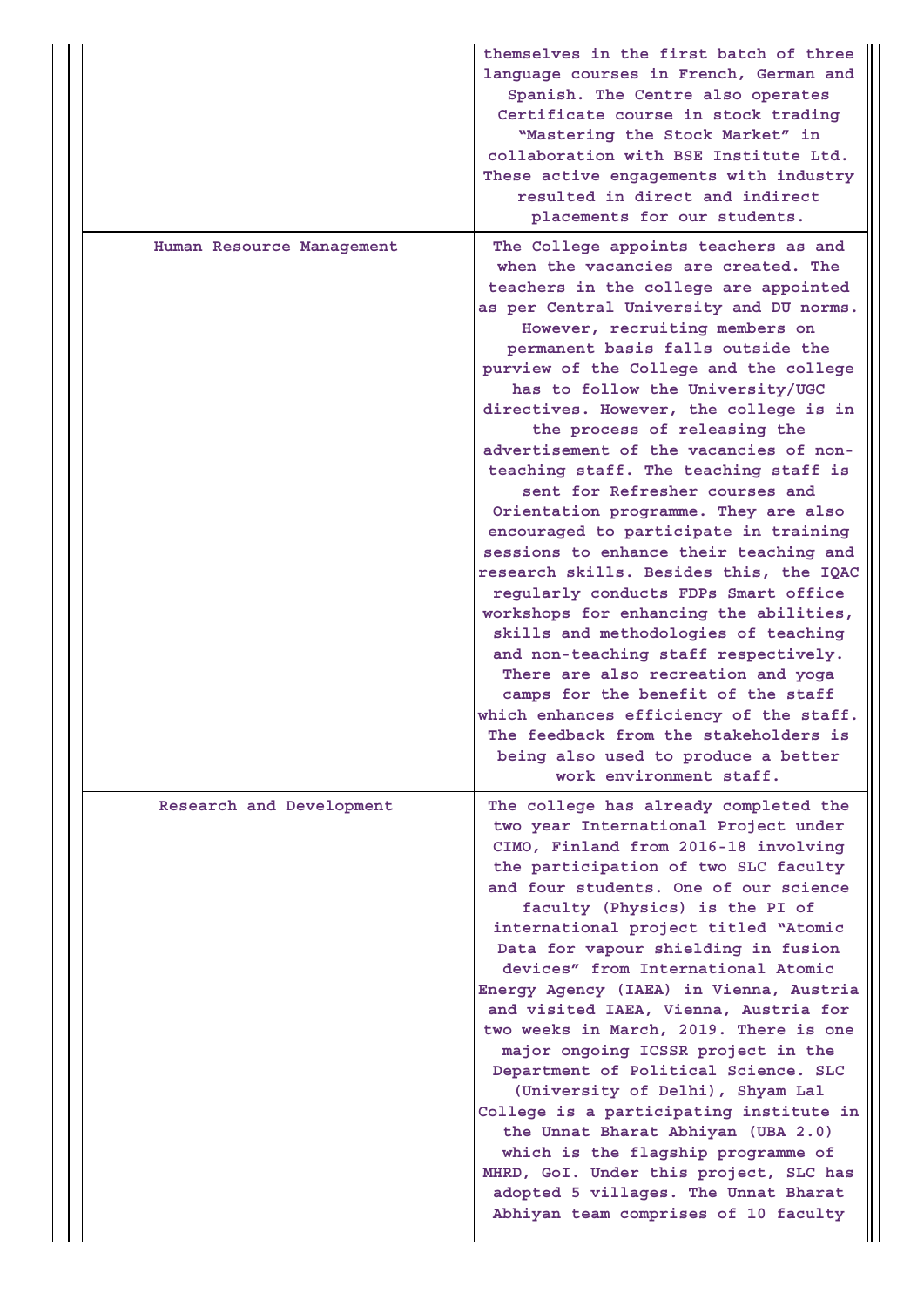|                           | themselves in the first batch of three<br>language courses in French, German and<br>Spanish. The Centre also operates<br>Certificate course in stock trading<br>"Mastering the Stock Market" in<br>collaboration with BSE Institute Ltd.<br>These active engagements with industry<br>resulted in direct and indirect<br>placements for our students.                                                                                                                                                                                                                                                                                                                                                                                                                                                                                                                                                                                                                                                                                                                                         |
|---------------------------|-----------------------------------------------------------------------------------------------------------------------------------------------------------------------------------------------------------------------------------------------------------------------------------------------------------------------------------------------------------------------------------------------------------------------------------------------------------------------------------------------------------------------------------------------------------------------------------------------------------------------------------------------------------------------------------------------------------------------------------------------------------------------------------------------------------------------------------------------------------------------------------------------------------------------------------------------------------------------------------------------------------------------------------------------------------------------------------------------|
| Human Resource Management | The College appoints teachers as and<br>when the vacancies are created. The<br>teachers in the college are appointed<br>as per Central University and DU norms.<br>However, recruiting members on<br>permanent basis falls outside the<br>purview of the College and the college<br>has to follow the University/UGC<br>directives. However, the college is in<br>the process of releasing the<br>advertisement of the vacancies of non-<br>teaching staff. The teaching staff is<br>sent for Refresher courses and<br>Orientation programme. They are also<br>encouraged to participate in training<br>sessions to enhance their teaching and<br>research skills. Besides this, the IQAC<br>regularly conducts FDPs Smart office<br>workshops for enhancing the abilities,<br>skills and methodologies of teaching<br>and non-teaching staff respectively.<br>There are also recreation and yoga<br>camps for the benefit of the staff<br>which enhances efficiency of the staff.<br>The feedback from the stakeholders is<br>being also used to produce a better<br>work environment staff. |
| Research and Development  | The college has already completed the<br>two year International Project under<br>CIMO, Finland from 2016-18 involving<br>the participation of two SLC faculty<br>and four students. One of our science<br>faculty (Physics) is the PI of<br>international project titled "Atomic<br>Data for vapour shielding in fusion<br>devices" from International Atomic<br>Energy Agency (IAEA) in Vienna, Austria<br>and visited IAEA, Vienna, Austria for<br>two weeks in March, 2019. There is one<br>major ongoing ICSSR project in the<br>Department of Political Science. SLC<br>(University of Delhi), Shyam Lal<br>College is a participating institute in<br>the Unnat Bharat Abhiyan (UBA 2.0)<br>which is the flagship programme of<br>MHRD, GoI. Under this project, SLC has<br>adopted 5 villages. The Unnat Bharat<br>Abhiyan team comprises of 10 faculty                                                                                                                                                                                                                                |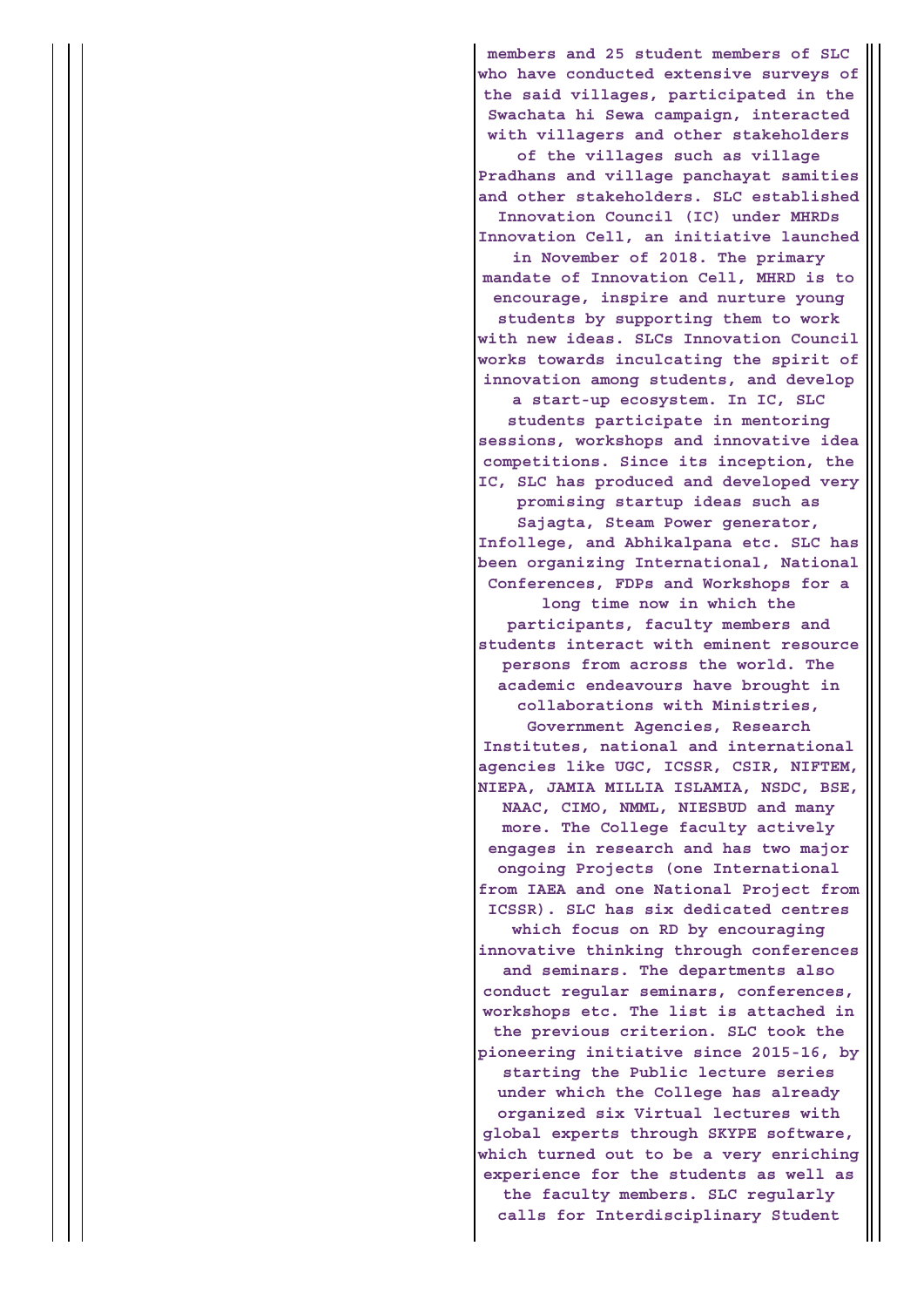**members and 25 student members of SLC who have conducted extensive surveys of the said villages, participated in the Swachata hi Sewa campaign, interacted with villagers and other stakeholders of the villages such as village Pradhans and village panchayat samities and other stakeholders. SLC established Innovation Council (IC) under MHRDs Innovation Cell, an initiative launched in November of 2018. The primary mandate of Innovation Cell, MHRD is to encourage, inspire and nurture young students by supporting them to work with new ideas. SLCs Innovation Council works towards inculcating the spirit of innovation among students, and develop a start-up ecosystem. In IC, SLC students participate in mentoring sessions, workshops and innovative idea competitions. Since its inception, the IC, SLC has produced and developed very promising startup ideas such as Sajagta, Steam Power generator, Infollege, and Abhikalpana etc. SLC has been organizing International, National Conferences, FDPs and Workshops for a long time now in which the participants, faculty members and students interact with eminent resource persons from across the world. The academic endeavours have brought in collaborations with Ministries, Government Agencies, Research Institutes, national and international agencies like UGC, ICSSR, CSIR, NIFTEM, NIEPA, JAMIA MILLIA ISLAMIA, NSDC, BSE, NAAC, CIMO, NMML, NIESBUD and many more. The College faculty actively engages in research and has two major ongoing Projects (one International from IAEA and one National Project from ICSSR). SLC has six dedicated centres which focus on RD by encouraging innovative thinking through conferences and seminars. The departments also conduct regular seminars, conferences, workshops etc. The list is attached in the previous criterion. SLC took the pioneering initiative since 2015-16, by starting the Public lecture series under which the College has already organized six Virtual lectures with global experts through SKYPE software, which turned out to be a very enriching experience for the students as well as the faculty members. SLC regularly calls for Interdisciplinary Student**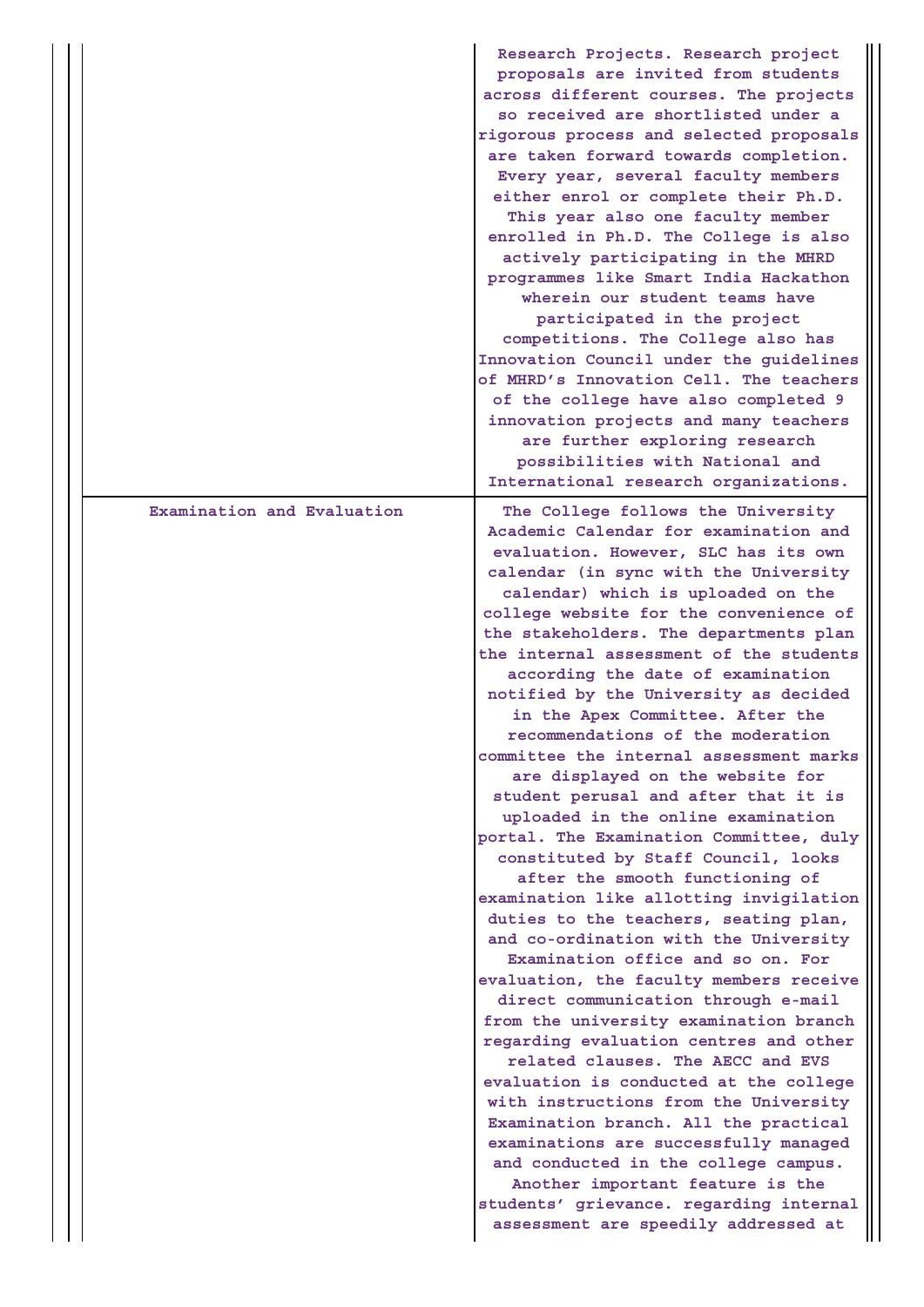|                            | Research Projects. Research project<br>proposals are invited from students<br>across different courses. The projects<br>so received are shortlisted under a<br>rigorous process and selected proposals<br>are taken forward towards completion.<br>Every year, several faculty members<br>either enrol or complete their Ph.D.<br>This year also one faculty member<br>enrolled in Ph.D. The College is also<br>actively participating in the MHRD<br>programmes like Smart India Hackathon<br>wherein our student teams have<br>participated in the project<br>competitions. The College also has<br>Innovation Council under the guidelines<br>of MHRD's Innovation Cell. The teachers<br>of the college have also completed 9<br>innovation projects and many teachers<br>are further exploring research<br>possibilities with National and<br>International research organizations.                                                                                                                                                                                                                                                                                                                                                                                                                                                                                                                                                                                                     |
|----------------------------|---------------------------------------------------------------------------------------------------------------------------------------------------------------------------------------------------------------------------------------------------------------------------------------------------------------------------------------------------------------------------------------------------------------------------------------------------------------------------------------------------------------------------------------------------------------------------------------------------------------------------------------------------------------------------------------------------------------------------------------------------------------------------------------------------------------------------------------------------------------------------------------------------------------------------------------------------------------------------------------------------------------------------------------------------------------------------------------------------------------------------------------------------------------------------------------------------------------------------------------------------------------------------------------------------------------------------------------------------------------------------------------------------------------------------------------------------------------------------------------------|
| Examination and Evaluation | The College follows the University<br>Academic Calendar for examination and<br>evaluation. However, SLC has its own<br>calendar (in sync with the University<br>calendar) which is uploaded on the<br>college website for the convenience of<br>the stakeholders. The departments plan<br>the internal assessment of the students<br>according the date of examination<br>notified by the University as decided<br>in the Apex Committee. After the<br>recommendations of the moderation<br>committee the internal assessment marks<br>are displayed on the website for<br>student perusal and after that it is<br>uploaded in the online examination<br>portal. The Examination Committee, duly<br>constituted by Staff Council, looks<br>after the smooth functioning of<br>examination like allotting invigilation<br>duties to the teachers, seating plan,<br>and co-ordination with the University<br>Examination office and so on. For<br>evaluation, the faculty members receive<br>direct communication through e-mail<br>from the university examination branch<br>regarding evaluation centres and other<br>related clauses. The AECC and EVS<br>evaluation is conducted at the college<br>with instructions from the University<br>Examination branch. All the practical<br>examinations are successfully managed<br>and conducted in the college campus.<br>Another important feature is the<br>students' grievance. regarding internal<br>assessment are speedily addressed at |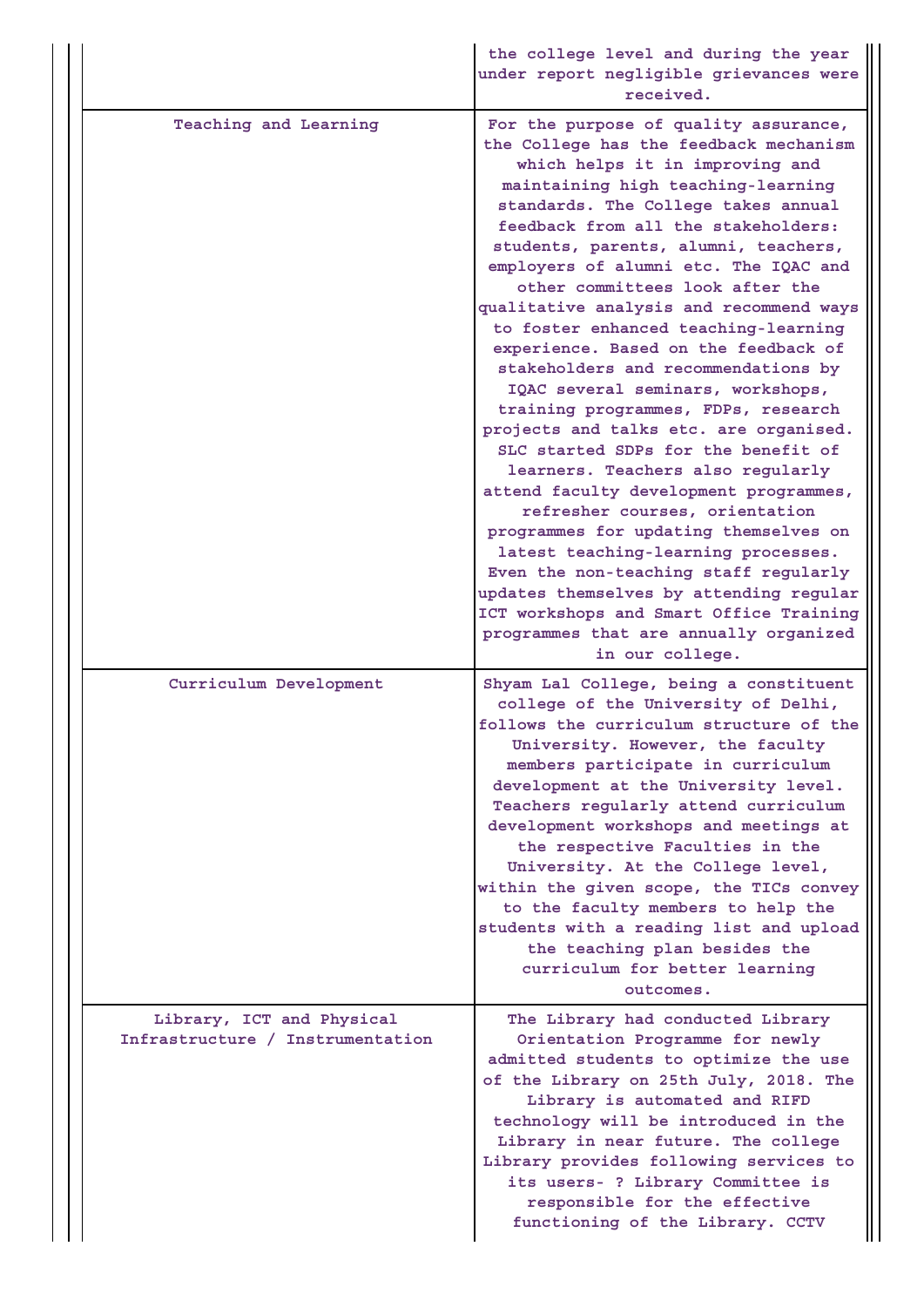|  |                                                               | the college level and during the year<br>under report negligible grievances were<br>received.                                                                                                                                                                                                                                                                                                                                                                                                                                                                                                                                                                                                                                                                                                                                                                                                                                                                                                                                                                                          |
|--|---------------------------------------------------------------|----------------------------------------------------------------------------------------------------------------------------------------------------------------------------------------------------------------------------------------------------------------------------------------------------------------------------------------------------------------------------------------------------------------------------------------------------------------------------------------------------------------------------------------------------------------------------------------------------------------------------------------------------------------------------------------------------------------------------------------------------------------------------------------------------------------------------------------------------------------------------------------------------------------------------------------------------------------------------------------------------------------------------------------------------------------------------------------|
|  | Teaching and Learning                                         | For the purpose of quality assurance,<br>the College has the feedback mechanism<br>which helps it in improving and<br>maintaining high teaching-learning<br>standards. The College takes annual<br>feedback from all the stakeholders:<br>students, parents, alumni, teachers,<br>employers of alumni etc. The IQAC and<br>other committees look after the<br>qualitative analysis and recommend ways<br>to foster enhanced teaching-learning<br>experience. Based on the feedback of<br>stakeholders and recommendations by<br>IQAC several seminars, workshops,<br>training programmes, FDPs, research<br>projects and talks etc. are organised.<br>SLC started SDPs for the benefit of<br>learners. Teachers also regularly<br>attend faculty development programmes,<br>refresher courses, orientation<br>programmes for updating themselves on<br>latest teaching-learning processes.<br>Even the non-teaching staff regularly<br>updates themselves by attending regular<br>ICT workshops and Smart Office Training<br>programmes that are annually organized<br>in our college. |
|  | Curriculum Development                                        | Shyam Lal College, being a constituent<br>college of the University of Delhi,<br>follows the curriculum structure of the<br>University. However, the faculty<br>members participate in curriculum<br>development at the University level.<br>Teachers regularly attend curriculum<br>development workshops and meetings at<br>the respective Faculties in the<br>University. At the College level,<br>within the given scope, the TICs convey<br>to the faculty members to help the<br>students with a reading list and upload<br>the teaching plan besides the<br>curriculum for better learning<br>outcomes.                                                                                                                                                                                                                                                                                                                                                                                                                                                                         |
|  | Library, ICT and Physical<br>Infrastructure / Instrumentation | The Library had conducted Library<br>Orientation Programme for newly<br>admitted students to optimize the use<br>of the Library on 25th July, 2018. The<br>Library is automated and RIFD<br>technology will be introduced in the<br>Library in near future. The college<br>Library provides following services to<br>its users- ? Library Committee is<br>responsible for the effective<br>functioning of the Library. CCTV                                                                                                                                                                                                                                                                                                                                                                                                                                                                                                                                                                                                                                                            |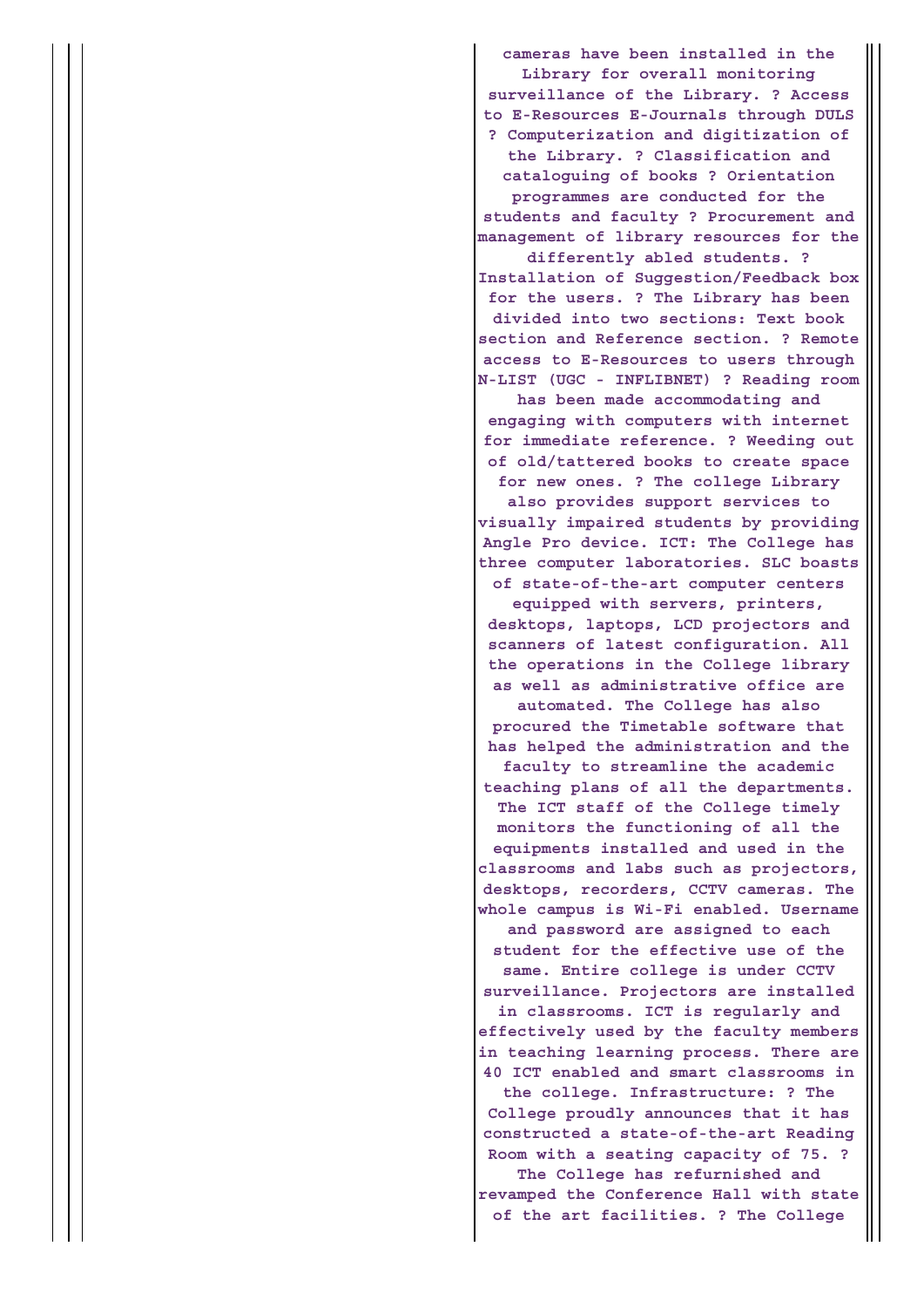**cameras have been installed in the Library for overall monitoring surveillance of the Library. ? Access to E-Resources E-Journals through DULS ? Computerization and digitization of the Library. ? Classification and cataloguing of books ? Orientation programmes are conducted for the students and faculty ? Procurement and management of library resources for the differently abled students. ? Installation of Suggestion/Feedback box for the users. ? The Library has been divided into two sections: Text book section and Reference section. ? Remote access to E-Resources to users through N-LIST (UGC - INFLIBNET) ? Reading room has been made accommodating and engaging with computers with internet for immediate reference. ? Weeding out of old/tattered books to create space for new ones. ? The college Library also provides support services to visually impaired students by providing Angle Pro device. ICT: The College has three computer laboratories. SLC boasts of state-of-the-art computer centers equipped with servers, printers, desktops, laptops, LCD projectors and scanners of latest configuration. All the operations in the College library as well as administrative office are automated. The College has also procured the Timetable software that has helped the administration and the faculty to streamline the academic teaching plans of all the departments. The ICT staff of the College timely monitors the functioning of all the equipments installed and used in the classrooms and labs such as projectors, desktops, recorders, CCTV cameras. The whole campus is Wi-Fi enabled. Username and password are assigned to each student for the effective use of the same. Entire college is under CCTV surveillance. Projectors are installed in classrooms. ICT is regularly and effectively used by the faculty members in teaching learning process. There are 40 ICT enabled and smart classrooms in the college. Infrastructure: ? The College proudly announces that it has constructed a state-of-the-art Reading Room with a seating capacity of 75. ? The College has refurnished and revamped the Conference Hall with state of the art facilities. ? The College**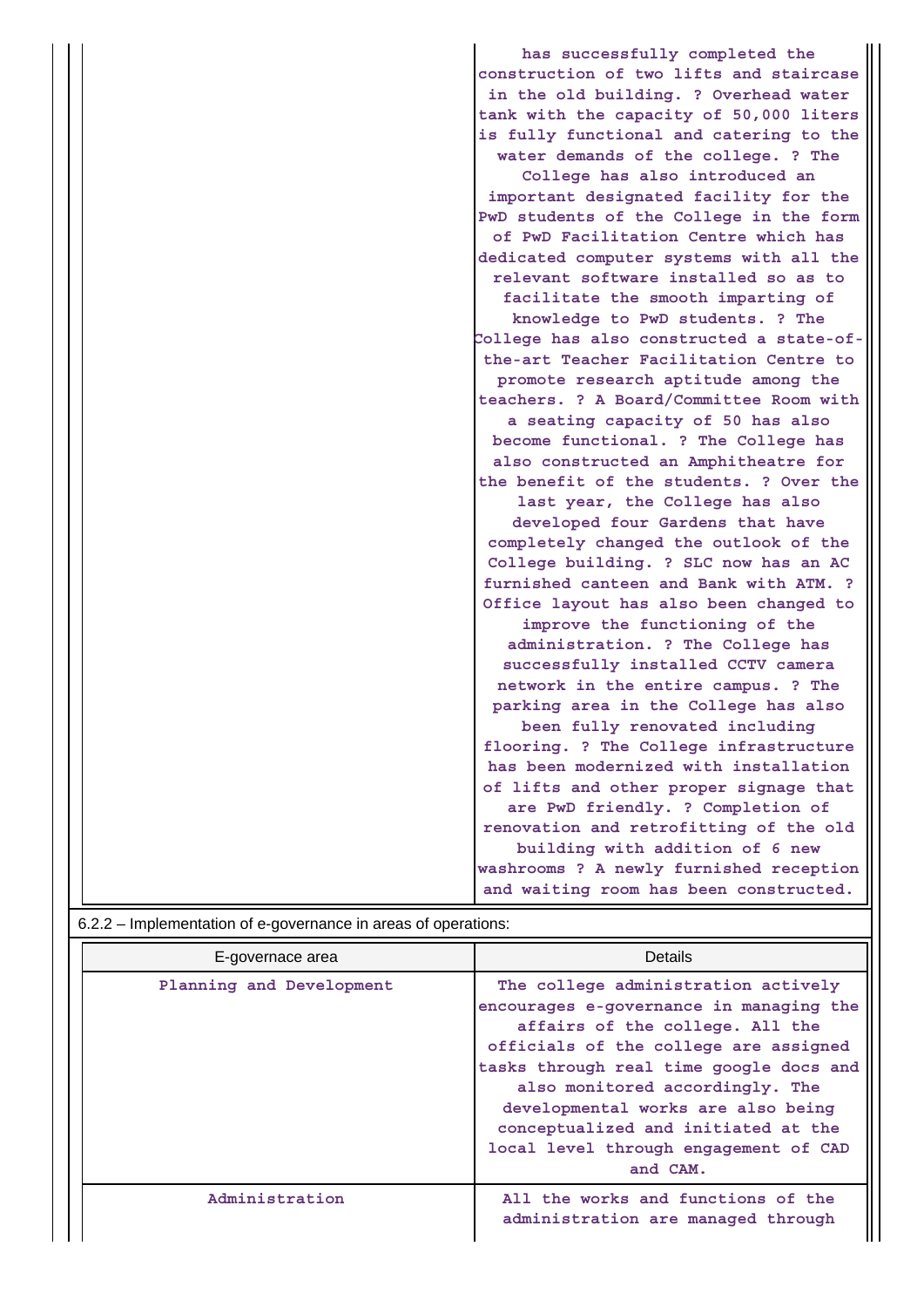|                                                                | has successfully completed the           |  |  |  |
|----------------------------------------------------------------|------------------------------------------|--|--|--|
|                                                                | construction of two lifts and staircase  |  |  |  |
|                                                                | in the old building. ? Overhead water    |  |  |  |
|                                                                | tank with the capacity of 50,000 liters  |  |  |  |
|                                                                | is fully functional and catering to the  |  |  |  |
|                                                                | water demands of the college. ? The      |  |  |  |
|                                                                | College has also introduced an           |  |  |  |
|                                                                | important designated facility for the    |  |  |  |
|                                                                | PwD students of the College in the form  |  |  |  |
|                                                                | of PwD Facilitation Centre which has     |  |  |  |
|                                                                | dedicated computer systems with all the  |  |  |  |
|                                                                | relevant software installed so as to     |  |  |  |
|                                                                | facilitate the smooth imparting of       |  |  |  |
|                                                                | knowledge to PwD students. ? The         |  |  |  |
|                                                                | College has also constructed a state-of- |  |  |  |
|                                                                | the-art Teacher Facilitation Centre to   |  |  |  |
|                                                                | promote research aptitude among the      |  |  |  |
|                                                                | teachers. ? A Board/Committee Room with  |  |  |  |
|                                                                | a seating capacity of 50 has also        |  |  |  |
|                                                                | become functional. ? The College has     |  |  |  |
|                                                                | also constructed an Amphitheatre for     |  |  |  |
|                                                                | the benefit of the students. ? Over the  |  |  |  |
|                                                                | last year, the College has also          |  |  |  |
|                                                                | developed four Gardens that have         |  |  |  |
|                                                                | completely changed the outlook of the    |  |  |  |
|                                                                | College building. ? SLC now has an AC    |  |  |  |
|                                                                | furnished canteen and Bank with ATM. ?   |  |  |  |
|                                                                | Office layout has also been changed to   |  |  |  |
|                                                                | improve the functioning of the           |  |  |  |
|                                                                | administration. ? The College has        |  |  |  |
|                                                                | successfully installed CCTV camera       |  |  |  |
|                                                                | network in the entire campus. ? The      |  |  |  |
|                                                                | parking area in the College has also     |  |  |  |
|                                                                | been fully renovated including           |  |  |  |
|                                                                | flooring. ? The College infrastructure   |  |  |  |
|                                                                | has been modernized with installation    |  |  |  |
|                                                                | of lifts and other proper signage that   |  |  |  |
|                                                                | are PwD friendly. ? Completion of        |  |  |  |
|                                                                | renovation and retrofitting of the old   |  |  |  |
|                                                                | building with addition of 6 new          |  |  |  |
|                                                                | washrooms ? A newly furnished reception  |  |  |  |
|                                                                | and waiting room has been constructed.   |  |  |  |
|                                                                |                                          |  |  |  |
| 6.2.2 – Implementation of e-governance in areas of operations: |                                          |  |  |  |

| impromontation or o governance in areae or operations. |                                                                                                                                                                                                                                                                                                                                                                            |  |  |
|--------------------------------------------------------|----------------------------------------------------------------------------------------------------------------------------------------------------------------------------------------------------------------------------------------------------------------------------------------------------------------------------------------------------------------------------|--|--|
| E-governace area                                       | <b>Details</b>                                                                                                                                                                                                                                                                                                                                                             |  |  |
| Planning and Development                               | The college administration actively<br>encourages e-governance in managing the<br>affairs of the college. All the<br>officials of the college are assigned<br>tasks through real time google docs and<br>also monitored accordingly. The<br>developmental works are also being<br>conceptualized and initiated at the<br>local level through engagement of CAD<br>and CAM. |  |  |
| Administration                                         | All the works and functions of the<br>administration are managed through                                                                                                                                                                                                                                                                                                   |  |  |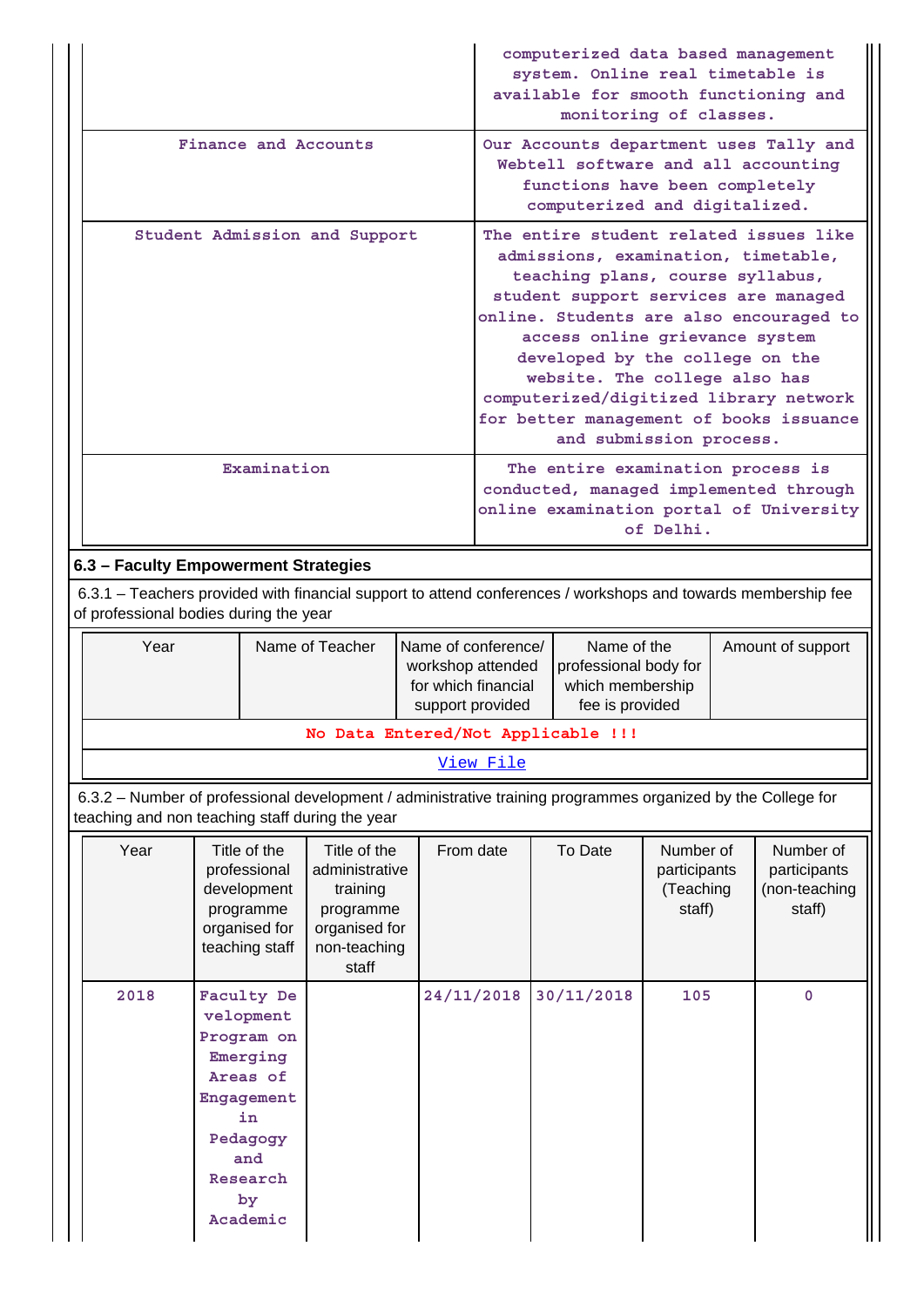|                                                                                                                                                                 |                      |                                                                                                                                    |                                                                                                   |                                                                                                                                                                                                                                                                                                                                                                                                                            |            |                                                                                                                                                                                         |  | computerized data based management<br>system. Online real timetable is<br>monitoring of classes. |                                                  |  | available for smooth functioning and                                              |
|-----------------------------------------------------------------------------------------------------------------------------------------------------------------|----------------------|------------------------------------------------------------------------------------------------------------------------------------|---------------------------------------------------------------------------------------------------|----------------------------------------------------------------------------------------------------------------------------------------------------------------------------------------------------------------------------------------------------------------------------------------------------------------------------------------------------------------------------------------------------------------------------|------------|-----------------------------------------------------------------------------------------------------------------------------------------------------------------------------------------|--|--------------------------------------------------------------------------------------------------|--------------------------------------------------|--|-----------------------------------------------------------------------------------|
|                                                                                                                                                                 | Finance and Accounts |                                                                                                                                    |                                                                                                   |                                                                                                                                                                                                                                                                                                                                                                                                                            |            | Our Accounts department uses Tally and<br>Webtell software and all accounting<br>functions have been completely<br>computerized and digitalized.                                        |  |                                                                                                  |                                                  |  |                                                                                   |
| Student Admission and Support                                                                                                                                   |                      |                                                                                                                                    |                                                                                                   | The entire student related issues like<br>admissions, examination, timetable,<br>teaching plans, course syllabus,<br>student support services are managed<br>online. Students are also encouraged to<br>access online grievance system<br>developed by the college on the<br>website. The college also has<br>computerized/digitized library network<br>for better management of books issuance<br>and submission process. |            |                                                                                                                                                                                         |  |                                                                                                  |                                                  |  |                                                                                   |
|                                                                                                                                                                 | Examination          |                                                                                                                                    |                                                                                                   |                                                                                                                                                                                                                                                                                                                                                                                                                            |            |                                                                                                                                                                                         |  | The entire examination process is                                                                | of Delhi.                                        |  | conducted, managed implemented through<br>online examination portal of University |
| 6.3 - Faculty Empowerment Strategies                                                                                                                            |                      |                                                                                                                                    |                                                                                                   |                                                                                                                                                                                                                                                                                                                                                                                                                            |            |                                                                                                                                                                                         |  |                                                                                                  |                                                  |  |                                                                                   |
| 6.3.1 – Teachers provided with financial support to attend conferences / workshops and towards membership fee<br>of professional bodies during the year         |                      |                                                                                                                                    |                                                                                                   |                                                                                                                                                                                                                                                                                                                                                                                                                            |            |                                                                                                                                                                                         |  |                                                                                                  |                                                  |  |                                                                                   |
| Year                                                                                                                                                            |                      |                                                                                                                                    | Name of Teacher                                                                                   |                                                                                                                                                                                                                                                                                                                                                                                                                            |            | Name of conference/<br>Name of the<br>Amount of support<br>workshop attended<br>professional body for<br>for which financial<br>which membership<br>fee is provided<br>support provided |  |                                                                                                  |                                                  |  |                                                                                   |
|                                                                                                                                                                 |                      |                                                                                                                                    | No Data Entered/Not Applicable !!!                                                                |                                                                                                                                                                                                                                                                                                                                                                                                                            |            |                                                                                                                                                                                         |  |                                                                                                  |                                                  |  |                                                                                   |
|                                                                                                                                                                 |                      |                                                                                                                                    |                                                                                                   |                                                                                                                                                                                                                                                                                                                                                                                                                            | View File  |                                                                                                                                                                                         |  |                                                                                                  |                                                  |  |                                                                                   |
| 6.3.2 – Number of professional development / administrative training programmes organized by the College for<br>teaching and non teaching staff during the year |                      |                                                                                                                                    |                                                                                                   |                                                                                                                                                                                                                                                                                                                                                                                                                            |            |                                                                                                                                                                                         |  |                                                                                                  |                                                  |  |                                                                                   |
| Year                                                                                                                                                            |                      | Title of the<br>professional<br>development<br>programme<br>organised for<br>teaching staff                                        | Title of the<br>administrative<br>training<br>programme<br>organised for<br>non-teaching<br>staff |                                                                                                                                                                                                                                                                                                                                                                                                                            | From date  |                                                                                                                                                                                         |  | To Date                                                                                          | Number of<br>participants<br>(Teaching<br>staff) |  | Number of<br>participants<br>(non-teaching<br>staff)                              |
| 2018                                                                                                                                                            |                      | Faculty De<br>velopment<br>Program on<br>Emerging<br>Areas of<br>Engagement<br>in<br>Pedagogy<br>and<br>Research<br>by<br>Academic |                                                                                                   |                                                                                                                                                                                                                                                                                                                                                                                                                            | 24/11/2018 |                                                                                                                                                                                         |  | 30/11/2018                                                                                       | 105                                              |  | 0                                                                                 |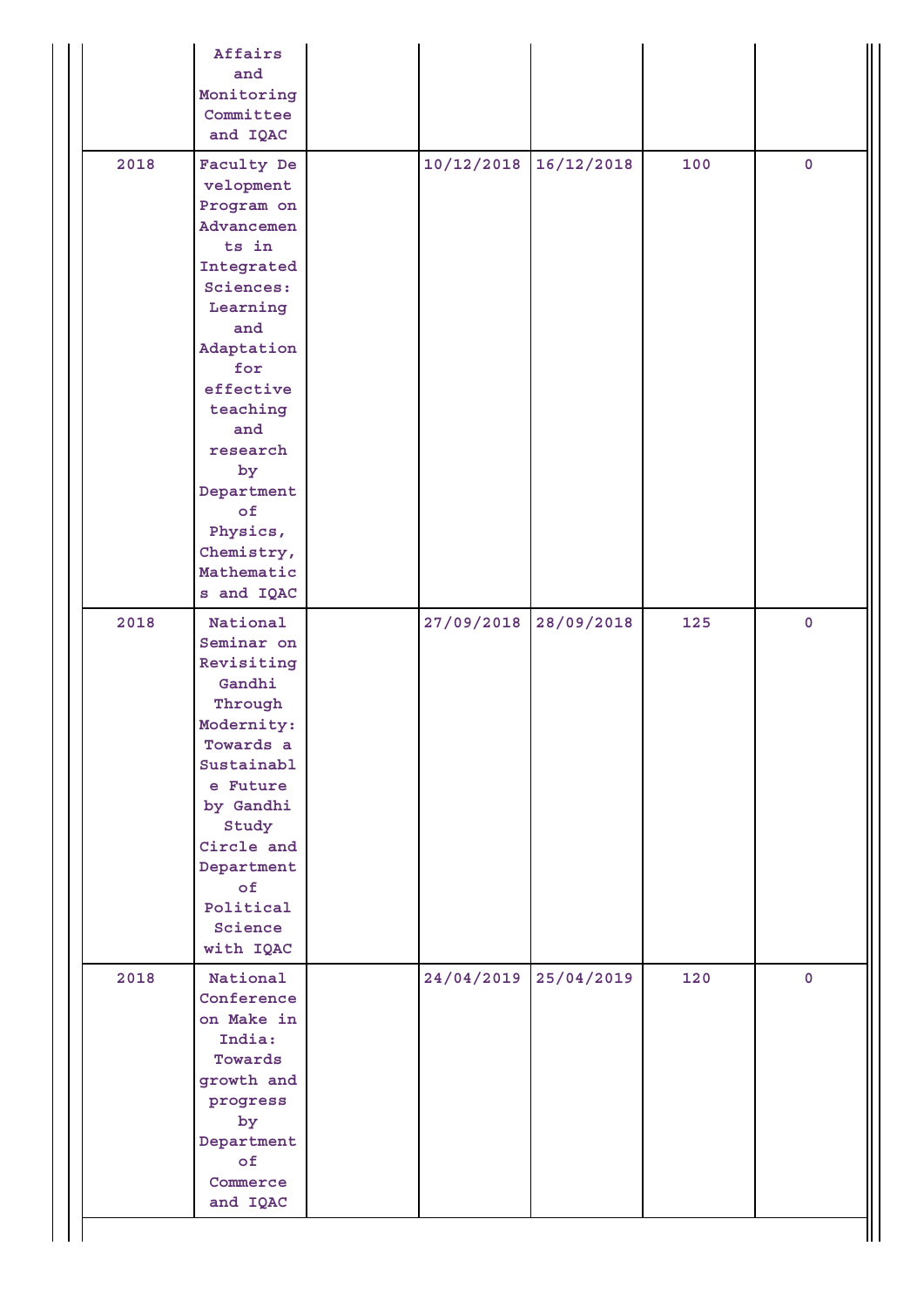|      | Affairs<br>and<br>Monitoring<br>Committee<br>and IQAC                                                                                                                                                                                                       |            |            |     |             |
|------|-------------------------------------------------------------------------------------------------------------------------------------------------------------------------------------------------------------------------------------------------------------|------------|------------|-----|-------------|
| 2018 | Faculty De<br>velopment<br>Program on<br>Advancemen<br>ts in<br>Integrated<br>Sciences:<br>Learning<br>and<br>Adaptation<br>for<br>effective<br>teaching<br>and<br>research<br>by<br>Department<br>of<br>Physics,<br>Chemistry,<br>Mathematic<br>s and IQAC | 10/12/2018 | 16/12/2018 | 100 | $\mathbf 0$ |
| 2018 | National<br>Seminar on<br>Revisiting<br>Gandhi<br>Through<br>Modernity:<br>Towards a<br>Sustainabl<br>e Future<br>by Gandhi<br>Study<br>Circle and<br>Department<br>$\circ$ f<br>Political<br>Science<br>with IQAC                                          | 27/09/2018 | 28/09/2018 | 125 | $\pmb{0}$   |
| 2018 | National<br>Conference<br>on Make in<br>India:<br>Towards<br>growth and<br>progress<br>by<br>Department<br>$\circ$ f<br>Commerce<br>and IQAC                                                                                                                | 24/04/2019 | 25/04/2019 | 120 | $\mathbf 0$ |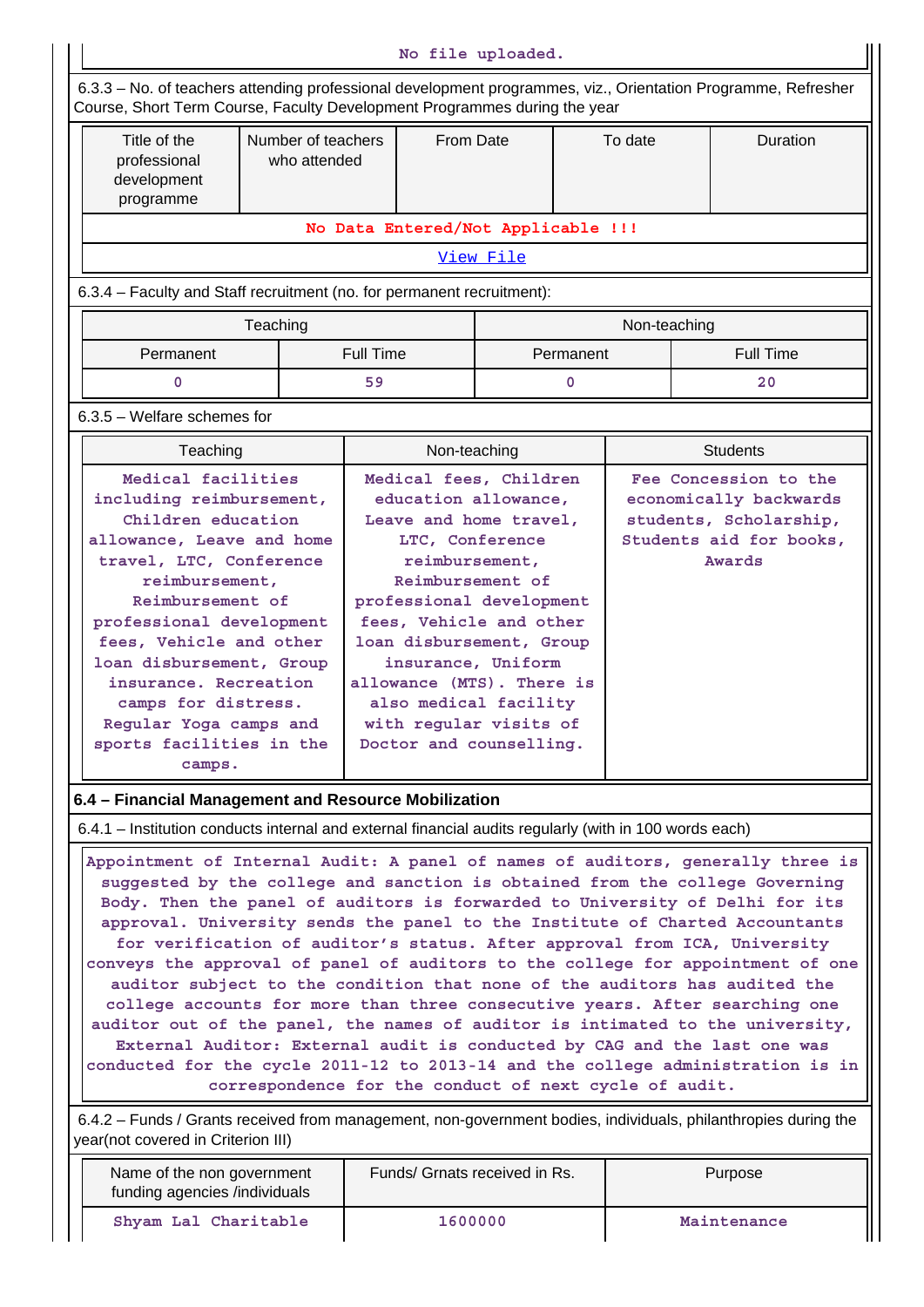| No file uploaded.                                                                                                                                                                                                                                                                                                                                                                                                                                                                                                                                                                                                                                                                                                                                                                                                                                                                                                                                                        |                                                                                                                                                                                                                                                                                                                             |                                    |              |                                                                                       |              |                 |                  |
|--------------------------------------------------------------------------------------------------------------------------------------------------------------------------------------------------------------------------------------------------------------------------------------------------------------------------------------------------------------------------------------------------------------------------------------------------------------------------------------------------------------------------------------------------------------------------------------------------------------------------------------------------------------------------------------------------------------------------------------------------------------------------------------------------------------------------------------------------------------------------------------------------------------------------------------------------------------------------|-----------------------------------------------------------------------------------------------------------------------------------------------------------------------------------------------------------------------------------------------------------------------------------------------------------------------------|------------------------------------|--------------|---------------------------------------------------------------------------------------|--------------|-----------------|------------------|
| 6.3.3 - No. of teachers attending professional development programmes, viz., Orientation Programme, Refresher<br>Course, Short Term Course, Faculty Development Programmes during the year                                                                                                                                                                                                                                                                                                                                                                                                                                                                                                                                                                                                                                                                                                                                                                               |                                                                                                                                                                                                                                                                                                                             |                                    |              |                                                                                       |              |                 |                  |
| Title of the<br>professional<br>development<br>programme                                                                                                                                                                                                                                                                                                                                                                                                                                                                                                                                                                                                                                                                                                                                                                                                                                                                                                                 | Number of teachers<br>From Date<br>who attended                                                                                                                                                                                                                                                                             |                                    |              | To date                                                                               |              | <b>Duration</b> |                  |
|                                                                                                                                                                                                                                                                                                                                                                                                                                                                                                                                                                                                                                                                                                                                                                                                                                                                                                                                                                          |                                                                                                                                                                                                                                                                                                                             | No Data Entered/Not Applicable !!! |              |                                                                                       |              |                 |                  |
| View File                                                                                                                                                                                                                                                                                                                                                                                                                                                                                                                                                                                                                                                                                                                                                                                                                                                                                                                                                                |                                                                                                                                                                                                                                                                                                                             |                                    |              |                                                                                       |              |                 |                  |
| 6.3.4 - Faculty and Staff recruitment (no. for permanent recruitment):                                                                                                                                                                                                                                                                                                                                                                                                                                                                                                                                                                                                                                                                                                                                                                                                                                                                                                   |                                                                                                                                                                                                                                                                                                                             |                                    |              |                                                                                       |              |                 |                  |
|                                                                                                                                                                                                                                                                                                                                                                                                                                                                                                                                                                                                                                                                                                                                                                                                                                                                                                                                                                          | Teaching                                                                                                                                                                                                                                                                                                                    |                                    |              |                                                                                       | Non-teaching |                 |                  |
| Permanent                                                                                                                                                                                                                                                                                                                                                                                                                                                                                                                                                                                                                                                                                                                                                                                                                                                                                                                                                                |                                                                                                                                                                                                                                                                                                                             | <b>Full Time</b>                   |              | Permanent                                                                             |              |                 | <b>Full Time</b> |
| 0                                                                                                                                                                                                                                                                                                                                                                                                                                                                                                                                                                                                                                                                                                                                                                                                                                                                                                                                                                        |                                                                                                                                                                                                                                                                                                                             | 59                                 |              | 0                                                                                     |              |                 | 20               |
| 6.3.5 - Welfare schemes for                                                                                                                                                                                                                                                                                                                                                                                                                                                                                                                                                                                                                                                                                                                                                                                                                                                                                                                                              |                                                                                                                                                                                                                                                                                                                             |                                    |              |                                                                                       |              |                 |                  |
| Teaching<br>Medical facilities                                                                                                                                                                                                                                                                                                                                                                                                                                                                                                                                                                                                                                                                                                                                                                                                                                                                                                                                           |                                                                                                                                                                                                                                                                                                                             |                                    | Non-teaching |                                                                                       |              | <b>Students</b> |                  |
| including reimbursement,<br>Children education<br>allowance, Leave and home<br>travel, LTC, Conference<br>reimbursement,<br>Reimbursement of<br>professional development<br>fees, Vehicle and other<br>loan disbursement, Group<br>insurance. Recreation<br>camps for distress.<br>Regular Yoga camps and<br>sports facilities in the<br>camps.                                                                                                                                                                                                                                                                                                                                                                                                                                                                                                                                                                                                                          | education allowance,<br>Leave and home travel,<br>LTC, Conference<br>reimbursement,<br>Reimbursement of<br>professional development<br>fees, Vehicle and other<br>loan disbursement, Group<br>insurance, Uniform<br>allowance (MTS). There is<br>also medical facility<br>with regular visits of<br>Doctor and counselling. |                                    |              | economically backwards<br>students, Scholarship,<br>Students aid for books,<br>Awards |              |                 |                  |
| 6.4 - Financial Management and Resource Mobilization                                                                                                                                                                                                                                                                                                                                                                                                                                                                                                                                                                                                                                                                                                                                                                                                                                                                                                                     |                                                                                                                                                                                                                                                                                                                             |                                    |              |                                                                                       |              |                 |                  |
| 6.4.1 – Institution conducts internal and external financial audits regularly (with in 100 words each)                                                                                                                                                                                                                                                                                                                                                                                                                                                                                                                                                                                                                                                                                                                                                                                                                                                                   |                                                                                                                                                                                                                                                                                                                             |                                    |              |                                                                                       |              |                 |                  |
| Appointment of Internal Audit: A panel of names of auditors, generally three is<br>suggested by the college and sanction is obtained from the college Governing<br>Body. Then the panel of auditors is forwarded to University of Delhi for its<br>approval. University sends the panel to the Institute of Charted Accountants<br>for verification of auditor's status. After approval from ICA, University<br>conveys the approval of panel of auditors to the college for appointment of one<br>auditor subject to the condition that none of the auditors has audited the<br>college accounts for more than three consecutive years. After searching one<br>auditor out of the panel, the names of auditor is intimated to the university,<br>External Auditor: External audit is conducted by CAG and the last one was<br>conducted for the cycle 2011-12 to 2013-14 and the college administration is in<br>correspondence for the conduct of next cycle of audit. |                                                                                                                                                                                                                                                                                                                             |                                    |              |                                                                                       |              |                 |                  |
| 6.4.2 – Funds / Grants received from management, non-government bodies, individuals, philanthropies during the<br>year(not covered in Criterion III)                                                                                                                                                                                                                                                                                                                                                                                                                                                                                                                                                                                                                                                                                                                                                                                                                     |                                                                                                                                                                                                                                                                                                                             |                                    |              |                                                                                       |              |                 |                  |
| Name of the non government<br>funding agencies /individuals                                                                                                                                                                                                                                                                                                                                                                                                                                                                                                                                                                                                                                                                                                                                                                                                                                                                                                              |                                                                                                                                                                                                                                                                                                                             | Funds/ Grnats received in Rs.      |              |                                                                                       |              | Purpose         |                  |
| Shyam Lal Charitable                                                                                                                                                                                                                                                                                                                                                                                                                                                                                                                                                                                                                                                                                                                                                                                                                                                                                                                                                     |                                                                                                                                                                                                                                                                                                                             |                                    | 1600000      |                                                                                       |              | Maintenance     |                  |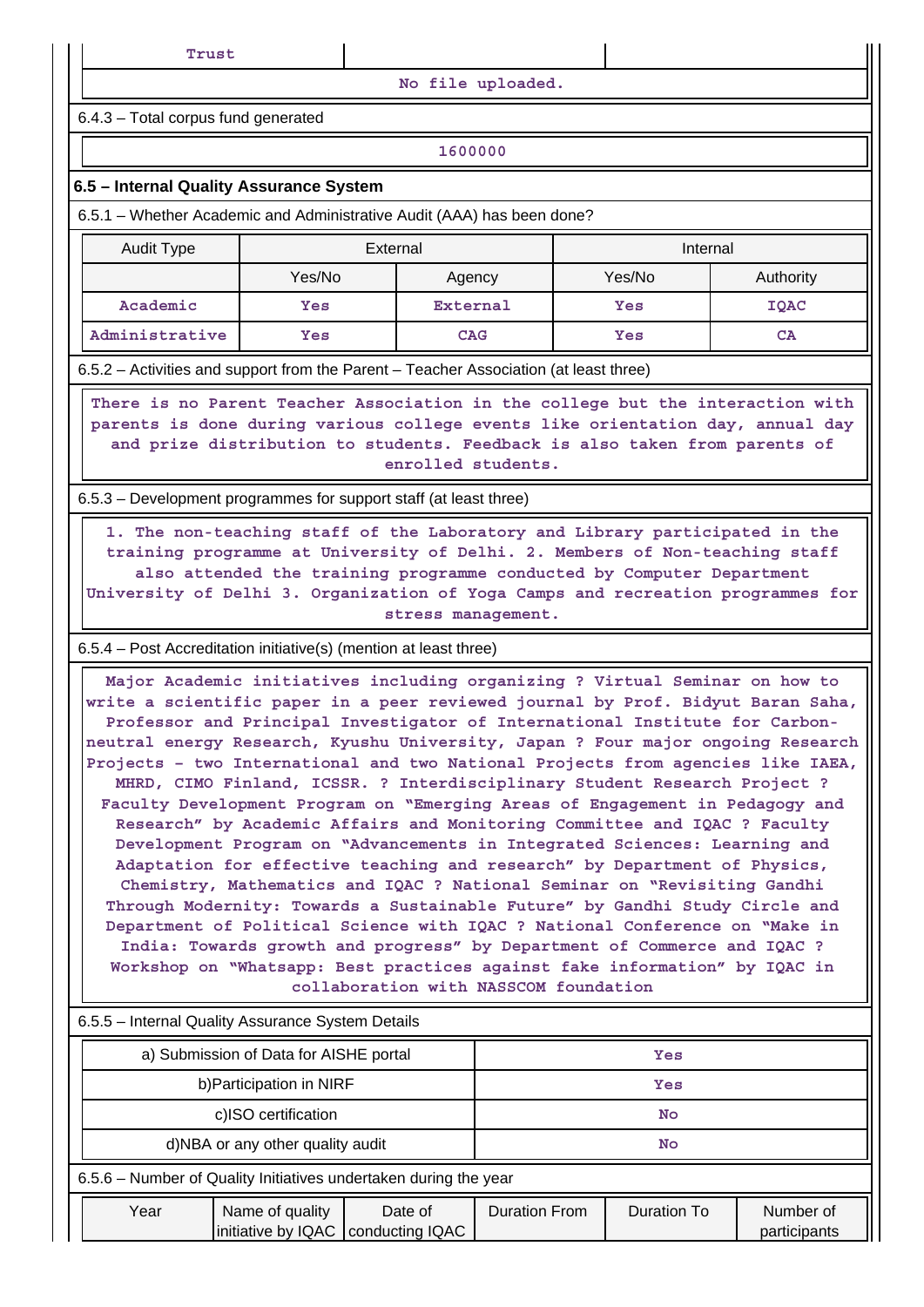**No file uploaded.**

6.4.3 – Total corpus fund generated

## **1600000**

#### **6.5 – Internal Quality Assurance System**

6.5.1 – Whether Academic and Administrative Audit (AAA) has been done?

| Audit Type     | External |            | Internal |           |  |
|----------------|----------|------------|----------|-----------|--|
|                | Yes/No   | Agency     | Yes/No   | Authority |  |
| Academic       | Yes      | External   | Yes      | IQAC      |  |
| Administrative | Yes      | <b>CAG</b> | Yes      | CA        |  |

6.5.2 – Activities and support from the Parent – Teacher Association (at least three)

 **There is no Parent Teacher Association in the college but the interaction with parents is done during various college events like orientation day, annual day and prize distribution to students. Feedback is also taken from parents of enrolled students.**

6.5.3 – Development programmes for support staff (at least three)

 **1. The non-teaching staff of the Laboratory and Library participated in the training programme at University of Delhi. 2. Members of Non-teaching staff also attended the training programme conducted by Computer Department University of Delhi 3. Organization of Yoga Camps and recreation programmes for stress management.**

#### 6.5.4 – Post Accreditation initiative(s) (mention at least three)

 **Major Academic initiatives including organizing ? Virtual Seminar on how to write a scientific paper in a peer reviewed journal by Prof. Bidyut Baran Saha, Professor and Principal Investigator of International Institute for Carbonneutral energy Research, Kyushu University, Japan ? Four major ongoing Research Projects – two International and two National Projects from agencies like IAEA, MHRD, CIMO Finland, ICSSR. ? Interdisciplinary Student Research Project ? Faculty Development Program on "Emerging Areas of Engagement in Pedagogy and Research" by Academic Affairs and Monitoring Committee and IQAC ? Faculty Development Program on "Advancements in Integrated Sciences: Learning and Adaptation for effective teaching and research" by Department of Physics, Chemistry, Mathematics and IQAC ? National Seminar on "Revisiting Gandhi Through Modernity: Towards a Sustainable Future" by Gandhi Study Circle and Department of Political Science with IQAC ? National Conference on "Make in India: Towards growth and progress" by Department of Commerce and IQAC ? Workshop on "Whatsapp: Best practices against fake information" by IQAC in collaboration with NASSCOM foundation**

| 6.5.5 - Internal Quality Assurance System Details |                                                                  |             |                           |  |  |  |  |
|---------------------------------------------------|------------------------------------------------------------------|-------------|---------------------------|--|--|--|--|
|                                                   | a) Submission of Data for AISHE portal                           |             | Yes                       |  |  |  |  |
|                                                   | b) Participation in NIRF                                         |             | Yes                       |  |  |  |  |
|                                                   | c)ISO certification                                              |             | No.                       |  |  |  |  |
|                                                   | d)NBA or any other quality audit                                 |             | No.                       |  |  |  |  |
|                                                   | 6.5.6 - Number of Quality Initiatives undertaken during the year |             |                           |  |  |  |  |
| Year                                              | Name of quality<br>initiative by IQAC   conducting IQAC          | Duration To | Number of<br>participants |  |  |  |  |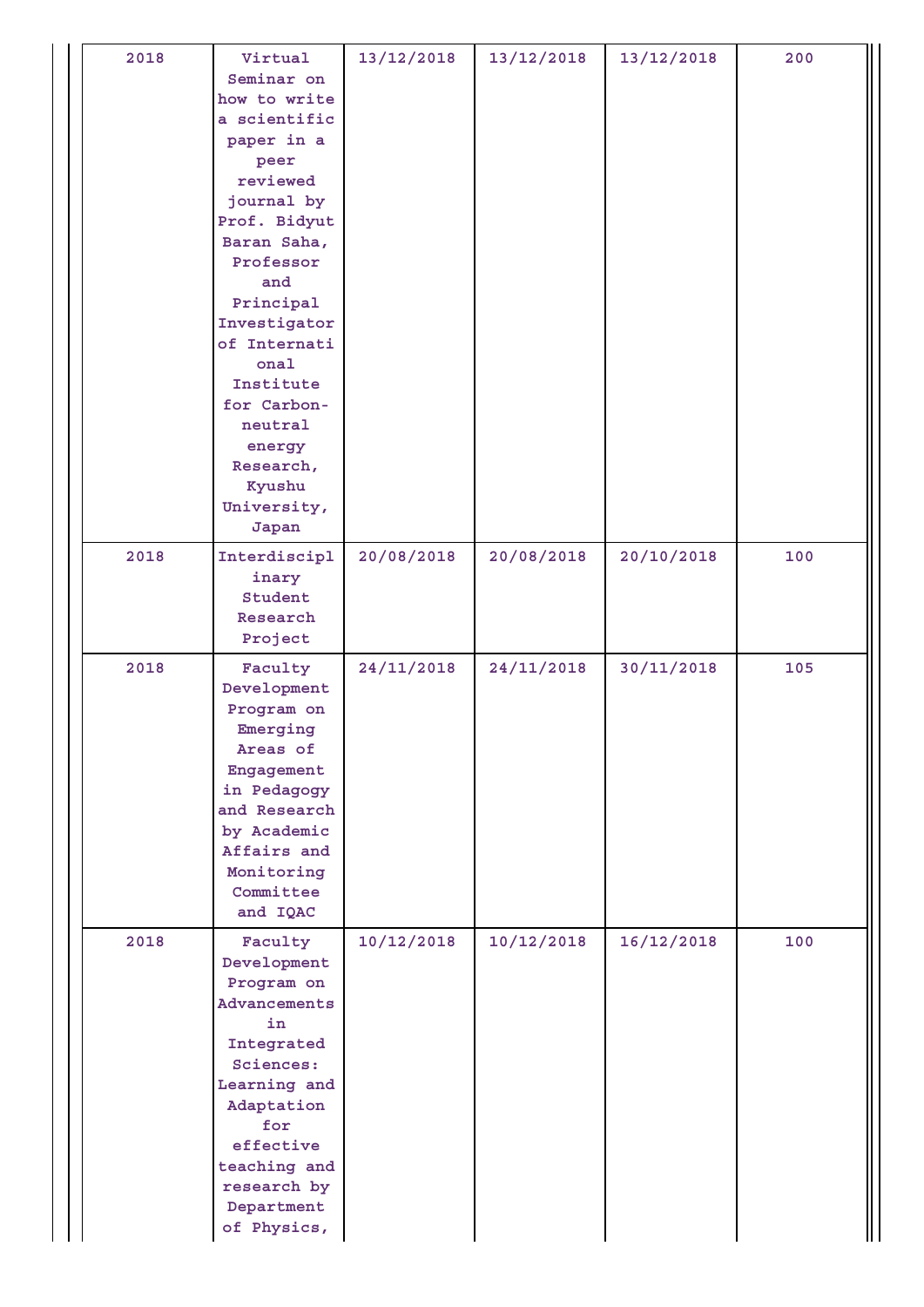| 2018 | Virtual<br>Seminar on<br>how to write<br>a scientific<br>paper in a<br>peer<br>reviewed<br>journal by<br>Prof. Bidyut<br>Baran Saha,<br>Professor<br>and<br>Principal<br>Investigator<br>of Internati<br>onal<br>Institute<br>for Carbon-<br>neutral<br>energy<br>Research,<br>Kyushu<br>University,<br>Japan | 13/12/2018 | 13/12/2018 | 13/12/2018 | 200 |
|------|---------------------------------------------------------------------------------------------------------------------------------------------------------------------------------------------------------------------------------------------------------------------------------------------------------------|------------|------------|------------|-----|
| 2018 | Interdiscipl<br>inary<br>Student<br>Research<br>Project                                                                                                                                                                                                                                                       | 20/08/2018 | 20/08/2018 | 20/10/2018 | 100 |
| 2018 | Faculty<br>Development<br>Program on<br>Emerging<br>Areas of<br>Engagement<br>in Pedagogy<br>and Research<br>by Academic<br>Affairs and<br>Monitoring<br>Committee<br>and IQAC                                                                                                                                | 24/11/2018 | 24/11/2018 | 30/11/2018 | 105 |
| 2018 | Faculty<br>Development<br>Program on<br>Advancements<br>in<br>Integrated<br>Sciences:<br>Learning and<br>Adaptation<br>for<br>effective<br>teaching and<br>research by<br>Department<br>of Physics,                                                                                                           | 10/12/2018 | 10/12/2018 | 16/12/2018 | 100 |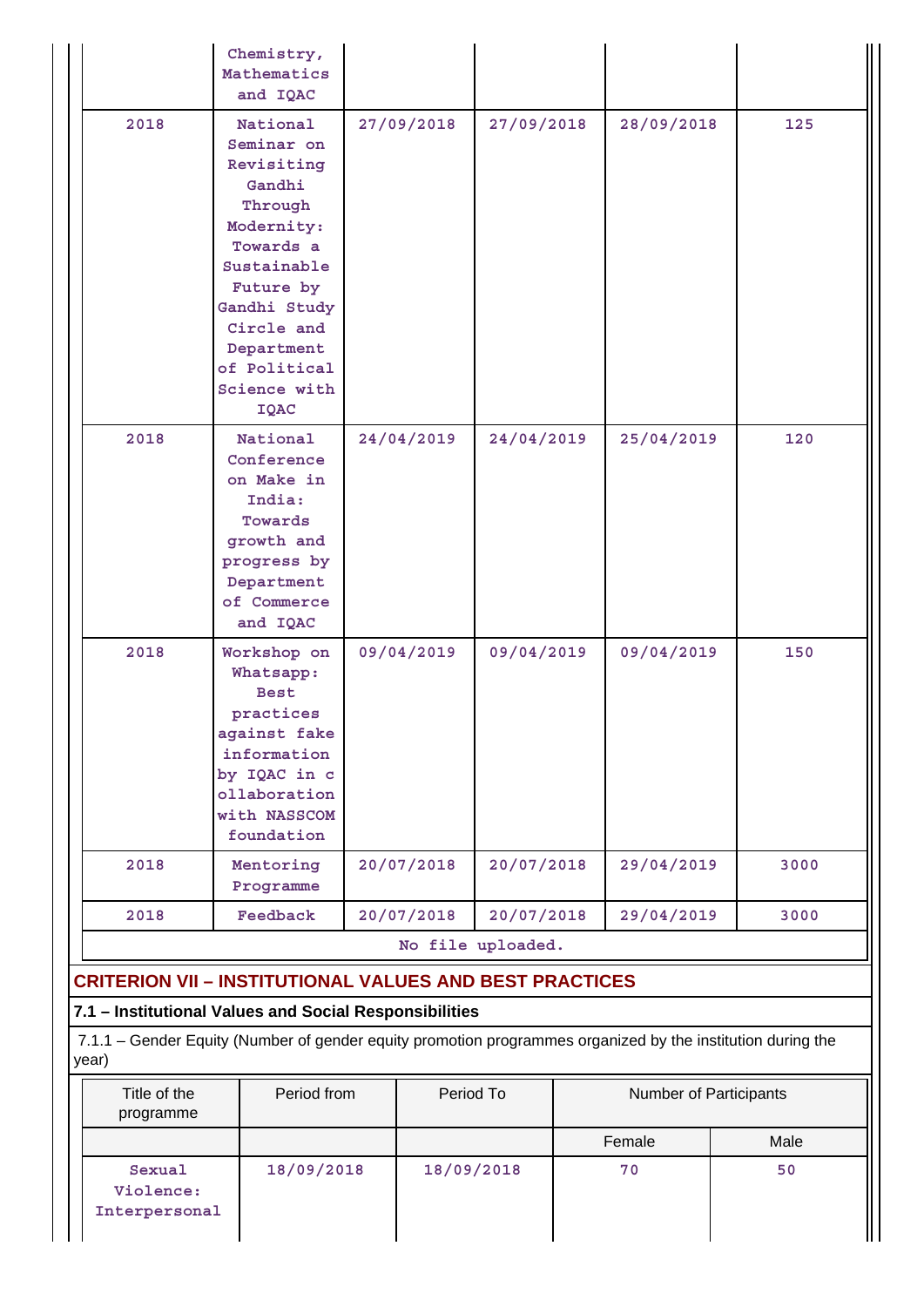|                                                                                                                                                                                | Chemistry,<br>Mathematics<br>and IQAC                                                                                                                                                                       |            |                   |                        |            |      |
|--------------------------------------------------------------------------------------------------------------------------------------------------------------------------------|-------------------------------------------------------------------------------------------------------------------------------------------------------------------------------------------------------------|------------|-------------------|------------------------|------------|------|
| 2018                                                                                                                                                                           | National<br>Seminar on<br>Revisiting<br>Gandhi<br>Through<br>Modernity:<br>Towards a<br>Sustainable<br>Future by<br>Gandhi Study<br>Circle and<br>Department<br>of Political<br>Science with<br><b>IQAC</b> | 27/09/2018 | 27/09/2018        |                        | 28/09/2018 | 125  |
| 2018                                                                                                                                                                           | National<br>Conference<br>on Make in<br>India:<br>Towards<br>growth and<br>progress by<br>Department<br>of Commerce<br>and IQAC                                                                             | 24/04/2019 | 24/04/2019        |                        | 25/04/2019 | 120  |
| 2018                                                                                                                                                                           | Workshop on<br>Whatsapp:<br><b>Best</b><br>practices<br>against fake<br>information<br>by IQAC in c<br>ollaboration<br>with NASSCOM<br>foundation                                                           | 09/04/2019 | 09/04/2019        |                        | 09/04/2019 | 150  |
| 2018                                                                                                                                                                           | Mentoring<br>Programme                                                                                                                                                                                      | 20/07/2018 | 20/07/2018        |                        | 29/04/2019 | 3000 |
| 2018                                                                                                                                                                           | Feedback                                                                                                                                                                                                    | 20/07/2018 | 20/07/2018        |                        | 29/04/2019 | 3000 |
|                                                                                                                                                                                |                                                                                                                                                                                                             |            | No file uploaded. |                        |            |      |
| <b>CRITERION VII - INSTITUTIONAL VALUES AND BEST PRACTICES</b>                                                                                                                 |                                                                                                                                                                                                             |            |                   |                        |            |      |
| 7.1 - Institutional Values and Social Responsibilities<br>7.1.1 - Gender Equity (Number of gender equity promotion programmes organized by the institution during the<br>year) |                                                                                                                                                                                                             |            |                   |                        |            |      |
| Title of the<br>programme                                                                                                                                                      | Period from                                                                                                                                                                                                 | Period To  |                   | Number of Participants |            |      |

| programme                            |            |            |        |      |
|--------------------------------------|------------|------------|--------|------|
|                                      |            |            | Female | Male |
| Sexual<br>Violence:<br>Interpersonal | 18/09/2018 | 18/09/2018 | 70     | 50   |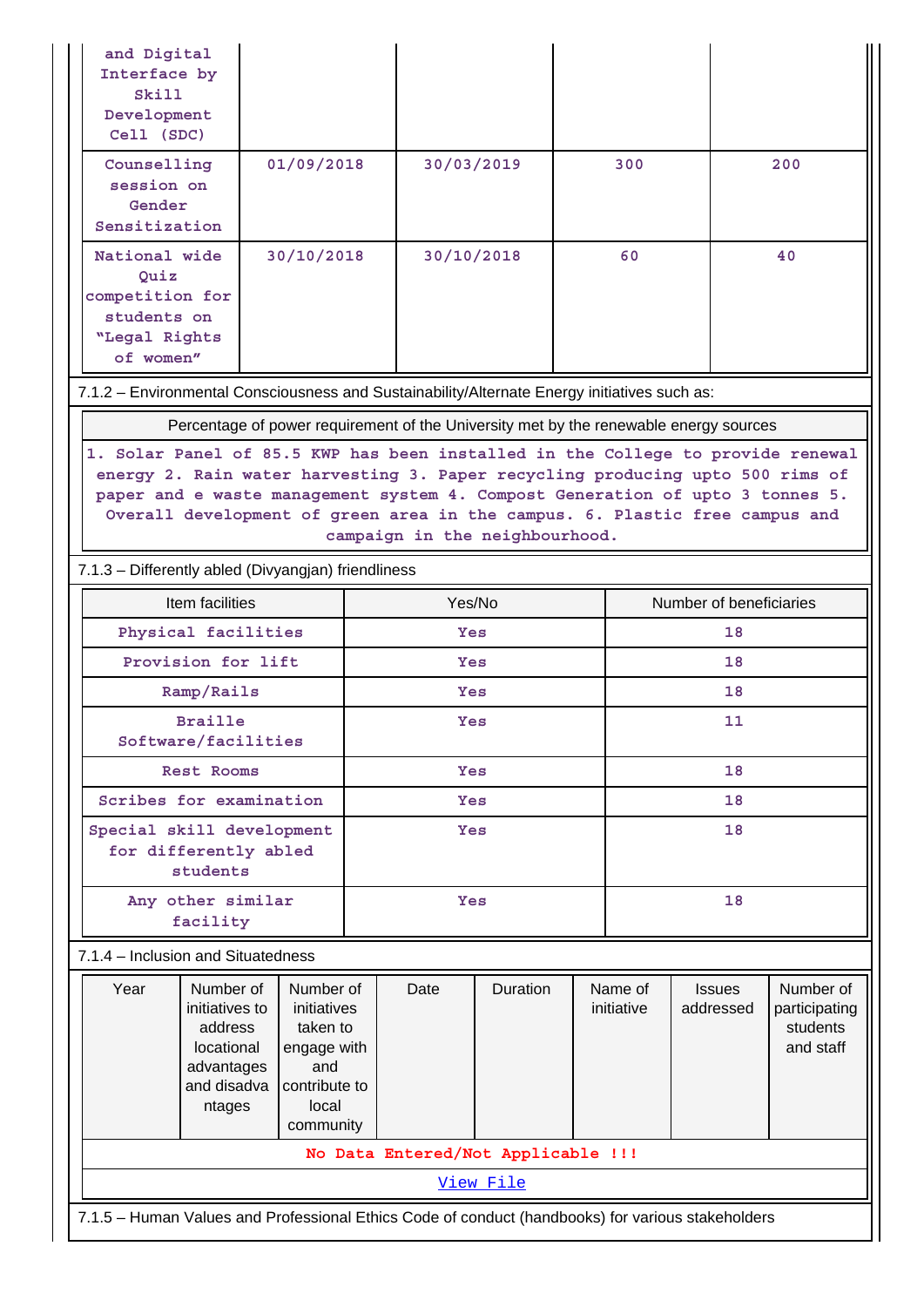| and Digital<br>Interface by |                                                                                                                                                                  |                         |     |            |                                    |    |            |               |                           |
|-----------------------------|------------------------------------------------------------------------------------------------------------------------------------------------------------------|-------------------------|-----|------------|------------------------------------|----|------------|---------------|---------------------------|
| Skill                       |                                                                                                                                                                  |                         |     |            |                                    |    |            |               |                           |
| Development<br>Cell (SDC)   |                                                                                                                                                                  |                         |     |            |                                    |    |            |               |                           |
| Counselling                 |                                                                                                                                                                  | 01/09/2018              |     | 30/03/2019 |                                    |    | 300        |               | 200                       |
| session on<br>Gender        |                                                                                                                                                                  |                         |     |            |                                    |    |            |               |                           |
| Sensitization               |                                                                                                                                                                  |                         |     |            |                                    |    |            |               |                           |
|                             | National wide<br>30/10/2018<br>30/10/2018<br>Ouiz                                                                                                                |                         |     |            |                                    | 60 |            | 40            |                           |
| competition for             |                                                                                                                                                                  |                         |     |            |                                    |    |            |               |                           |
| students on                 |                                                                                                                                                                  |                         |     |            |                                    |    |            |               |                           |
| "Legal Rights<br>of women"  |                                                                                                                                                                  |                         |     |            |                                    |    |            |               |                           |
|                             | 7.1.2 - Environmental Consciousness and Sustainability/Alternate Energy initiatives such as:                                                                     |                         |     |            |                                    |    |            |               |                           |
|                             |                                                                                                                                                                  |                         |     |            |                                    |    |            |               |                           |
|                             | Percentage of power requirement of the University met by the renewable energy sources                                                                            |                         |     |            |                                    |    |            |               |                           |
|                             | 1. Solar Panel of 85.5 KWP has been installed in the College to provide renewal<br>energy 2. Rain water harvesting 3. Paper recycling producing upto 500 rims of |                         |     |            |                                    |    |            |               |                           |
|                             | paper and e waste management system 4. Compost Generation of upto 3 tonnes 5.                                                                                    |                         |     |            |                                    |    |            |               |                           |
|                             | Overall development of green area in the campus. 6. Plastic free campus and                                                                                      |                         |     |            |                                    |    |            |               |                           |
|                             | campaign in the neighbourhood.                                                                                                                                   |                         |     |            |                                    |    |            |               |                           |
|                             | 7.1.3 - Differently abled (Divyangjan) friendliness<br>Number of beneficiaries                                                                                   |                         |     |            |                                    |    |            |               |                           |
|                             | Item facilities                                                                                                                                                  |                         |     |            | Yes/No<br>Yes                      |    |            |               |                           |
|                             | Physical facilities                                                                                                                                              |                         |     |            |                                    |    |            | 18            |                           |
|                             | Provision for lift                                                                                                                                               |                         |     | Yes<br>Yes |                                    |    |            | 18            |                           |
|                             | Ramp/Rails                                                                                                                                                       |                         |     |            |                                    |    |            | 18            |                           |
|                             | <b>Braille</b><br>Software/facilities                                                                                                                            |                         |     | Yes        |                                    |    |            | 11            |                           |
|                             | Rest Rooms                                                                                                                                                       |                         |     | Yes        |                                    |    |            | 18            |                           |
|                             | Scribes for examination                                                                                                                                          |                         | Yes |            |                                    | 18 |            |               |                           |
|                             | Special skill development                                                                                                                                        |                         |     | Yes        |                                    |    |            | 18            |                           |
|                             | for differently abled<br>students                                                                                                                                |                         |     |            |                                    |    |            |               |                           |
|                             | Any other similar                                                                                                                                                |                         |     | Yes        |                                    |    |            | 18            |                           |
|                             | facility                                                                                                                                                         |                         |     |            |                                    |    |            |               |                           |
|                             | 7.1.4 - Inclusion and Situatedness                                                                                                                               |                         |     |            |                                    |    |            |               |                           |
| Year                        | Number of                                                                                                                                                        | Number of               |     | Date       | Duration                           |    | Name of    | <b>Issues</b> | Number of                 |
|                             | initiatives to<br>address                                                                                                                                        | initiatives<br>taken to |     |            |                                    |    | initiative | addressed     | participating<br>students |
|                             | locational                                                                                                                                                       | engage with             |     |            |                                    |    |            |               | and staff                 |
|                             | advantages<br>and disadva                                                                                                                                        | and<br>contribute to    |     |            |                                    |    |            |               |                           |
|                             | ntages                                                                                                                                                           | local                   |     |            |                                    |    |            |               |                           |
|                             |                                                                                                                                                                  | community               |     |            |                                    |    |            |               |                           |
|                             |                                                                                                                                                                  |                         |     |            | No Data Entered/Not Applicable !!! |    |            |               |                           |
|                             |                                                                                                                                                                  |                         |     |            | View File                          |    |            |               |                           |
|                             | 7.1.5 - Human Values and Professional Ethics Code of conduct (handbooks) for various stakeholders                                                                |                         |     |            |                                    |    |            |               |                           |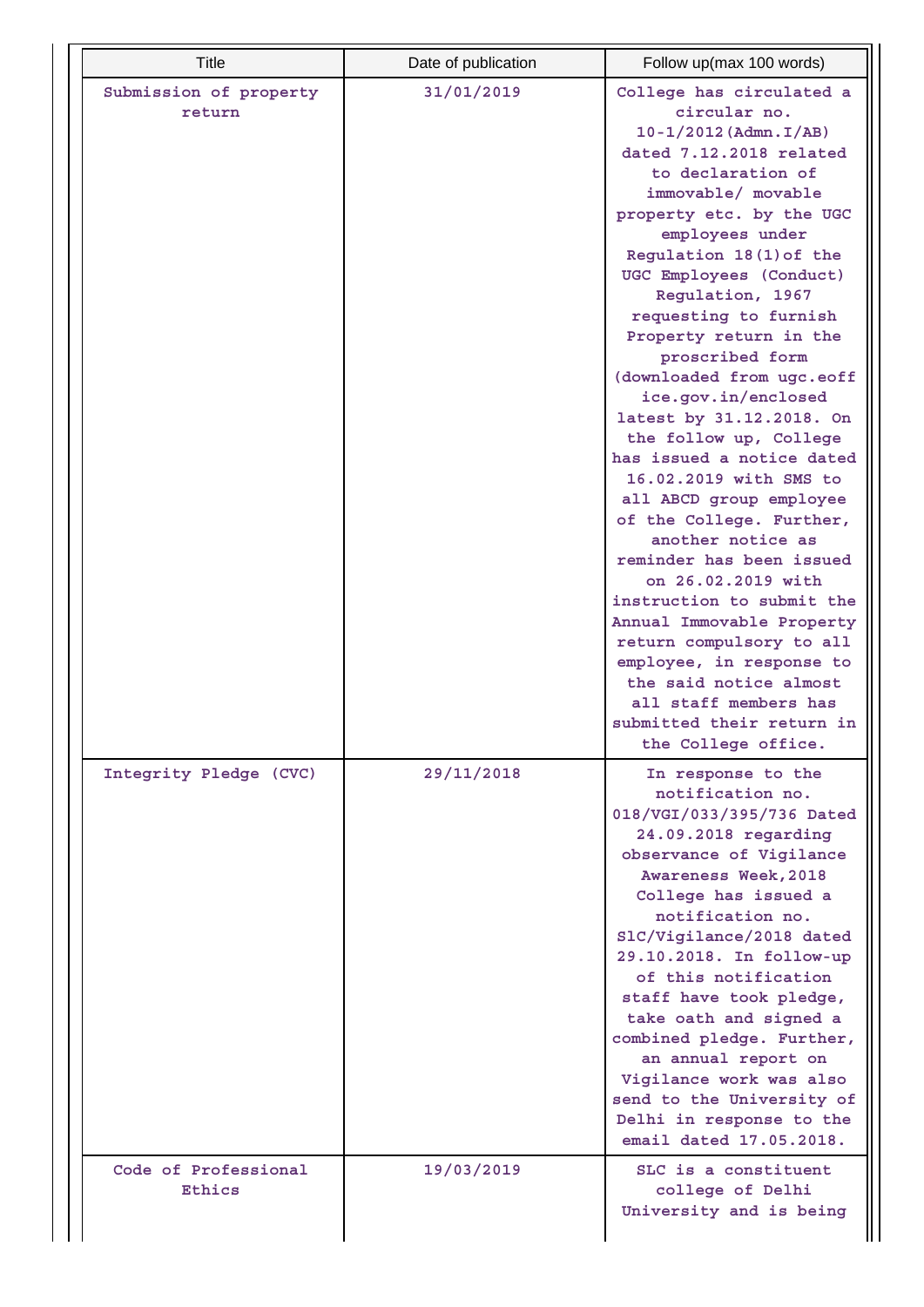| <b>Title</b>                     | Date of publication | Follow up(max 100 words)                                                                                                                                                                                                                                                                                                                                                                                                                                                                                                                                                                                                                                                                                                                                                                                                                                            |
|----------------------------------|---------------------|---------------------------------------------------------------------------------------------------------------------------------------------------------------------------------------------------------------------------------------------------------------------------------------------------------------------------------------------------------------------------------------------------------------------------------------------------------------------------------------------------------------------------------------------------------------------------------------------------------------------------------------------------------------------------------------------------------------------------------------------------------------------------------------------------------------------------------------------------------------------|
| Submission of property<br>return | 31/01/2019          | College has circulated a<br>circular no.<br>$10 - 1/2012$ (Admn. I/AB)<br>dated 7.12.2018 related<br>to declaration of<br>immovable/ movable<br>property etc. by the UGC<br>employees under<br>Regulation 18(1) of the<br>UGC Employees (Conduct)<br>Regulation, 1967<br>requesting to furnish<br>Property return in the<br>proscribed form<br>(downloaded from ugc.eoff<br>ice.gov.in/enclosed<br>latest by 31.12.2018. On<br>the follow up, College<br>has issued a notice dated<br>16.02.2019 with SMS to<br>all ABCD group employee<br>of the College. Further,<br>another notice as<br>reminder has been issued<br>on 26.02.2019 with<br>instruction to submit the<br>Annual Immovable Property<br>return compulsory to all<br>employee, in response to<br>the said notice almost<br>all staff members has<br>submitted their return in<br>the College office. |
| Integrity Pledge (CVC)           | 29/11/2018          | In response to the<br>notification no.<br>018/VGI/033/395/736 Dated<br>24.09.2018 regarding<br>observance of Vigilance<br>Awareness Week, 2018<br>College has issued a<br>notification no.<br>SlC/Vigilance/2018 dated<br>29.10.2018. In follow-up<br>of this notification<br>staff have took pledge,<br>take oath and signed a<br>combined pledge. Further,<br>an annual report on<br>Vigilance work was also<br>send to the University of<br>Delhi in response to the<br>email dated 17.05.2018.                                                                                                                                                                                                                                                                                                                                                                  |
| Code of Professional<br>Ethics   | 19/03/2019          | SLC is a constituent<br>college of Delhi<br>University and is being                                                                                                                                                                                                                                                                                                                                                                                                                                                                                                                                                                                                                                                                                                                                                                                                 |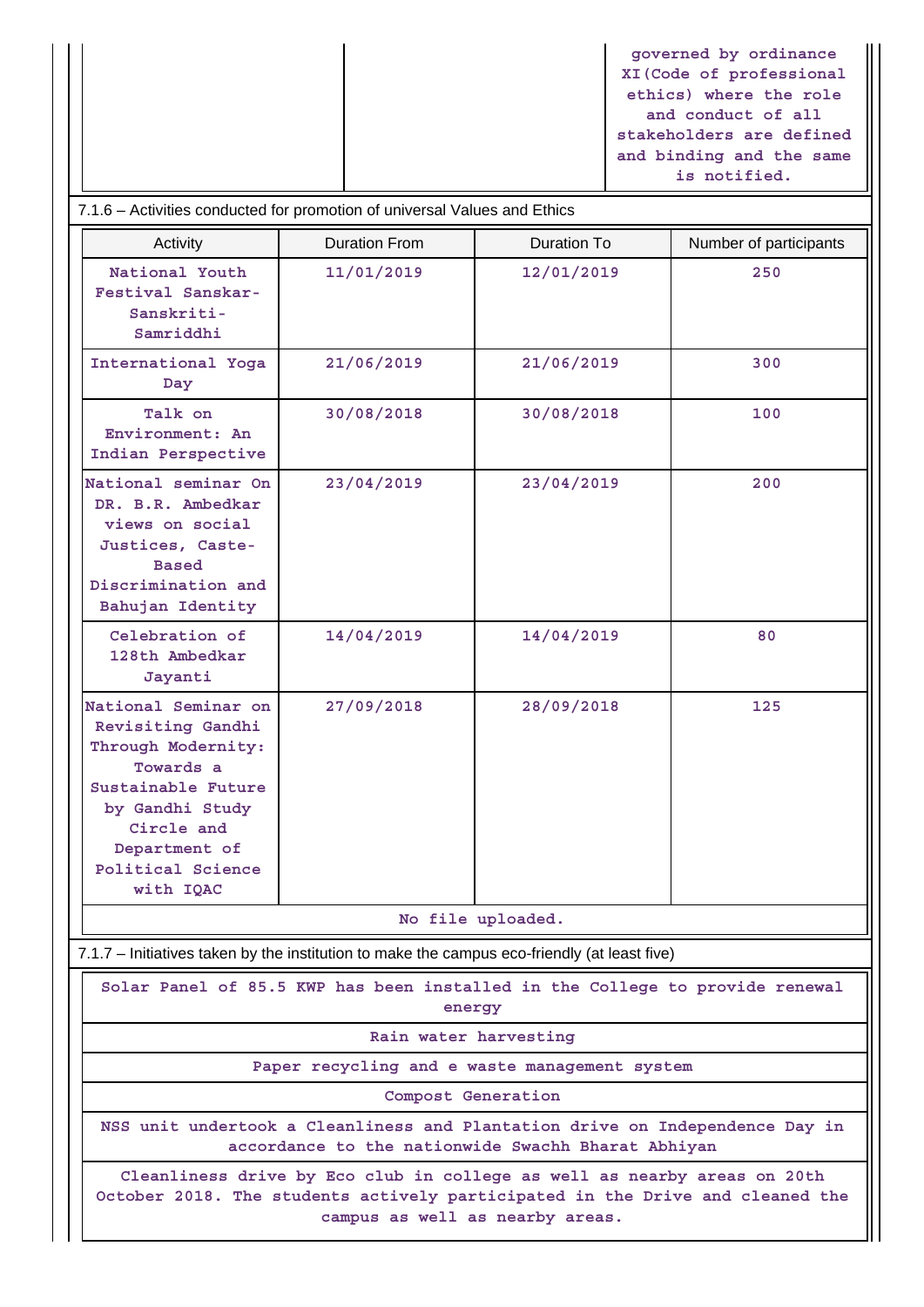**governed by ordinance XI(Code of professional ethics) where the role and conduct of all stakeholders are defined and binding and the same is notified.**

## 7.1.6 – Activities conducted for promotion of universal Values and Ethics

| Activity                                                                                                                                                                              | <b>Duration From</b>                                                                                            | Duration To       | Number of participants |  |  |  |  |
|---------------------------------------------------------------------------------------------------------------------------------------------------------------------------------------|-----------------------------------------------------------------------------------------------------------------|-------------------|------------------------|--|--|--|--|
| National Youth<br>Festival Sanskar-<br>Sanskriti-<br>Samriddhi                                                                                                                        | 11/01/2019                                                                                                      | 12/01/2019        | 250                    |  |  |  |  |
| International Yoga<br>Day                                                                                                                                                             | 21/06/2019                                                                                                      | 21/06/2019        | 300                    |  |  |  |  |
| Talk on<br>Environment: An<br>Indian Perspective                                                                                                                                      | 30/08/2018                                                                                                      | 30/08/2018        | 100                    |  |  |  |  |
| National seminar On<br>DR. B.R. Ambedkar<br>views on social<br>Justices, Caste-<br><b>Based</b><br>Discrimination and<br>Bahujan Identity                                             | 23/04/2019                                                                                                      | 23/04/2019        | 200                    |  |  |  |  |
| Celebration of<br>128th Ambedkar<br>Jayanti                                                                                                                                           | 14/04/2019                                                                                                      | 14/04/2019        | 80                     |  |  |  |  |
| National Seminar on<br>Revisiting Gandhi<br>Through Modernity:<br>Towards a<br>Sustainable Future<br>by Gandhi Study<br>Circle and<br>Department of<br>Political Science<br>with IQAC | 27/09/2018                                                                                                      | 28/09/2018        | 125                    |  |  |  |  |
|                                                                                                                                                                                       |                                                                                                                 | No file uploaded. |                        |  |  |  |  |
| 7.1.7 - Initiatives taken by the institution to make the campus eco-friendly (at least five)                                                                                          |                                                                                                                 |                   |                        |  |  |  |  |
|                                                                                                                                                                                       | Solar Panel of 85.5 KWP has been installed in the College to provide renewal<br>energy<br>Rain water harvesting |                   |                        |  |  |  |  |

**Paper recycling and e waste management system**

**Compost Generation**

**NSS unit undertook a Cleanliness and Plantation drive on Independence Day in accordance to the nationwide Swachh Bharat Abhiyan**

**Cleanliness drive by Eco club in college as well as nearby areas on 20th October 2018. The students actively participated in the Drive and cleaned the campus as well as nearby areas.**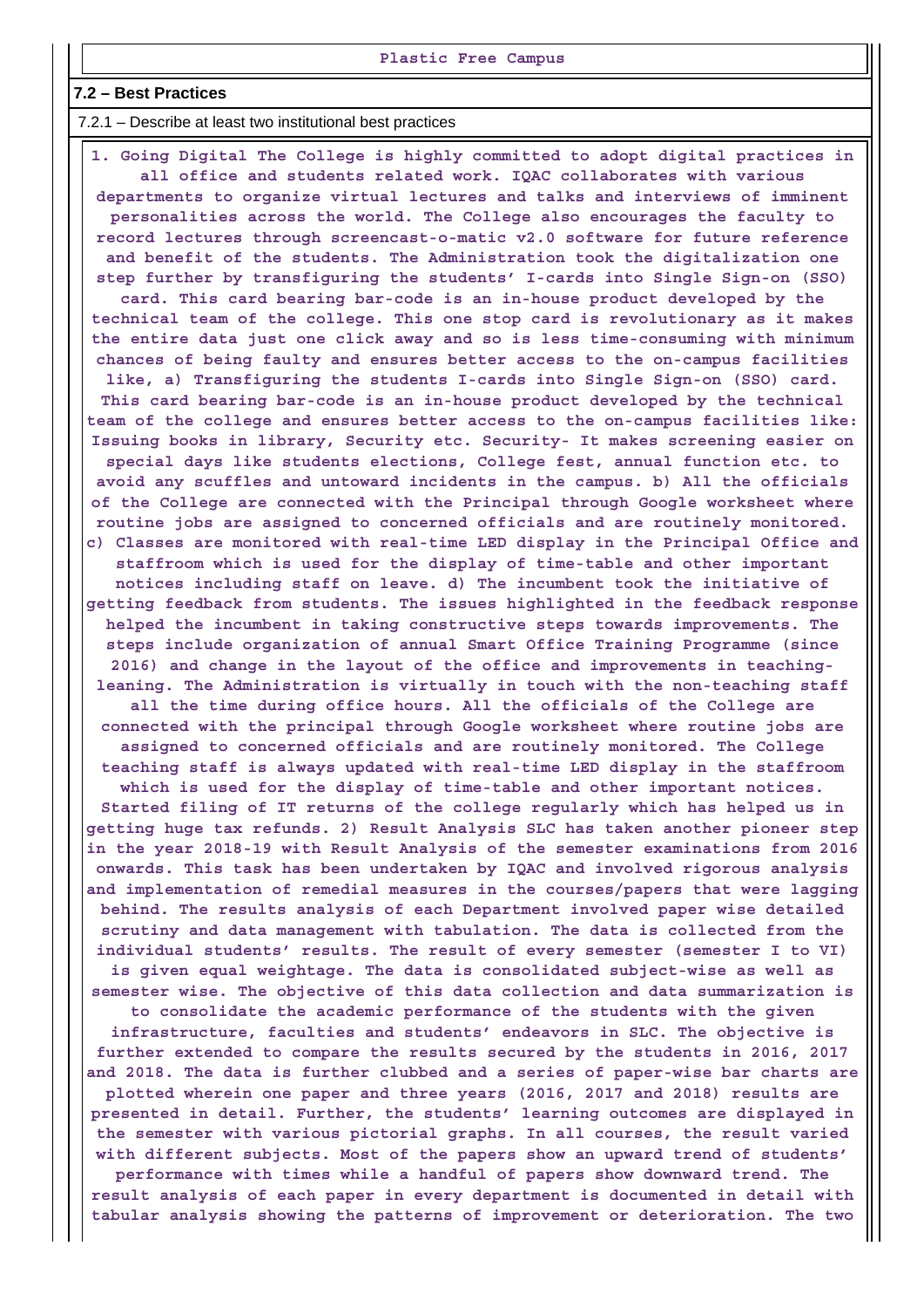#### **7.2 – Best Practices**

7.2.1 – Describe at least two institutional best practices

 **1. Going Digital The College is highly committed to adopt digital practices in all office and students related work. IQAC collaborates with various departments to organize virtual lectures and talks and interviews of imminent personalities across the world. The College also encourages the faculty to record lectures through screencast-o-matic v2.0 software for future reference and benefit of the students. The Administration took the digitalization one step further by transfiguring the students' I-cards into Single Sign-on (SSO) card. This card bearing bar-code is an in-house product developed by the technical team of the college. This one stop card is revolutionary as it makes the entire data just one click away and so is less time-consuming with minimum chances of being faulty and ensures better access to the on-campus facilities like, a) Transfiguring the students I-cards into Single Sign-on (SSO) card. This card bearing bar-code is an in-house product developed by the technical team of the college and ensures better access to the on-campus facilities like: Issuing books in library, Security etc. Security- It makes screening easier on special days like students elections, College fest, annual function etc. to avoid any scuffles and untoward incidents in the campus. b) All the officials of the College are connected with the Principal through Google worksheet where routine jobs are assigned to concerned officials and are routinely monitored. c) Classes are monitored with real-time LED display in the Principal Office and staffroom which is used for the display of time-table and other important notices including staff on leave. d) The incumbent took the initiative of getting feedback from students. The issues highlighted in the feedback response helped the incumbent in taking constructive steps towards improvements. The steps include organization of annual Smart Office Training Programme (since 2016) and change in the layout of the office and improvements in teachingleaning. The Administration is virtually in touch with the non-teaching staff all the time during office hours. All the officials of the College are connected with the principal through Google worksheet where routine jobs are assigned to concerned officials and are routinely monitored. The College teaching staff is always updated with real-time LED display in the staffroom which is used for the display of time-table and other important notices. Started filing of IT returns of the college regularly which has helped us in getting huge tax refunds. 2) Result Analysis SLC has taken another pioneer step in the year 2018-19 with Result Analysis of the semester examinations from 2016 onwards. This task has been undertaken by IQAC and involved rigorous analysis and implementation of remedial measures in the courses/papers that were lagging behind. The results analysis of each Department involved paper wise detailed scrutiny and data management with tabulation. The data is collected from the individual students' results. The result of every semester (semester I to VI) is given equal weightage. The data is consolidated subject-wise as well as semester wise. The objective of this data collection and data summarization is to consolidate the academic performance of the students with the given infrastructure, faculties and students' endeavors in SLC. The objective is further extended to compare the results secured by the students in 2016, 2017 and 2018. The data is further clubbed and a series of paper-wise bar charts are plotted wherein one paper and three years (2016, 2017 and 2018) results are presented in detail. Further, the students' learning outcomes are displayed in the semester with various pictorial graphs. In all courses, the result varied with different subjects. Most of the papers show an upward trend of students' performance with times while a handful of papers show downward trend. The result analysis of each paper in every department is documented in detail with tabular analysis showing the patterns of improvement or deterioration. The two**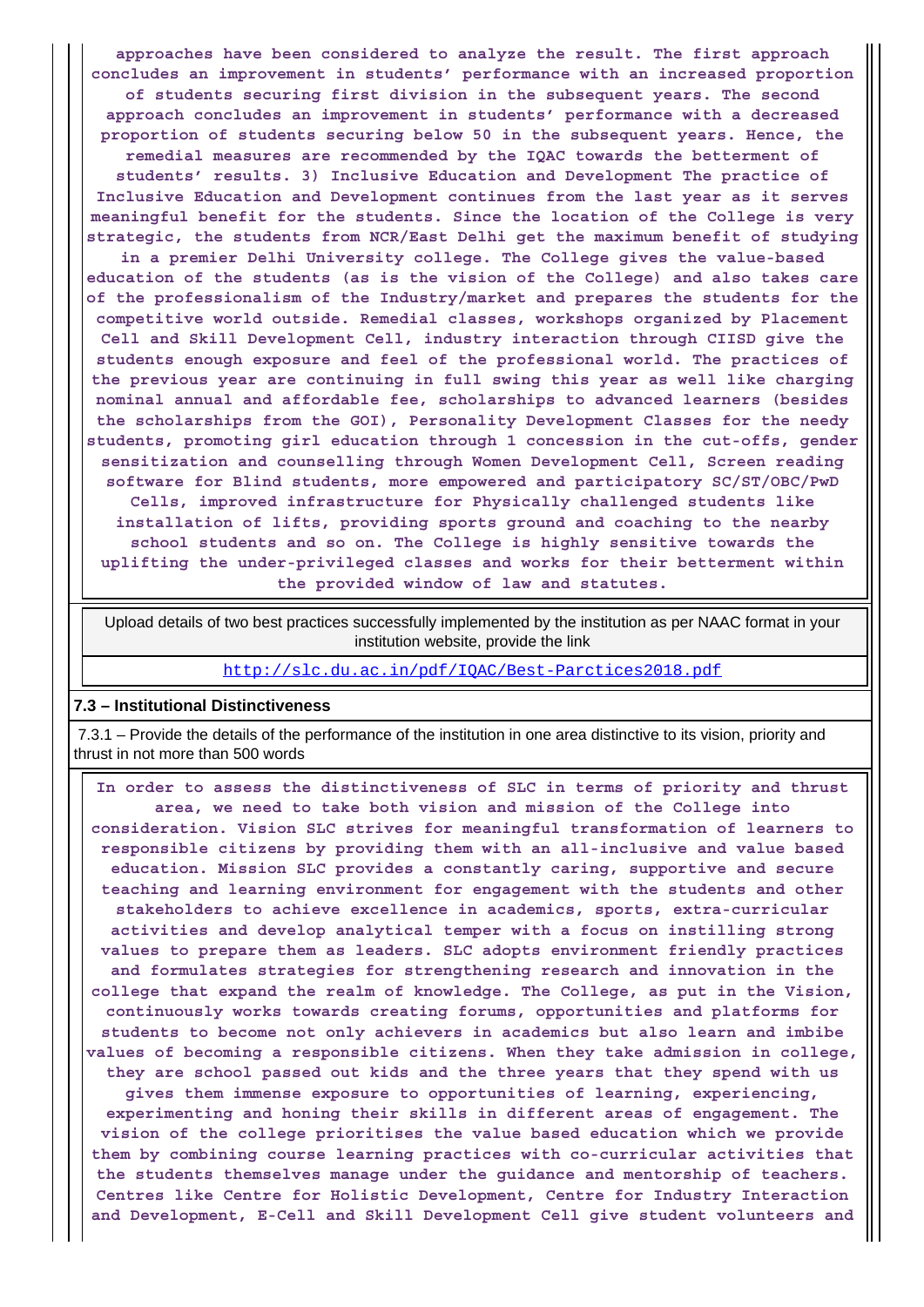**approaches have been considered to analyze the result. The first approach concludes an improvement in students' performance with an increased proportion of students securing first division in the subsequent years. The second approach concludes an improvement in students' performance with a decreased proportion of students securing below 50 in the subsequent years. Hence, the remedial measures are recommended by the IQAC towards the betterment of students' results. 3) Inclusive Education and Development The practice of Inclusive Education and Development continues from the last year as it serves meaningful benefit for the students. Since the location of the College is very strategic, the students from NCR/East Delhi get the maximum benefit of studying**

**in a premier Delhi University college. The College gives the value-based education of the students (as is the vision of the College) and also takes care of the professionalism of the Industry/market and prepares the students for the competitive world outside. Remedial classes, workshops organized by Placement Cell and Skill Development Cell, industry interaction through CIISD give the students enough exposure and feel of the professional world. The practices of the previous year are continuing in full swing this year as well like charging nominal annual and affordable fee, scholarships to advanced learners (besides the scholarships from the GOI), Personality Development Classes for the needy students, promoting girl education through 1 concession in the cut-offs, gender sensitization and counselling through Women Development Cell, Screen reading software for Blind students, more empowered and participatory SC/ST/OBC/PwD Cells, improved infrastructure for Physically challenged students like installation of lifts, providing sports ground and coaching to the nearby school students and so on. The College is highly sensitive towards the uplifting the under-privileged classes and works for their betterment within the provided window of law and statutes.**

 Upload details of two best practices successfully implemented by the institution as per NAAC format in your institution website, provide the link

<http://slc.du.ac.in/pdf/IQAC/Best-Parctices2018.pdf>

#### **7.3 – Institutional Distinctiveness**

 7.3.1 – Provide the details of the performance of the institution in one area distinctive to its vision, priority and thrust in not more than 500 words

 **In order to assess the distinctiveness of SLC in terms of priority and thrust area, we need to take both vision and mission of the College into consideration. Vision SLC strives for meaningful transformation of learners to responsible citizens by providing them with an all-inclusive and value based education. Mission SLC provides a constantly caring, supportive and secure teaching and learning environment for engagement with the students and other stakeholders to achieve excellence in academics, sports, extra-curricular activities and develop analytical temper with a focus on instilling strong values to prepare them as leaders. SLC adopts environment friendly practices and formulates strategies for strengthening research and innovation in the college that expand the realm of knowledge. The College, as put in the Vision, continuously works towards creating forums, opportunities and platforms for students to become not only achievers in academics but also learn and imbibe values of becoming a responsible citizens. When they take admission in college, they are school passed out kids and the three years that they spend with us gives them immense exposure to opportunities of learning, experiencing, experimenting and honing their skills in different areas of engagement. The vision of the college prioritises the value based education which we provide them by combining course learning practices with co-curricular activities that the students themselves manage under the guidance and mentorship of teachers. Centres like Centre for Holistic Development, Centre for Industry Interaction and Development, E-Cell and Skill Development Cell give student volunteers and**